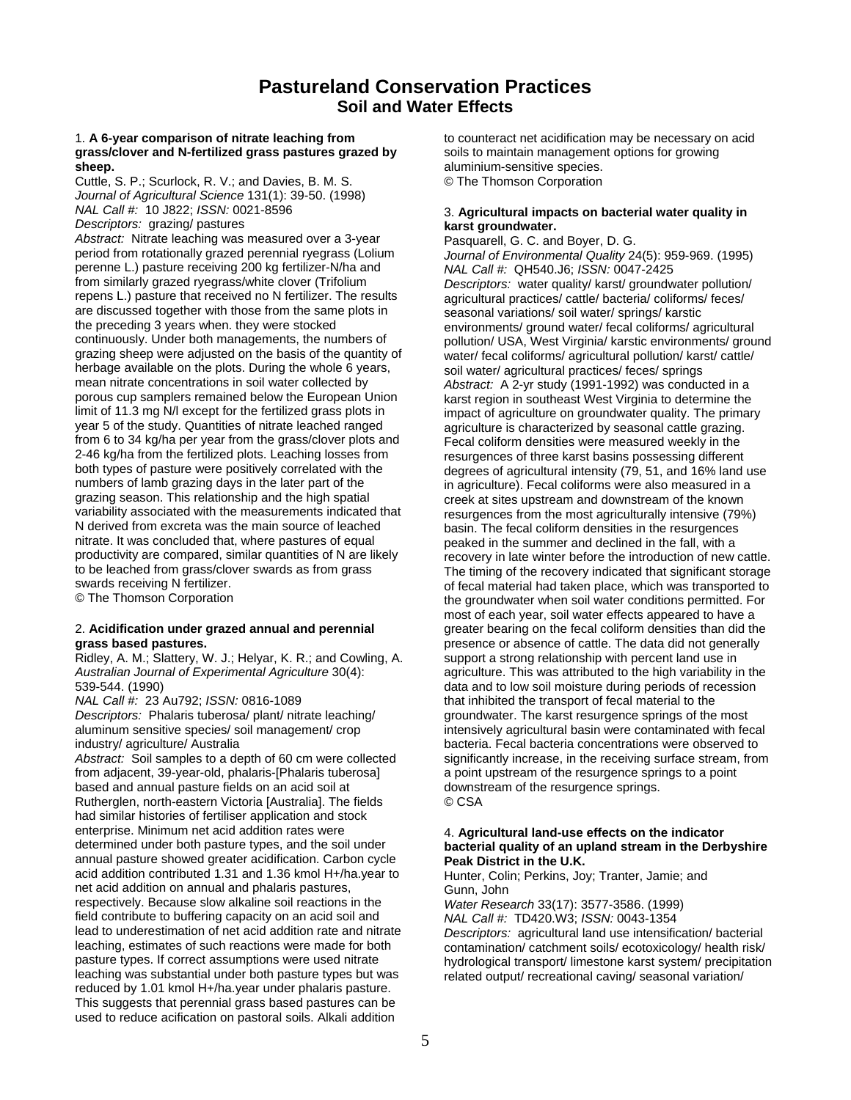## **Pastureland Conservation Practices Soil and Water Effects**

## **grass/clover and N-fertilized grass pastures grazed by** soils to maintain management options for growing **sheep. a aluminium-sensitive species.**

Cuttle, S. P.; Scurlock, R. V.; and Davies, B. M. S. © The Thomson Corporation *Journal of Agricultural Science* 131(1): 39-50. (1998) **Descriptors:** grazing/ pastures **karst groundwater.** 

*Abstract:* Nitrate leaching was measured over a 3-year Pasquarell, G. C. and Boyer, D. G. period from rotationally grazed perennial ryegrass (Lolium *Journal of Environmental Quality 24* perenne L.) pasture receiving 200 kg fertilizer-N/ha and *NAL Call #:* QH540.J6; *ISSN:* 0047-2425 from similarly grazed ryegrass/white clover (Trifolium *Descriptors:* water quality/ karst/ groundwater pollution/ are discussed together with those from the same plots in the preceding 3 years when. they were stocked the preceding 3 years when. they were stocked environments/ ground water/ fecal coliforms/ agricultural<br>continuously. Under both managements, the numbers of pollution/ USA. West Virginia/ karstic environments/ grou herbage available on the plots. During the whole 6 years, soil water/ agricultural practices/ feces/ springs<br>mean nitrate concentrations in soil water collected by *Abstract: A 2-vr* study (1991-1992) was conductions mean nitrate concentrations in soil water collected by *Abstract:* A 2-yr study (1991-1992) was conducted in a<br>
porous cup samplers remained below the European Union karst region in southeast West Virginia to determine the porous cup samplers remained below the European Union karst region in southeast West Virginia to determine the<br>I imit of 11.3 mg N/I except for the fertilized grass plots in impact of agriculture on groundwater quality. Th limit of 11.3 mg N/l except for the fertilized grass plots in impact of agriculture on groundwater quality. The primary<br>year 5 of the study. Quantities of nitrate leached ranged agriculture is characterized by seasonal cat year 5 of the study. Quantities of nitrate leached ranged agriculture is characterized by seasonal cattle grazing.<br>The form 6 to 34 kg/ha per year from the grass/clover plots and Fecal coliform densities were measured week from 6 to 34 kg/ha per year from the grass/clover plots and Fecal coliform densities were measured weekly in the<br>2-46 kg/ha from the fertilized plots. Leaching losses from Fesurgences of three karst basins possessing diffe 2-46 kg/ha from the fertilized plots. Leaching losses from resurgences of three karst basins possessing different<br>both types of pasture were positively correlated with the degrees of agricultural intensity (79, 51, and 16% both types of pasture were positively correlated with the degrees of agricultural intensity (79, 51, and 16% land use<br>numbers of lamb grazing days in the later part of the in agriculture. Fecal coliforms were also measured numbers of lamb grazing days in the later part of the in agriculture). Fecal coliforms were also measured in a<br>grazing season. This relationship and the high spatial creek at sites upstream and downstream of the known grazing season. This relationship and the high spatial example reek at sites upstream and downstream of the known<br>variability associated with the measurements indicated that resurgences from the most agriculturally intensi variability associated with the measurements indicated that resurgences from the most agriculturally intensive (79%)<br>N derived from excreta was the main source of leached basin. The fecal coliform densities in the resurgen N derived from excreta was the main source of leached basin. The fecal coliform densities in the resurgences<br>
nitrate. It was concluded that, where pastures of equal<br>
peaked in the summer and declined in the fall with a nitrate. It was concluded that, where pastures of equal peaked in the summer and declined in the fall, with a<br>productivity are compared, similar quantities of N are likely recovery in late winter before the introduction of

Ridley, A. M.; Slattery, W. J.; Helyar, K. R.; and Cowling, A. Australian Journal of Experimental Agriculture 30(4): 539-544. (1990) data and to low soil moisture during periods of recession

*Abstract:* Soil samples to a depth of 60 cm were collected significantly increase, in the receiving surface stream, from from adjacent, 39-year-old, phalaris-[Phalaris tuberosa] a point upstream of the resurgence springs to a point based and annual pasture fields on an acid soil at downstream of the resurgence springs. Rutherglen, north-eastern Victoria [Australia]. The fields had similar histories of fertiliser application and stock enterprise. Minimum net acid addition rates were 4. **Agricultural land-use effects on the indicator** determined under both pasture types, and the soil under **bacterial quality of an upland stream in the Derb** annual pasture showed greater acidification. Carbon cycle **Peak District in the U.K.** acid addition contributed 1.31 and 1.36 kmol H+/ha.year to Hunter, Colin; Perkins, Joy; Tranter, Jamie; and net acid addition on annual and phalaris pastures, Gunn, John respectively. Because slow alkaline soil reactions in the *Water Research* 33(17): 3577-3586. (1999) field contribute to buffering capacity on an acid soil and *NAL Call #:* TD420.W3; *ISSN:* 0043-1354 lead to underestimation of net acid addition rate and nitrate *Descriptors:* agricultural land use intensification/ bacterial leaching, estimates of such reactions were made for both contamination/ catchment soils/ ecotoxicology/ health risk/<br>pasture types. If correct assumptions were used nitrate hydrological transport/ limestone karst system/ p pasture types. If correct assumptions were used nitrate hydrological transport/ limestone karst system/ precipitation<br>leaching was substantial under both pasture types but was related output/ recreational caving/ seasonal reduced by 1.01 kmol H+/ha.year under phalaris pasture. This suggests that perennial grass based pastures can be used to reduce acification on pastoral soils. Alkali addition

1. **A 6-year comparison of nitrate leaching from** to counteract net acidification may be necessary on acid

## *NAL Call #:* 10 J822; *ISSN:* 0021-8596 3. Agricultural impacts on bacterial water quality in

Journal of Environmental Quality 24(5): 959-969. (1995) agricultural practices/ cattle/ bacteria/ coliforms/ feces/<br>seasonal variations/ soil water/ springs/ karstic continuously. Under both managements, the numbers of pollution/ USA, West Virginia/ karstic environments/ ground<br>grazing sheep were adjusted on the basis of the quantity of water/ fecal coliforms/ agricultural pollution/ k water/ fecal coliforms/ agricultural pollution/ karst/ cattle/ productivity are compared, similar quantities of N are likely recovery in late winter before the introduction of new cattle.<br>The timing of the recovery indicated that significant storage to be leached from grass/clover swards as from grass The timing of the recovery indicated that significant storage<br>The timing of the recovery indicated that significant storage<br>of fecal material had taken place, which was swards receiving N fertilizer.<br>
© The Thomson Corporation in the croundwater when soil water conditions permitted For the groundwater when soil water conditions permitted. For most of each year, soil water effects appeared to have a 2. **Acidification under grazed annual and perennial** greater bearing on the fecal coliform densities than did the grass based pastures.<br>
Ridley, A. M.; Slattery, W. J.; Helyar, K. R.; and Cowling, A. Support a strong relationship with percent land use in agriculture. This was attributed to the high variability in the *NAL Call #:* 23 Au792; *ISSN:* 0816-1089 that inhibited the transport of fecal material to the *Descriptors:* Phalaris tuberosa/ plant/ nitrate leaching/ groundwater. The karst resurgence springs of the most aluminum sensitive species/ soil management/ crop intensively agricultural basin were contaminated with fecal industry/ agriculture/ Australia bacteria. Fecal bacteria concentrations were observed to

# bacterial quality of an upland stream in the Derbyshire

related output/ recreational caving/ seasonal variation/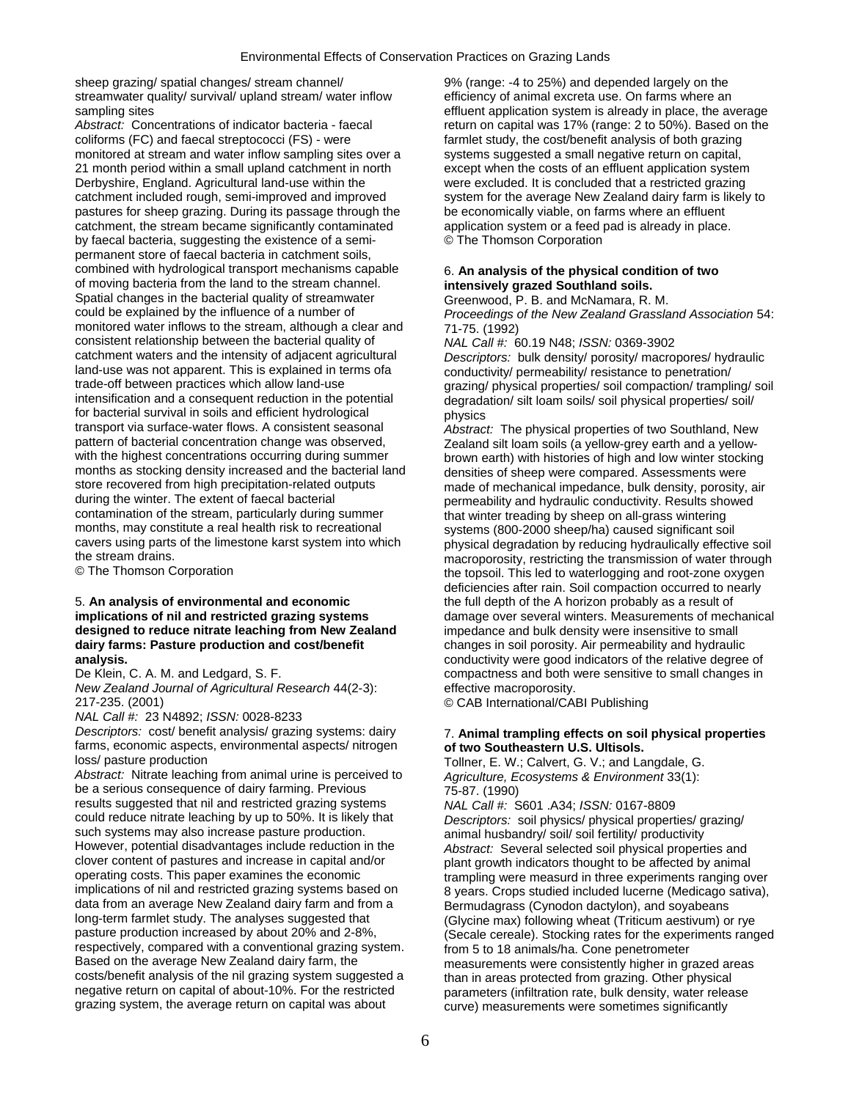sheep grazing/ spatial changes/ stream channel/ 9% (range: -4 to 25%) and depended largely on the streamwater quality/ survival/ upland stream/ water inflow efficiency of animal excreta use. On farms where an

*Abstract:* Concentrations of indicator bacteria - faecal return on capital was 17% (range: 2 to 50%). Based on the coliforms (FC) and faecal streptococci (FS) - were farmlet study, the cost/benefit analysis of both grazing monitored at stream and water inflow sampling sites over a systems suggested a small negative return on capital, 21 month period within a small upland catchment in north except when the costs of an effluent application system Derbyshire, England. Agricultural land-use within the were excluded. It is concluded that a restricted grazing catchment included rough, semi-improved and improved system for the average New Zealand dairy farm is likely to<br>pastures for sheep grazing. During its passage through the be economically viable, on farms where an effluent pastures for sheep grazing. During its passage through the catchment, the stream became significantly contaminated application system or a feed pad is already in place. by faecal bacteria, suggesting the existence of a semi- © The Thomson Corporation permanent store of faecal bacteria in catchment soils, combined with hydrological transport mechanisms capable 6. An analysis of the physical condition of two of moving bacteria from the land to the stream channel. **intensively grazed Southland soils.**  Spatial changes in the bacterial quality of streamwater Greenwood, P. B. and McNamara, R. M.<br>
could be explained by the influence of a number of France Proceedings of the New Zealand Grassla monitored water inflows to the stream, although a clear and <br>consistent relationship between the bacterial quality of MAL Call #: 60.19 N48; ISSN: 0369-3902 consistent relationship between the bacterial quality of *catchment waters and the intensity of adjacent agricultural* catchment waters and the intensity of adjacent agricultural *Descriptors:* bulk density/ porosity/ macropores/ hydraulic land-use was not apparent. This is explained in terms of a conductivity/ permeability/ resistance to penetration/<br>trade-off between practices which allow land-use example or azing/ physical properties/ soil compaction/ tra intensification and a consequent reduction in the potential degradation/ silt loam soils/ soil physical properties/ soil/<br>for bacterial survival in soils and efficient hydrological physics for bacterial survival in soils and efficient hydrological<br>transport via surface-water flows. A consistent seasonal transport via surface-water flows. A consistent seasonal *Abstract:* The physical properties of two Southland, New pattern of bacterial concentration change was observed, <br>with the highest concentrations occurring during summer<br>brown earth) with histories of high and low winter stocking months as stocking density increased and the bacterial land densities of sheep were compared. Assessments were<br>store recovered from high precipitation-related outputs made of mechanical impedance, bulk density, porosity, store recovered from high precipitation-related outputs made of mechanical impedance, bulk density, porosity, air<br>during the winter. The extent of faecal bacterial states of the mermeability and hydraulic conductivity. Res contamination of the stream, particularly during summer<br>months, may constitute a real health risk to recreational systems (800-2000 sheep/ha) caused significant so months, may constitute a real health risk to recreational systems (800-2000 sheep/ha) caused significant soil<br>cavers using parts of the limestone karst system into which by polysical degradation by reducing hydraulically cavers using parts of the limestone karst system into which physical degradation by reducing hydraulically effective soil<br>macroporosity restricting the transmission of water through

## 5. **An analysis of environmental and economic** the full depth of the A horizon probably as a result of **designed to reduce nitrate leaching from New Zealand** impedance and bulk density were insensitive to small **dairy farms: Pasture production and cost/benefit** changes in soil porosity. Air permeability and hydraulic **analysis.** conductivity were good indicators of the relative degree of

*New Zealand Journal of Agricultural Research* 44(2-3): effective macroporosity. 217-235. (2001) © CAB International/CABI Publishing

*NAL Call #:* 23 N4892; *ISSN:* 0028-8233

*Descriptors:* cost/ benefit analysis/ grazing systems: dairy 7. **Animal trampling effects on soil physical properties**  farms, economic aspects, environmental aspects/ nitrogen **of two Southeastern U.S. Ultisols.**<br>
loss/ pasture production **of the Southeastern U.S. Ultisols.**<br>
Tollner F. W.: Calvert G. V.: and La

*Abstract:* Nitrate leaching from animal urine is perceived to *Agriculture, Ecosystems & Environment* 33(1): be a serious consequence of dairy farming. Previous 75-87. (1990) results suggested that nil and restricted grazing systems *NAL Call #:* S601 .A34; *ISSN:* 0167-8809 could reduce nitrate leaching by up to 50%. It is likely that *Descriptors:* soil physics/ physical properties/ grazing/ such systems may also increase pasture production. <br>However, potential disadvantages include reduction in the *Abstract:* Several selected soil physical propertion However, potential disadvantages include reduction in the *Abstract:* Several selected soil physical properties and clover content of pastures and increase in capital and/or plant growth indicators thought to be affected by animal<br>operating costs. This paper examines the economic<br>trampling were measurd in three experiments ranging ov operating costs. This paper examines the economic experiments ranging over implications of nil and restricted grazing systems based on a same a vegas Crops studied included lucerne (Medicago sativa) data from an average New Zealand dairy farm and from a Bermudagrass (Cynodon dactylon), and soyabeans<br>Iong-term farmlet study. The analyses suggested that (Glycine max) following wheat (Triticum aestivum) o long-term farmlet study. The analyses suggested that (Glycine max) following wheat (Triticum aestivum) or rye<br>pasture production increased by about 20% and 2-8%, (Secale cereale). Stocking rates for the experiments rang respectively, compared with a conventional grazing system.<br>Based on the average New Zealand dairy farm, the measurements were consistently higher in gr Based on the average New Zealand dairy farm, the measurements were consistently higher in grazed areas<br>costs/benefit analysis of the nil grazing system suggested a than in areas protected from grazing. Other physical costs/benefit analysis of the nil grazing system suggested a than in areas protected from grazing. Other physical<br>negative return on capital of about-10%. For the restricted hard programeters (infiltration rate, bulk densi negative return on capital of about-10%. For the restricted parameters (infiltration rate, bulk density, water release<br>grazing system, the average return on capital was about curve) measurements were sometimes significantl

sampling sites effluent application system is already in place, the average

Proceedings of the New Zealand Grassland Association 54:

grazing/ physical properties/ soil compaction/ trampling/ soil

brown earth) with histories of high and low winter stocking permeability and hydraulic conductivity. Results showed the stream drains.<br>
© The Thomson Corporation<br>
© The Thomson Corporation external structure through the topsoil This led to waterlogging and root-zone oxygen the topsoil. This led to waterlogging and root-zone oxygen deficiencies after rain. Soil compaction occurred to nearly **implications of nil and restricted grazing systems** damage over several winters. Measurements of mechanical De Klein, C. A. M. and Ledgard, S. F. compactness and both were sensitive to small changes in

Tollner, E. W.; Calvert, G. V.; and Langdale, G.

8 years. Crops studied included lucerne (Medicago sativa), (Secale cereale). Stocking rates for the experiments ranged curve) measurements were sometimes significantly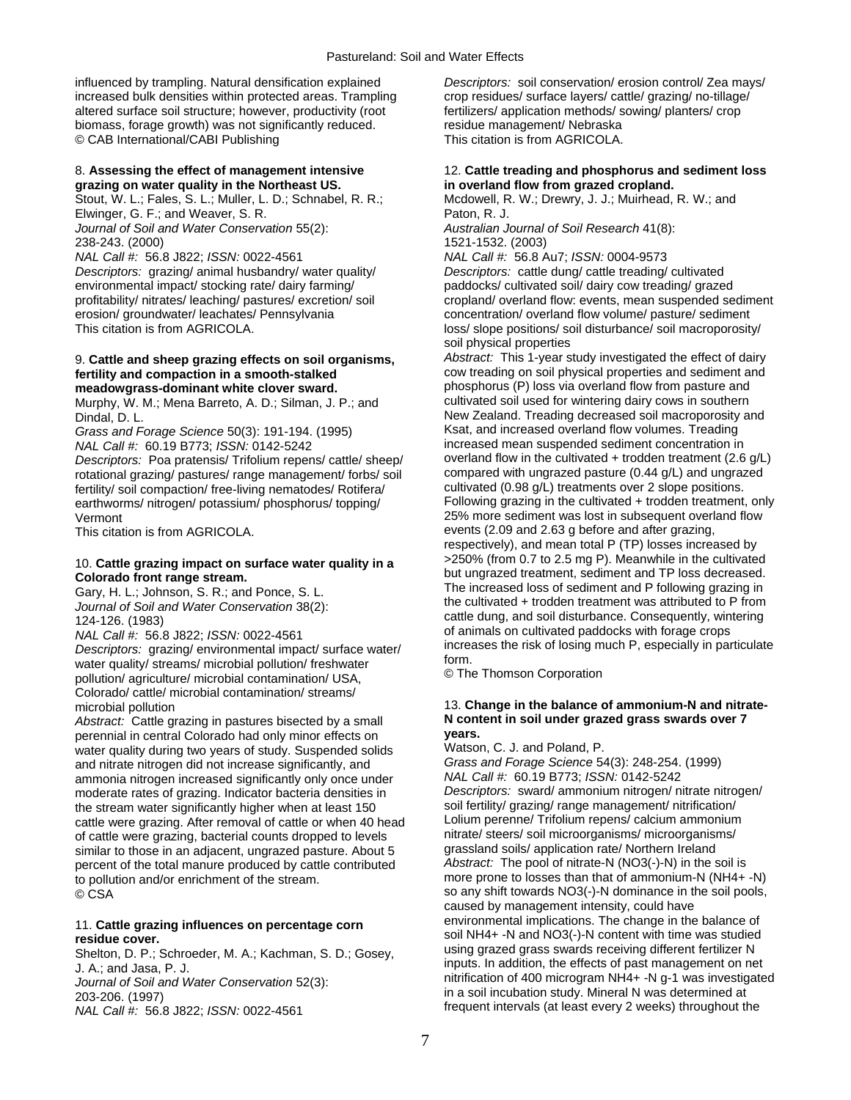influenced by trampling. Natural densification explained *Descriptors:* soil conservation/ erosion control/ Zea mays/ increased bulk densities within protected areas. Trampling crop residues/ surface layers/ cattle/ grazing/ no-tillage/ altered surface soil structure; however, productivity (root fertilizers/ application methods/ sowing/ planters/ crop biomass, forage growth) was not significantly reduced. The residue management/ Nebraska © CAB International/CABI Publishing This citation is from AGRICOLA.

## grazing on water quality in the Northeast US.

Stout, W. L.; Fales, S. L.; Muller, L. D.; Schnabel, R. R.; Mcdowell, R. W.; Drewry, J. J.; Muirhead, R. W.; and Elwinger, G. F.; and Weaver, S. R. Paton, R. J. Paton, R. J. *Journal of Soil and Water Conservation* 55(2): *Australian Journal of Soil Research* 41(8): 238-243. (2000) 1521-1532. (2003) *NAL Call #:* 56.8 J822; *ISSN:* 0022-4561 *NAL Call #:* 56.8 Au7; *ISSN:* 0004-9573 *Descriptors:* grazing/ animal husbandry/ water quality/ *Descriptors:* cattle dung/ cattle treading/ cultivated environmental impact/ stocking rate/ dairy farming/ paddocks/ cultivated soil/ dairy cow treading/ grazed erosion/ groundwater/ leachates/ Pennsylvania concentration/ overland flow volume/ pasture/ sediment

Murphy, W. M.; Mena Barreto, A. D.; Silman, J. P.; and

*Grass and Forage Science* 50(3): 191-194. (1995) *Descriptors:* Poa pratensis/ Trifolium repens/ cattle/ sheep/ overland flow in the cultivated + trodden treatment (2.6 g/L<br>
rotational grazing/ pastures/ range management/ forbs/ soil compared with ungrazed pasture (0.44 rotational grazing/ pastures/ range management/ forbs/ soil compared with ungrazed pasture (0.44 g/L) and ungrazed<br>fertility/ soil compaction/ free-living nematodes/ Rotifera/ cultivated (0.98 g/L) treatments over 2 slope earthworms/ nitrogen/ potassium/ phosphorus/ topping/ Vermont 25% more sediment was lost in subsequent overland flow

## 10. Cattle grazing impact on surface water quality in a

Descriptors: grazing/environmental impact/ surface water/ Increases the risk of losing m<br>water quality/streams/microbial pollution/ freshwater form.<br>pollution/agriculture/microbial contamination/ USA, <br>
© The Thomson Corpo Colorado/ cattle/ microbial contamination/ streams/ microbial pollution 13. **Change in the balance of ammonium-N and nitrate-**

*Abstract:* Cattle grazing in pastures bisected by a small **N content in soil under grazed grass swards over 7** *N* **personial in central Colorado had only minor effects on <b>years.** perennial in central Colorado had only minor effects on **years.**  water quality during two years of study. Suspended solids Watson, C. J. and Poland, P.<br>
and pitrate pitrogen did not increase significantly, and Grass and Forage Science 54(3): 248-254. (1999) and nitrate nitrogen did not increase significantly, and *Grass and Forage Science* 54(3): 248-254. (1999) ammonia nitrogen increased significantly only once under *NAL Call #:* 60.19 B773; *ISSN:* 0142-5242 moderate rates of grazing. Indicator bacteria densities in *Descriptors:* sward/ ammonium nitrogen/ nitrate nitrog<br>the stream water significantly higher when at least 150 soil fertility/ grazing/ range management/ nitrific the stream water significantly higher when at least 150 soil fertility/ grazing/ range management/ nitrification/<br>cattle were grazing. After removal of cattle or when 40 head Lolium perenne/ Trifolium repens/ calcium ammon cattle were grazing. After removal of cattle or when 40 head Lolium perenne/ Trifolium repens/ calcium ammonium<br>Colium perenne/ Saltle were grazing bacterial counts dropped to levels and tright in trate/ steers/ soil micro of cattle were grazing, bacterial counts dropped to levels nitrate/ steers/ soil microorganisms/ microorganis<br>similar to those in an adiacent, ungrazed pasture, About 5 grassland soils/ application rate/ Northern Ireland similar to those in an adjacent, ungrazed pasture. About 5 grassland soils/ application rate/ Northern Ireland<br>percent of the total manure produced by cattle contributed Abstract: The pool of nitrate-N (NO3(-)-N) in the so percent of the total manure produced by cattle contributed to pollution and/or enrichment of the stream. more prone to losses than that of ammonium-N (NH4+ -N) © CSA so any shift towards NO3(-)-N dominance in the soil pools,

## 8. **Assessing the effect of management intensive** 12. **Cattle treading and phosphorus and sediment loss**

profitability/ nitrates/ leaching/ pastures/ excretion/ soil cropland/ overland flow: events, mean suspended sediment This citation is from AGRICOLA. loss/ slope positions/ soil disturbance/ soil macroporosity/ soil physical properties

9. **Cattle and sheep grazing effects on soil organisms,** *Abstract:* This 1-year study investigated the effect of dairy **fertility and compaction in a smooth-stalked** cow treading on soil physical properties and sediment and **meadowgrass-dominant white clover sward.** <br>Murphy, W. M.: Mena Barreto, A. D.: Silman, J. P.: and cultivated soil used for wintering dairy cows in southern Dindal, D. L.<br>
Crass and Forage Science 50(3): 191-194 (1995) Risat, and increased overland flow volumes. Treading<br>
Ksat, and increased overland flow volumes. Treading *NAL Call #:* 60.19 B773; *ISSN:* 0142-5242 increased mean suspended sediment concentration in<br>Descriptors: Poa pratensis/ Trifolium repens/ cattle/ sheep/ overland flow in the cultivated + trodden treatment (2.6 g/L) fertility/ soil compaction/ free-living nematodes/ Rotifera/ cultivated (0.98 g/L) treatments over 2 slope positions.<br>
earthworms/ nitrogen/ potassium/ phosphorus/ topping/ Following grazing in the cultivated + trodden tre This citation is from AGRICOLA. events (2.09 and 2.63 g before and after grazing, respectively), and mean total P (TP) losses increased by<br>>250% (from 0.7 to 2.5 mg P). Meanwhile in the cultivated **Colorado front range stream.** but ungrazed treatment, sediment and TP loss decreased. Gary, H. L.; Johnson, S. R.; and Ponce, S. L. The increased loss of sediment and P following grazing in Gary, H. L.; Johnson, S. R.; and Ponce, S. L. The increased loss of sediment and P following grazing in the cultivated Journal of Soil and Water Conservation 38(2):<br>
124-126. (1983)<br>
MAL Call #: 56.8 J822; ISSN: 0022-4561<br>
MAL Call #: 56.8 J822; ISSN: 0022-4561<br>
MAL Call #: 56.8 J822; ISSN: 0022-4561<br>
MAL Call #: 56.8 J822; ISSN: 0022-4561

caused by management intensity, could have 11. **Cattle grazing influences on percentage corn** environmental implications. The change in the balance of **11. Cattle grazing influences on percentage corn** soil NH4+ -N and NO3(-)-N content with time was studied **resid** Shelton, D. P.; Schroeder, M. A.; Kachman, S. D.; Gosey,<br>
J. A.; and Jasa, P. J.<br>
J. A.; and Jasa, P. J.<br>
J. A.; and Jasa, P. J.<br>
J. A.; and Jasa, P. J.<br>
J. A.; and Jasa, P. J.<br>
Journal of Soil and Water Conservation 52(3)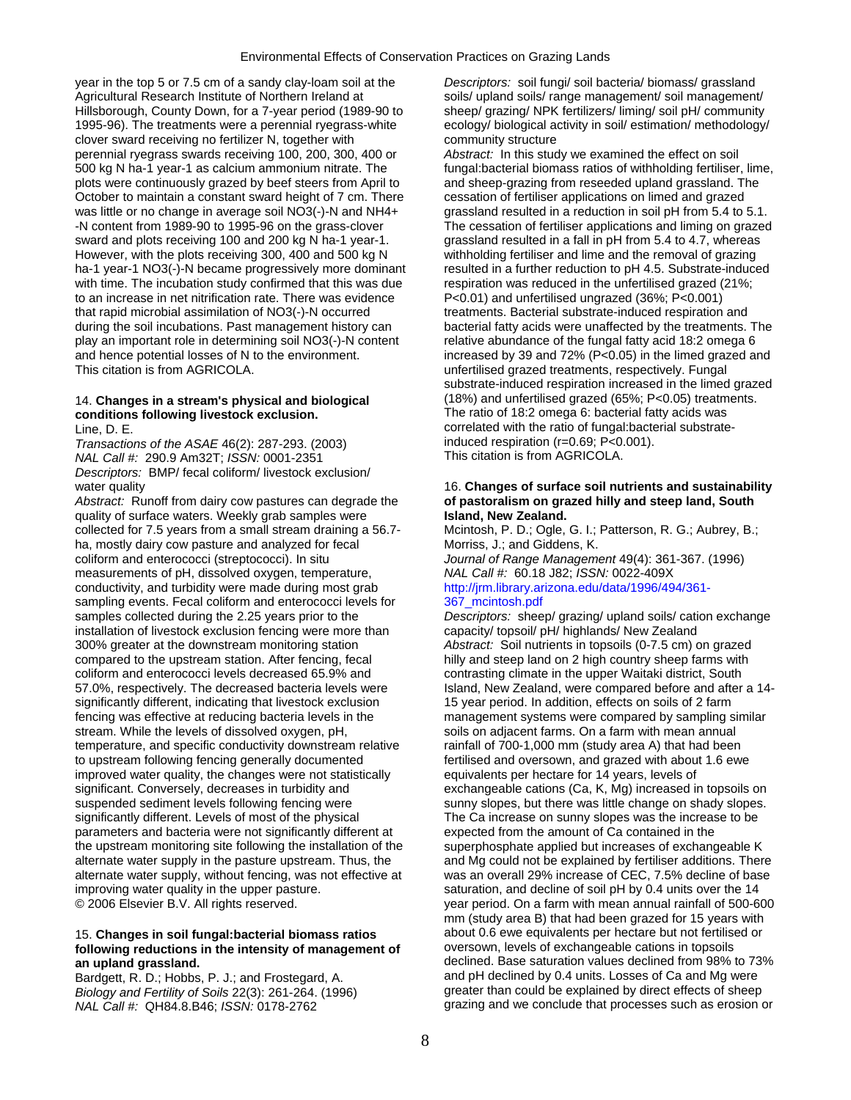year in the top 5 or 7.5 cm of a sandy clay-loam soil at the *Descriptors:* soil fungi/ soil bacteria/ biomass/ grassland Agricultural Research Institute of Northern Ireland at soils/ upland soils/ range management/ soil management/ Hillsborough, County Down, for a 7-year period (1989-90 to sheep/ grazing/ NPK fertilizers/ liming/ soil pH/ community 1995-96). The treatments were a perennial ryegrass-white ecology/ biological activity in soil/ estimation/ methodology/ clover sward receiving no fertilizer N, together with community structure perennial ryegrass swards receiving 100, 200, 300, 400 or *Abstract:* In this study we examined the effect on soil 500 kg N ha-1 year-1 as calcium ammonium nitrate. The fungal:bacterial biomass ratios of withholding fertiliser, lime, plots were continuously grazed by beef steers from April to and sheep-grazing from reseeded upland grassland. The October to maintain a constant sward height of 7 cm. There cessation of fertiliser applications on limed and grazed was little or no change in average soil NO3(-)-N and NH4+ grassland resulted in a reduction in soil pH from 5.4 to 5.1. -N content from 1989-90 to 1995-96 on the grass-clover The cessation of fertiliser applications and liming on grazed sward and plots receiving 100 and 200 kg N ha-1 year-1. grassland resulted in a fall in pH from 5.4 to 4.7, whereas However, with the plots receiving 300, 400 and 500 kg N withholding fertiliser and lime and the removal of grazing ha-1 year-1 NO3(-)-N became progressively more dominant resulted in a further reduction to pH 4.5. Substrate-induced with time. The incubation study confirmed that this was due respiration was reduced in the unfertilised grazed (21%; to an increase in net nitrification rate. There was evidence  $P<0.01$  and unfertilised ungrazed (36%; P<0.001)<br>
that rapid microbial assimilation of NO3(-)-N occurred treatments. Bacterial substrate-induced respiration an that rapid microbial assimilation of NO3(-)-N occurred during the soil incubations. Past management history can bacterial fatty acids were unaffected by the treatments. The play an important role in determining soil NO3(-)-N content relative abundance of the fungal fatty acid 18:2 omega 6 and hence potential losses of N to the environment. increased by 39 and 72% (P<0.05) in the limed grazed and This citation is from AGRICOLA. This citation is from AGRICOLA. Unfertilised grazed treatments, respectively. Fungal

## **conditions following livestock exclusion.** The ratio of 18:2 omega 6: bacterial fatty acids was

*Transactions of the ASAE* 46(2): 287-293. (2003) induced respiration (r=0.69; P<0.<br>
MAL Call #: 290.9 Am32T: ISSN: 0001-2351. In a This citation is from AGRICOLA. *NAL Call #: 290.9 Am32T; ISSN: 0001-2351 Descriptors:* BMP/ fecal coliform/ livestock exclusion/

*Abstract:* Runoff from dairy cow pastures can degrade the **of pastoralism on grazed hilly and steep land, South**  quality of surface waters. Weekly grab samples were **Island, New Zealand.**  collected for 7.5 years from a small stream draining a 56.7- Mcintosh, P. D.; Ogle, G. I.; Patterson, R. G.; Aubrey, B.; ha, mostly dairy cow pasture and analyzed for fecal Morriss, J.; and Giddens, K.<br>
coliform and enterococci (streptococci). In situ Journal of Range Management measurements of pH, dissolved oxygen, temperature, conductivity, and turbidity were made during most grab [http://jrm.library.arizona.edu/data/1996/494/361](http://jrm.library.arizona.edu/data/1996/494/361-367_mcintosh.pdf) sampling events. Fecal coliform and enterococci levels for 367\_mcintosh.pdf samples collected during the 2.25 years prior to the *Descriptors:* sheep/ grazing/ upland soils/ cation exchange installation of livestock exclusion fencing were more than capacity/ topsoil/ pH/ highlands/ New Zealand 300% greater at the downstream monitoring station *Abstract:* Soil nutrients in topsoils (0-7.5 cm) on grazed compared to the upstream station. After fencing, fecal hilly and steep land on 2 high country sheep farms with coliform and enterococci levels decreased 65.9% and contrasting climate in the upper Waitaki district, South significantly different, indicating that livestock exclusion 15 year period. In addition, effects on soils of 2 farm fencing was effective at reducing bacteria levels in the management systems were compared by sampling similar stream. While the levels of dissolved oxygen, pH, soils on adjacent farms. On a farm with mean annual temperature, and specific conductivity downstream relative rainfall of 700-1,000 mm (study area A) that had been to upstream following fencing generally documented fertilised and oversown, and grazed with about 1.6 ewe improved water quality, the changes were not statistically equivalents per hectare for 14 years, levels of significant. Conversely, decreases in turbidity and exchangeable cations (Ca, K, Mg) increased in topsoils on suspended sediment levels following fencing were sunny slopes, but there was little change on shady slopes. significantly different. Levels of most of the physical The Ca increase on sunny slopes was the increase to be parameters and bacteria were not significantly different at expected from the amount of Ca contained in the the upstream monitoring site following the installation of the superphosphate applied but increases of exchangeable K alternate water supply in the pasture upstream. Thus, the and Mg could not be explained by fertiliser additions. There alternate water supply, without fencing, was not effective at was an overall 29% increase of CEC, 7.5% decline of base improving water quality in the upper pasture. Saturation, and decline of soil pH by 0.4 units over the 14

# following reductions in the intensity of management of

*Biology and Fertility of Soils* 22(3): 261-264. (1996)

substrate-induced respiration increased in the limed grazed 14. **Changes in a stream's physical and biological** (18%) and unfertilised grazed (65%; P<0.05) treatments. Line, D. E.<br>
Correlated with the ratio of fungal:bacterial substrate-<br>
Transactions of the ASAE 46(2): 287-293 (2003) induced respiration (r=0.69; P<0.001).

# water quality 16. Changes of surface soil nutrients and sustainability **16.** Changes of surface soil nutrients and sustainability

Journal of Range Management 49(4): 361-367. (1996).<br>NAL Call #: 60.18 J82; ISSN: 0022-409X

57.0%, respectively. The decreased bacteria levels were Island, New Zealand, were compared before and after a 14-© 2006 Elsevier B.V. All rights reserved. year period. On a farm with mean annual rainfall of 500-600 mm (study area B) that had been grazed for 15 years with 15. **Changes in soil fungal:bacterial biomass ratios** about 0.6 ewe equivalents per hectare but not fertilised or **an upland grassland. and the meaning of management of the declined.** Base saturation values declined from 98% to 73% and pH declined by 0.4 units. Losses of Ca and Mg were Bardgett, R. D.: Hobbs. P. J.: and Frostegard. Bardgett, R. D.; Hobbs, P. J.; and Frostegard, A. and and pH declined by 0.4 units. Losses of Ca and Mg were<br>Biology and Fertility of Soils 22(3): 261-264 (1996) greater than could be explained by direct effects of sheep *NAL Call #:* QH84.8.B46; *ISSN:* 0178-2762 grazing and we conclude that processes such as erosion or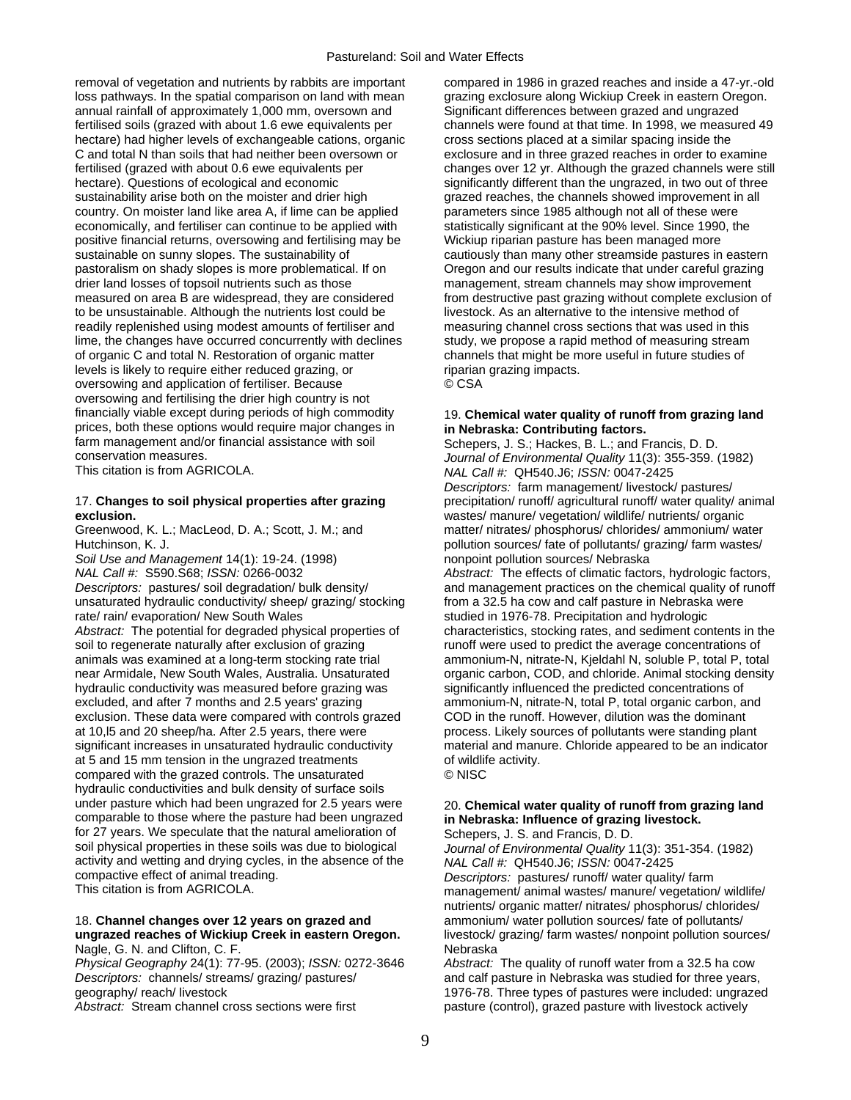removal of vegetation and nutrients by rabbits are important compared in 1986 in grazed reaches and inside a 47-yr.-old loss pathways. In the spatial comparison on land with mean grazing exclosure along Wickiup Creek in eastern Oregon. annual rainfall of approximately 1,000 mm, oversown and Significant differences between grazed and ungrazed hectare) had higher levels of exchangeable cations, organic cross sections placed at a similar spacing inside the C and total N than soils that had neither been oversown or exclosure and in three grazed reaches in order to examine hectare). Questions of ecological and economic significantly different than the ungrazed, in two out of three sustainability arise both on the moister and drier high grazed reaches, the channels showed improvement in all country. On moister land like area A, if lime can be applied parameters since 1985 although not all of these were economically, and fertiliser can continue to be applied with statistically significant at the 90% level. Since 1990, the positive financial returns, oversowing and fertilising may be Wickiup riparian pasture has been managed more sustainable on sunny slopes. The sustainability of exact cautiously than many other streamside pastures in eastern pastoralism on shady slopes is more problematical. If on Oregon and our results indicate that under careful grazing drier land losses of topsoil nutrients such as those management, stream channels may show improvement to be unsustainable. Although the nutrients lost could be readily replenished using modest amounts of fertiliser and measuring channel cross sections that was used in this lime, the changes have occurred concurrently with declines study, we propose a rapid method of measuring stream of organic C and total N. Restoration of organic matter channels that might be more useful in future studies of levels is likely to require either reduced grazing, or riparian grazing impacts. oversowing and application of fertiliser. Because © CSA oversowing and fertilising the drier high country is not financially viable except during periods of high commodity 19. **Chemical water quality of runoff from grazing land**  prices, both these options would require major changes in **in Nebraska: Contributing factors.**<br>
farm management and/or financial assistance with soil **Schepers J. S. Hackes B. L. and F** farm management and/or financial assistance with soil Schepers, J. S.; Hackes, B. L.; and Francis, D. D.<br>Conservation measures. J. Journal of Environmental Quality 11(3): 355-359

## **exclusion.** wastes/ manure/ vegetation/ wildlife/ nutrients/ organic

Soil Use and Management 14(1): 19-24. (1998) **nonpoint pollution sources/ Nebraska** *NAL Call #:* S590.S68; *ISSN:* 0266-0032 *Abstract:* The effects of climatic factors, hydrologic factors, unsaturated hydraulic conductivity/ sheep/ grazing/ stocking from a 32.5 ha cow and calf pasture in Nebraska were rate/ rain/ evaporation/ New South Wales studied in 1976-78. Precipitation and hydrologic *Abstract:* The potential for degraded physical properties of characteristics, stocking rates, and sediment contents in the soil to regenerate naturally after exclusion of grazing runoff were used to predict the average concentrations of animals was examined at a long-term stocking rate trial ammonium-N, nitrate-N, Kjeldahl N, soluble P, total P, total near Armidale, New South Wales, Australia. Unsaturated organic carbon, COD, and chloride. Animal stocking density<br>hydraulic conductivity was measured before grazing was significantly influenced the predicted concentrations hydraulic conductivity was measured before grazing was excluded, and after 7 months and 2.5 years' grazing ammonium-N, nitrate-N, total P, total organic carbon, and exclusion. These data were compared with controls grazed COD in the runoff. However, dilution was the dominant at 10,l5 and 20 sheep/ha. After 2.5 years, there were process. Likely sources of pollutants were standing plant significant increases in unsaturated hydraulic conductivity material and manure. Chloride appeared to be an indicator at 5 and 15 mm tension in the ungrazed treatments of wildlife activity. compared with the grazed controls. The unsaturated © NISC hydraulic conductivities and bulk density of surface soils under pasture which had been ungrazed for 2.5 years were 20. **Chemical water quality of runoff from grazing land**  comparable to those where the pasture had been ungrazed **in Nebraska: Influence of grazing livestock.**  for 27 years. We speculate that the natural amelioration of Schepers, J. S. and Francis, D. D. soil physical properties in these soils was due to biological *Journal of Frigmental Quality* 1 activity and wetting and drying cycles, in the absence of the compactive effect of animal treading. compactive effect of animal treading. *Descriptors:* pastures/ runoff/ water quality/ farm

## 18. **Channel changes over 12 years on grazed and** ammonium/ water pollution sources/ fate of pollutants/ Nagle, G. N. and Clifton, C. F. Nebraska

*Physical Geography* 24(1): 77-95. (2003); *ISSN:* 0272-3646 *Abstract:* The quality of runoff water from a 32.5 ha cow geography/ reach/ livestock 1976-78. Three types of pastures were included: ungrazed

fertilised soils (grazed with about 1.6 ewe equivalents per channels were found at that time. In 1998, we measured 49 fertilised (grazed with about 0.6 ewe equivalents per changes over 12 yr. Although the grazed channels were still measured on area B are widespread, they are considered from destructive past grazing without complete exclusion of<br>to be unsustainable. Although the nutrients lost could be fivestock. As an alternative to the intensive met

conservation measures. *Journal of Environmental Quality* 11(3): 355-359. (1982) This citation is from AGRICOLA. *NAL Call #:* QH540.J6; *ISSN:* 0047-2425 *Descriptors:* farm management/ livestock/ pastures/ 17. **Changes to soil physical properties after grazing** precipitation/ runoff/ agricultural runoff/ water quality/ animal Greenwood, K. L.; MacLeod, D. A.; Scott, J. M.; and matter/ nitrates/ phosphorus/ chlorides/ ammonium/ water Hutchinson, K. J. pollution sources/ fate of pollutants/ grazing/ farm wastes/ *Descriptors:* pastures/ soil degradation/ bulk density/ and management practices on the chemical quality of runoff

Journal of Environmental Quality 11(3): 351-354. (1982)<br>NAL Call #: QH540.J6; ISSN: 0047-2425 management/ animal wastes/ manure/ vegetation/ wildlife/ nutrients/ organic matter/ nitrates/ phosphorus/ chlorides/ **ungrazed reaches of Wickiup Creek in eastern Oregon.** livestock/ grazing/ farm wastes/ nonpoint pollution sources/

and calf pasture in Nebraska was studied for three years, Abstract: Stream channel cross sections were first pasture (control), grazed pasture with livestock actively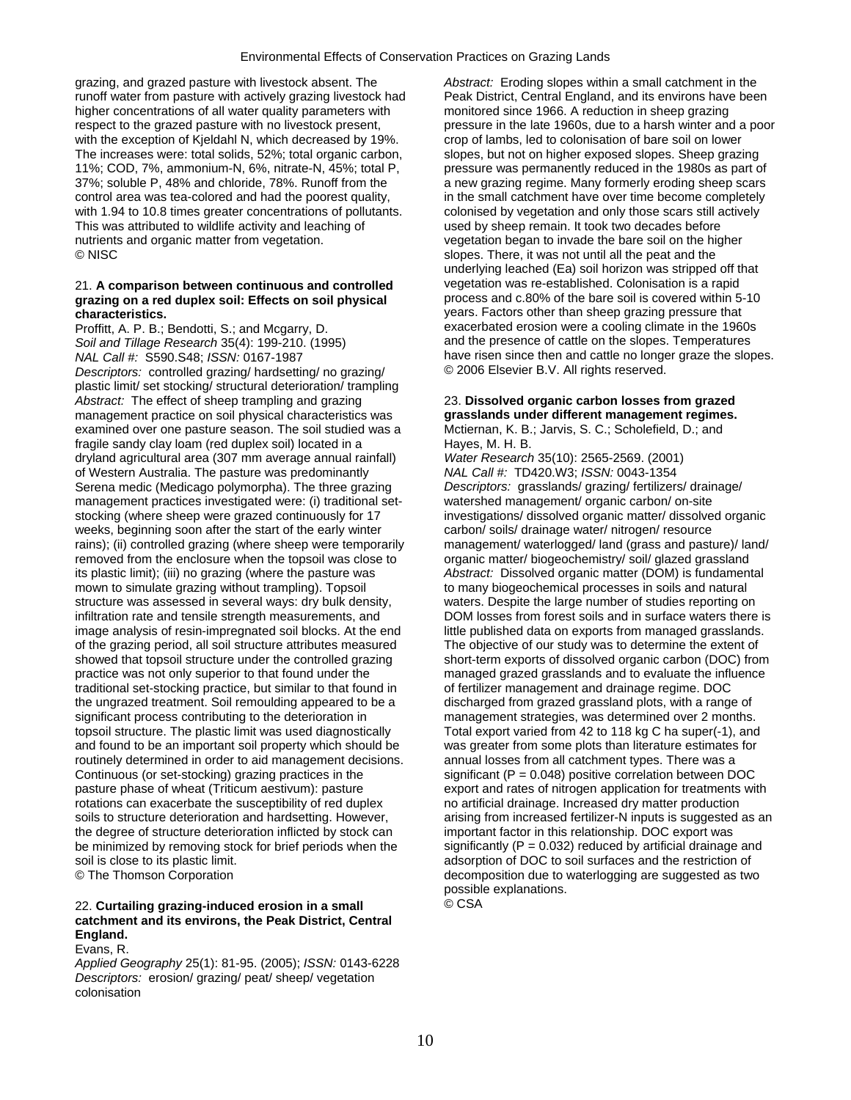grazing, and grazed pasture with livestock absent. The *Abstract:* Eroding slopes within a small catchment in the runoff water from pasture with actively grazing livestock had Peak District, Central England, and its environs have been<br>higher concentrations of all water quality parameters with monitored since 1966. A reduction in sheep higher concentrations of all water quality parameters with respect to the grazed pasture with no livestock present. pressure in the late 1960s, due to a harsh winter and a poor with the exception of Kjeldahl N, which decreased by 19%. crop of lambs, led to colonisation of bare soil on lower The increases were: total solids, 52%; total organic carbon, slopes, but not on higher exposed slopes. Sheep grazing 11%; COD, 7%, ammonium-N, 6%, nitrate-N, 45%; total P, pressure was permanently reduced in the 1980s as part of 37%; soluble P, 48% and chloride, 78%. Runoff from the a new grazing regime. Many formerly eroding sheep scars control area was tea-colored and had the poorest quality, in the small catchment have over time become completely with 1.94 to 10.8 times greater concentrations of pollutants. colonised by vegetation and only those scars still actively This was attributed to wildlife activity and leaching of used by sheep remain. It took two decades before nutrients and organic matter from vegetation. vegetation began to invade the bare soil on the higher © NISC slopes. There, it was not until all the peat and the

# grazing on a red duplex soil: Effects on soil physical

Proffitt, A. P. B.; Bendotti, S.; and Mcgarry, D. exacerbated erosion were a cooling climate in the 1960s<br>Soil and Tillage Research 35(4): 199-210 (1995) and the presence of cattle on the slopes. Temperatures *Soil and Tillage Research* 35(4): 199-210. (1995) *NAL Call #:* S590.S48; *ISSN:* 0167-1987 have risen since then and cattle no longer graze the slopes.<br>Descriptors: controlled grazing/ hardsetting/ no grazing/  $\degree$  2006 Elsevier B.V. All rights reserved. *Descriptors:* controlled grazing/ hardsetting/ no grazing/ plastic limit/ set stocking/ structural deterioration/ trampling *Abstract:* The effect of sheep trampling and grazing 23. **Dissolved organic carbon losses from grazed**  management practice on soil physical characteristics was **grasslands under different management regimes.**  examined over one pasture season. The soil studied was a Mctiernan, K. B.; Jarvis, S. C.; Scholefield, D.; and fragile sandy clay loam (red duplex soil) located in a Hayes, M. H. B. dryland agricultural area (307 mm average annual rainfall) *Water Research* 35(10): 2565-2569. (2001) of Western Australia. The pasture was predominantly *NAL Call #:* TD420.W3; *ISSN:* 0043-1354 Serena medic (Medicago polymorpha). The three grazing *Descriptors:* grasslands/ grazing/ fertilizers/ drainage/ management practices investigated were: (i) traditional set- watershed management/ organic carbon/ on-site stocking (where sheep were grazed continuously for 17 investigations/ dissolved organic matter/ dissolved organic weeks, beginning soon after the start of the early winter carbon/ soils/ drainage water/ nitrogen/ resource rains); (ii) controlled grazing (where sheep were temporarily management/ waterlogged/ land (grass and pasture)/ land/<br>removed from the enclosure when the topsoil was close to organic matter/ biogeochemistry/ soil/ glazed removed from the enclosure when the topsoil was close to its plastic limit); (iii) no grazing (where the pasture was *Abstract:* Dissolved organic matter (DOM) is fundamental structure was assessed in several ways: dry bulk density, waters. Despite the large number of studies reporting on infiltration rate and tensile strength measurements, and DOM losses from forest soils and in surface waters there is image analysis of resin-impregnated soil blocks. At the end little published data on exports from managed grasslands. of the grazing period, all soil structure attributes measured The objective of our study was to determine the extent of showed that topsoil structure under the controlled grazing short-term exports of dissolved organic carbon (DOC) from practice was not only superior to that found under the managed grazed grasslands and to evaluate the influence traditional set-stocking practice, but similar to that found in of fertilizer management and drainage regime. DOC the ungrazed treatment. Soil remoulding appeared to be a discharged from grazed grassland plots, with a range of significant process contributing to the deterioration in management strategies, was determined over 2 months. topsoil structure. The plastic limit was used diagnostically Total export varied from 42 to 118 kg C ha super(-1), and and found to be an important soil property which should be was greater from some plots than literature estimates for routinely determined in order to aid management decisions. annual losses from all catchment types. There was a Continuous (or set-stocking) grazing practices in the significant (P = 0.048) positive correlation between DOC pasture phase of wheat (Triticum aestivum): pasture export and rates of nitrogen application for treatments with rotations can exacerbate the susceptibility of red duplex no artificial drainage. Increased dry matter production soils to structure deterioration and hardsetting. However, arising from increased fertilizer-N inputs is suggested as an the degree of structure deterioration inflicted by stock can important factor in this relationship. DOC export was be minimized by removing stock for brief periods when the significantly  $(P = 0.032)$  reduced by artificial drainage and soil is close to its plastic limit. And is close to its plastic limit. And is close to its plastic limit.

## 22. **Curtailing grazing-induced erosion in a small** © CSA **catchment and its environs, the Peak District, Central England.**

Evans, R.

*Applied Geography* 25(1): 81-95. (2005); *ISSN:* 0143-6228 *Descriptors:* erosion/ grazing/ peat/ sheep/ vegetation colonisation

underlying leached (Ea) soil horizon was stripped off that 21. **A comparison between continuous and controlled** vegetation was re-established. Colonisation is a rapid **characteristics. characteristics. years. Factors other than sheep grazing pressure that**<br>Proffitt A P B · Bendotti S · and Mcgarry D exacerbated erosion were a cooling climate in the 1960s

to many biogeochemical processes in soils and natural management strategies, was determined over 2 months. © The Thomson Corporation due to waterlogging are suggested as two decomposition due to waterlogging are suggested as two possible explanations.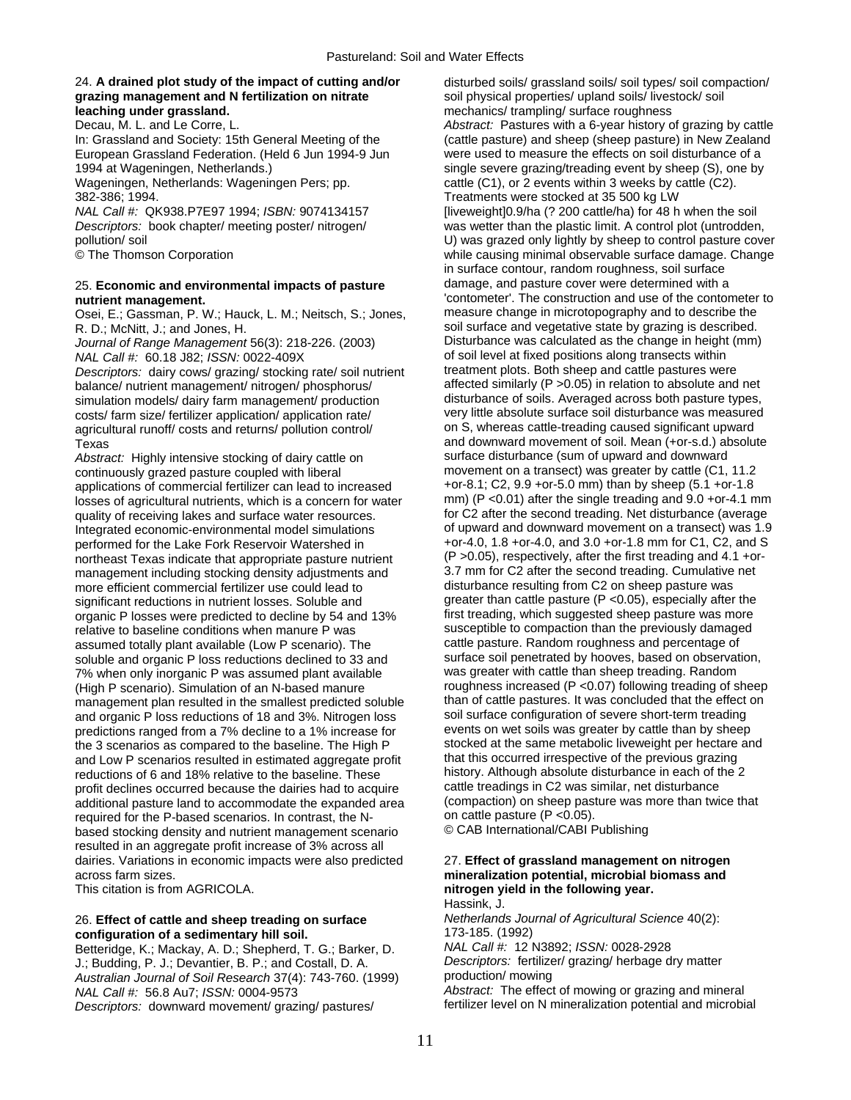## 24. **A drained plot study of the impact of cutting and/or** disturbed soils/ grassland soils/ soil types/ soil compaction/ **grazing management and N fertilization on nitrate** soil physical properties/ upland soils/ livestock/ soil **leaching under grassland. and in the case of the contract of the mechanics/ trampling/ surface roughness**

382-386; 1994. Treatments were stocked at 35 500 kg LW

Osei, E.; Gassman, P. W.; Hauck, L. M.; Neitsch, S.; Jones,

*Journal of Range Management* 56(3): 218-226. (2003) Disturbance was calculated as the change in height (*NAI* Call #: 60.18.182: ISSN: 0022-409X<br>Of soil level at fixed positions along transects within

*Descriptors:* dairy cows/ grazing/ stocking rate/ soil nutrient treatment plots. Both sheep and cattle pastures were<br>balance/ nutrient management/ nitrogen/ phosphorus/<br>affected similarly (P >0.05) in relation to absolute balance/ nutrient management/ nitrogen/ phosphorus/ simulation models/ dairy farm management/ production disturbance of soils. Averaged across both pasture types, costs/ farm size/ fertilizer application/ application rate/ very little absolute surface soil disturbance was measured<br>agricultural runoff/ costs and returns/ pollution control/ on S, whereas cattle-treading caused signifi agricultural runoff/ costs and returns/ pollution control/

*Abstract:* Highly intensive stocking of dairy cattle on continuously grazed pasture coupled with liberal movement on a transect) was greater by cattle (C1, 11.2<br>applications of commercial fertilizer can lead to increased +or-8.1; C2, 9.9 +or-5.0 mm) than by sheep (5.1 +or-1.8 losses of agricultural nutrients, which is a concern for water Integrated economic-environmental model simulations performed for the Lake Fork Reservoir Watershed in  $+$ or-4.0, 1.8 +or-4.0, and 3.0 +or-1.8 mm for C1, C2, and S<br>northeast Texas indicate that appropriate pasture nutrient (P >0.05), respectively, after the first treading a northeast Texas indicate that appropriate pasture nutrient (P > 0.05), respectively, after the first treading and 4.1 +or-<br>management including stocking density adjustments and 3.7 mm for C2 after the second treading. Cumu management including stocking density adjustments and 3.7 mm for C2 after the second treading. Cumulative<br>more efficient commercial fertilizer use could lead to disturbance resulting from C2 on sheep pasture was more efficient commercial fertilizer use could lead to disturbance resulting from C2 on sheep pasture was<br>significant reductions in nutrient losses. Soluble and greater than cattle pasture (P <0.05), especially after the significant reductions in nutrient losses. Soluble and greater than cattle pasture (P <0.05), especially after the<br>organic P losses were predicted to decline by 54 and 13% first treading, which suggested sheep pasture was organic P losses were predicted to decline by 54 and 13% relative to baseline conditions when manure P was susceptible to compaction than the previously damaged<br>assumed totally plant available (I ow P scenario). The cattle pasture. Random roughness and percentage of assumed totally plant available (Low P scenario). The cattle pasture. Random roughness and percentage of soluble and organic P loss reductions declined to 33 and surface soil penetrated by hooves, based on observation, soluble and organic P loss reductions declined to 33 and surface soil penetrated by hooves, based on observat<br>T% when only inorganic P was assumed plant available strakes areater with cattle than sheep treading. Random 7% when only inorganic P was assumed plant available was greater with cattle than sheep treading. Random<br>High P scenario), Simulation of an N-based manure roughness increased (P <0.07) following treading of sheep (High P scenario). Simulation of an N-based manure roughness increased (P <0.07) following treading of sheep<br>management plan resulted in the smallest predicted soluble than of cattle pastures. It was concluded that the eff management plan resulted in the smallest predicted soluble than of cattle pastures. It was concluded that the effect<br>and organic P loss reductions of 18 and 3% Nitrogen loss soil surface configuration of severe short-term and organic P loss reductions of 18 and 3%. Nitrogen loss soil surface configuration of severe short-term treading<br>predictions ranged from a 7% decline to a 1% increase for events on wet soils was greater by cattle than by predictions ranged from a 7% decline to a 1% increase for events on wet soils was greater by cattle than by sheep<br>the 3 scenarios as compared to the baseline. The High P stocked at the same metabolic liveweight per hectare the 3 scenarios as compared to the baseline. The High P stocked at the same metabolic liveweight per hectare<br>and Low P scenarios resulted in estimated aggregate profit that this occurred irrespective of the previous grazin and Low P scenarios resulted in estimated aggregate profit reductions of 6 and 18% relative to the baseline. These history. Although absolute disturbance in each of the 2<br>profit declines occurred because the dairies had to acquire cattle treadings in C2 was similar, net disturbanc profit declines occurred because the dairies had to acquire cattle treadings in C2 was similar, net disturbance<br>additional pasture land to accommodate the expanded area (compaction) on sheep pasture was more than twice tha additional pasture land to accommodate the expanded area (compaction) on sheep pas<br>required for the P-based scenarios. In contrast, the N-<br>on cattle pasture (P <0.05). required for the P-based scenarios. In contrast, the N- on cattle pasture (P <0.05).<br>based stocking density and nutrient management scenario © CAB International/CABI Publishing based stocking density and nutrient management scenario resulted in an aggregate profit increase of 3% across all dairies. Variations in economic impacts were also predicted 27. **Effect of grassland management on nitrogen**  across farm sizes. **mineralization potential, microbial biomass and** 

## 26. **Effect of cattle and sheep treading on surface** *Netherlands Journal of Agricultural Science* 40(2): **configuration of a sedimentary hill soil.** 173-185. (1992)

Betteridge, K.; Mackay, A. D.; Shepherd, T. G.; Barker, D. *NAL Call #:* 12 N3892; *ISSN:* 0028-2928 J.; Budding, P. J.; Devantier, B. P.; and Costall, D. A. *Descriptors:* fertilize<br>*Australian Journal of Soil Research* 37(4): 743-760, (1999) production/ mowing Australian Journal of Soil Research 37(4): 743-760. (1999) *NAL Call #:* 56.8 Au7; *ISSN:* 0004-9573 *Abstract:* The effect of mowing or grazing and mineral *Descriptors:* downward movement/ grazing/ pastures/

Decau, M. L. and Le Corre, L. *Abstract:* Pastures with a 6-year history of grazing by cattle In: Grassland and Society: 15th General Meeting of the (cattle pasture) and sheep (sheep pasture) in New Zealand European Grassland Federation. (Held 6 Jun 1994-9 Jun were used to measure the effects on soil disturbance of a 1994 at Wageningen, Netherlands.) single severe grazing/treading event by sheep (S), one by Wageningen, Netherlands: Wageningen Pers; pp. cattle (C1), or 2 events within 3 weeks by cattle (C2). *NAL Call #:* QK938.P7E97 1994; *ISBN:* 9074134157 [liveweight]0.9/ha (? 200 cattle/ha) for 48 h when the soil *Descriptors:* book chapter/ meeting poster/ nitrogen/ was wetter than the plastic limit. A control plot (untrodden, pollution/ soil U) was grazed only lightly by sheep to control pasture cover © The Thomson Corporation while causing minimal observable surface damage. Change in surface contour, random roughness, soil surface 25. **Economic and environmental impacts of pasture** damage, and pasture cover were determined with a **nutrient management.**<br>
Osei, F.: Gassman, P. W.: Hauck, I. M.: Neitsch, S.: Jones. **The assure change in microtopography and to describe the** R. D.; McNitt, J.; and Jones, H. Soil surface and vegetative state by grazing is described.<br>Cournal of Range Management 56(3): 218-226 (2003) Disturbance was calculated as the change in height (mm) *NAL Call #:* 60.18 J82; *ISSN:* 0022-409X of soil level at fixed positions along transects within<br>Descriptors: dairy cows/ grazing/ stocking rate/ soil nutrient treatment plots. Both sheep and cattle pastures were Texas<br>Abstract: Highly intensive stocking of dairy cattle on and downward movement of soil. Mean (+or-s.d.) absolute<br>Abstract: Highly intensive stocking of dairy cattle on surface disturbance (sum of upward and downward applications of commercial fertilizer can lead to increased  $+$ or-8.1; C2, 9.9 +or-5.0 mm) than by sheep (5.1 +or-1.8<br>losses of agricultural putrients, which is a concern for water mm) (P <0.01) after the single treading a quality of receiving lakes and surface water resources. for C2 after the second treading. Net disturbance (average<br>Integrated economic-environmental model simulations of upward and downward movement on a transect) was 1.9

## This citation is from AGRICOLA. **nitrogen yield in the following year.**  Hassink, J.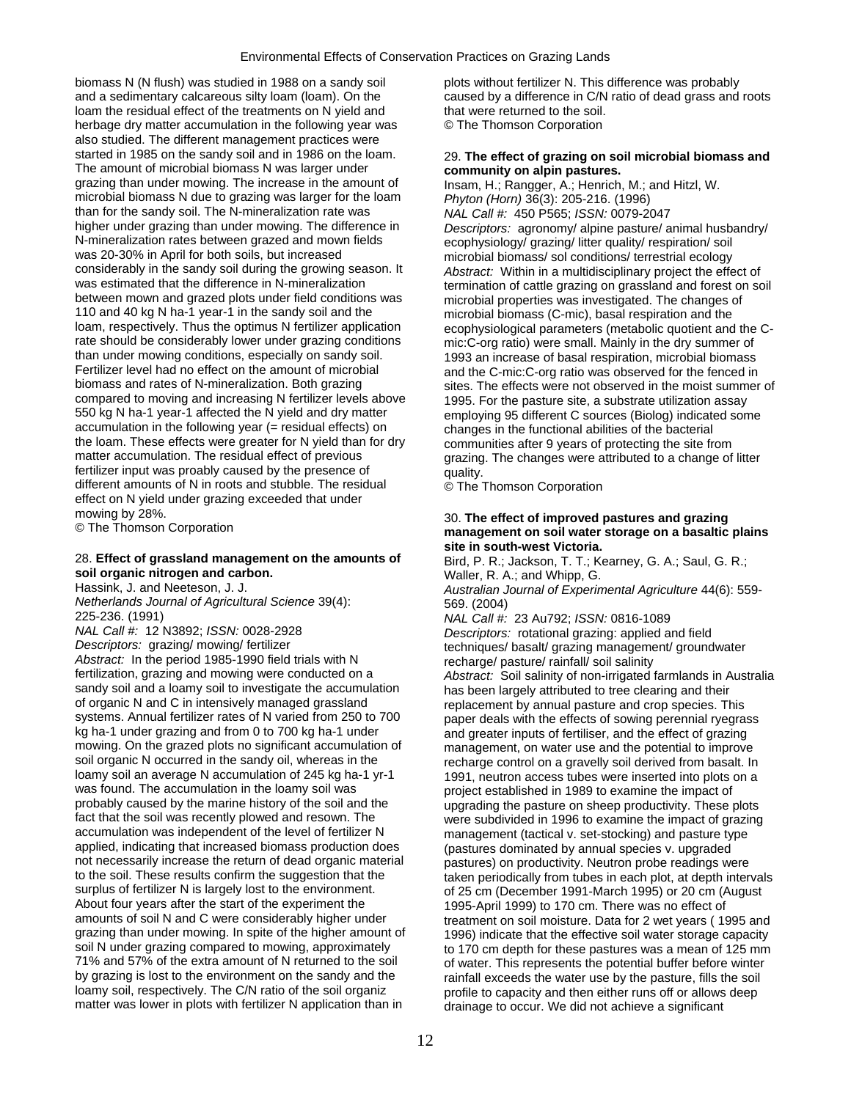biomass N (N flush) was studied in 1988 on a sandy soil plots without fertilizer N. This difference was probably and a sedimentary calcareous silty loam (loam). On the caused by a difference in C/N ratio of dead grass and roots loam the residual effect of the treatments on N yield and that were returned to the soil.<br>
herbage dry matter accumulation in the following year was C The Thomson Corporation herbage dry matter accumulation in the following year was also studied. The different management practices were started in 1985 on the sandy soil and in 1986 on the loam. 29. **The effect of grazing on soil microbial biomass and**  The amount of microbial biomass N was larger under **community on alpin pastures.**<br>
grazing than under mowing. The increase in the amount of **community on alpin pastures.** microbial biomass N due to grazing was larger for the loam than for the sandy soil. The N-mineralization rate was *NAL Call #:* 450 P565; *ISSN:* 0079-2047 higher under grazing than under mowing. The difference in *Descriptors:* agronomy/ alpine pasture/ animal husbandry/<br>N-mineralization rates between grazed and mown fields ecophysiology/ grazing/ litter quality/ respiration N-mineralization rates between grazed and mown fields ecophysiology/ grazing/ litter quality/ respiration/ soil<br>was 20-30% in April for both soils, but increased example in the microbial biomass/ sol conditions/ terrestria was 20-30% in April for both soils, but increased microbial biomass/ sol conditions/ terrestrial ecology<br>Considerably in the sandy soil during the growing season. It and abstract: Within in a multidisciplinary project the considerably in the sandy soil during the growing season. It *Abstract:* Within in a multidisciplinary project the effect of between mown and grazed plots under field conditions was microbial properties was investigated. The changes of<br>110 and 40 kg N ha-1 year-1 in the sandy soil and the microbial biomass (C-mic), basal respiration and the 110 and 40 kg N ha-1 year-1 in the sandy soil and the microbial biomass (C-mic), basal respiration and the loam<br>Ioam, respectively. Thus the optimus N fertilizer application enconposiological parameters (metabolic quotient loam, respectively. Thus the optimus N fertilizer application ecophysiological parameters (metabolic quotient and the C-<br>rate should be considerably lower under grazing conditions mic: C-org ratio) were small. Mainly in t rate should be considerably lower under grazing conditions mic:C-org ratio) were small. Mainly in the dry summer of<br>than under mowing conditions, especially on sandy soil. 1993 an increase of basal respiration, microbial b than under mowing conditions, especially on sandy soil. 1993 an increase of basal respiration, microbial biomass<br>Fertilizer level had no effect on the amount of microbial and the C-mic:C-org ratio was observed for the fenc Fertilizer level had no effect on the amount of microbial and the C-mic:C-org ratio was observed for the fenced in<br>biomass and rates of N-mineralization. Both grazing sites. The effects were not observed in the moist summe compared to moving and increasing N fertilizer levels above 1995. For the pasture site, a substrate utilization assay<br>1995. For the pasture site, a substrate utilization assay for the N yield and dry matter employing 95 di accumulation in the following year (= residual effects) on changes in the functional abilities of the bacterial the loam. These effects were greater for N yield than for dry communities after 9 years of protecting the site from<br>matter accumulation. The residual effect of previous arazing. The changes were attributed to a change of fertilizer input was proably caused by the presence of quality. different amounts of N in roots and stubble. The residual © The Thomson Corporation effect on N yield under grazing exceeded that under

## 28. **Effect of grassland management on the amounts of Bird, P. R.; Jackson, T. T.; Kearney, G. A.; Saul, G. R.; soil organic nitrogen and carbon. waller, R. A.; and Whipp, G. A.** Hassink, J. and Neeteson, J. J. **Musical Communisty Communisty Communisty** Communisty Communisty Communisty Communisty Communisty Communisty Communisty

*Netherlands Journal of Agricultural Science* 39(4): 569. (2004)<br>225-236. (1991) **1981** Call #

*NAL Call #:* 12 N3892; *ISSN:* 0028-2928 *Descriptors:* rotational grazing: applied and field Abstract: In the period 1985-1990 field trials with N recharge/ pasture/ rainfall/ soil salinity<br>fertilization, grazing and mowing were conducted on a *Abstract: Soil salinity of non-irrigated* sandy soil and a loamy soil to investigate the accumulation has been largely attributed to tree clearing and their<br>of organic N and C in intensively managed grassland replacement by annual pasture and crop species. The of organic N and C in intensively managed grassland replacement by annual pasture and crop species. This<br>systems. Annual fertilizer rates of N varied from 250 to 700 replacement by annual pasture and crop species. This systems. Annual fertilizer rates of N varied from 250 to 700 paper deals with the effects of sowing perennial ryegrass<br>kg ha-1 under grazing and from 0 to 700 kg ha-1 under and greater inputs of fertiliser, and the effect mowing. On the grazed plots no significant accumulation of management, on water use and the potential to improve<br>soil organic N occurred in the sandy oil, whereas in the recharge control on a gravelly soil derived from bas soil organic N occurred in the sandy oil, whereas in the recharge control on a gravelly soil derived from basalt. In<br>I amy soil an average N accumulation of 245 kg ha-1 yr-1 and the recharge control access tubes were inser loamy soil an average N accumulation of 245 kg ha-1 yr-1 1991, neutron access tubes were inserted into plots on a<br>was found. The accumulation in the loamy soil was<br>project established in 1989 to examine the impact of was found. The accumulation in the loamy soil was example or project established in 1989 to examine the impact of<br>probably caused by the marine history of the soil and the example indication the pasture on sheep productivi probably caused by the marine history of the soil and the upgrading the pasture on sheep productivity. These plots<br>fact that the soil was recently plowed and resown. The were subdivided in 1996 to examine the impact of gra fact that the soil was recently plowed and resown. The were subdivided in 1996 to examine the impact of grazing<br>accumulation was independent of the level of fertilizer N<br>management (tactical y, set-stocking) and pasture ty applied, indicating that increased biomass production does (pastures dominated by annual species v. upgraded not necessarily increase the return of dead organic material pastures) on productivity. Neutron probe readings we not necessarily increase the return of dead organic material pastures) on productivity. Neutron probe readings were<br>to the soil. These results confirm the suggestion that the taken periodically from tubes in each plot at d to the soil. These results confirm the suggestion that the taken periodically from tubes in each plot, at depth intervals<br>surplus of fertilizer N is largely lost to the environment. of 25 cm (December 1991-March 1995) or 2 About four years after the start of the experiment the 1995-April 1999) to 170 cm. There was no effect of amounts of soil N and C were considerably higher under treatment on soil moisture. Data for 2 wet years (19) grazing than under mowing. In spite of the higher amount of 1996) indicate that the effective soil water storage capacity<br>soil N under grazing compared to mowing, approximately to 170 cm depth for these pastures was a mean soil N under grazing compared to mowing, approximately extingled to 170 cm depth for these pastures was a mean of 125 mm<br>T1% and 57% of the extra amount of N returned to the soil exting the varier. This represents the pote 71% and 57% of the extra amount of N returned to the soil of water. This represents the potential buffer before winter<br>by grazing is lost to the environment on the sandy and the rainfall exceeds the water use by the pastur by grazing is lost to the environment on the sandy and the rainfall exceeds the water use by the pasture, fills the soil<br>loamy soil, respectively. The C/N ratio of the soil organiz loamy soil, respectively. The C/N ratio of the soil organiz experience profile to capacity and then either runs off or allows deep<br>matter was lower in plots with fertilizer N application than in experience to occur. We did

Insam, H.; Rangger, A.; Henrich, M.; and Hitzl, W.<br>Phyton (Horn) 36(3): 205-216. (1996) termination of cattle grazing on grassland and forest on soil sites. The effects were not observed in the moist summer of employing 95 different C sources (Biolog) indicated some grazing. The changes were attributed to a change of litter

## mowing by 28%.<br> **C** The Thomson Corporation **and a set of improved pastures and grazing in the Thomson Corporation <b>management on soil water storage on a basaltic plains management on soil water storage on a basaltic pla site in south-west Victoria.**

Australian Journal of Experimental Agriculture 44(6): 559-

225-236. (1991) *NAL Call #:* 23 Au792; *ISSN:* 0816-1089 *techniques/ basalt/ grazing management/ groundwater* Abstract: Soil salinity of non-irrigated farmlands in Australia and greater inputs of fertiliser, and the effect of grazing management (tactical v. set-stocking) and pasture type of 25 cm (December 1991-March 1995) or 20 cm (August treatment on soil moisture. Data for 2 wet years ( 1995 and drainage to occur. We did not achieve a significant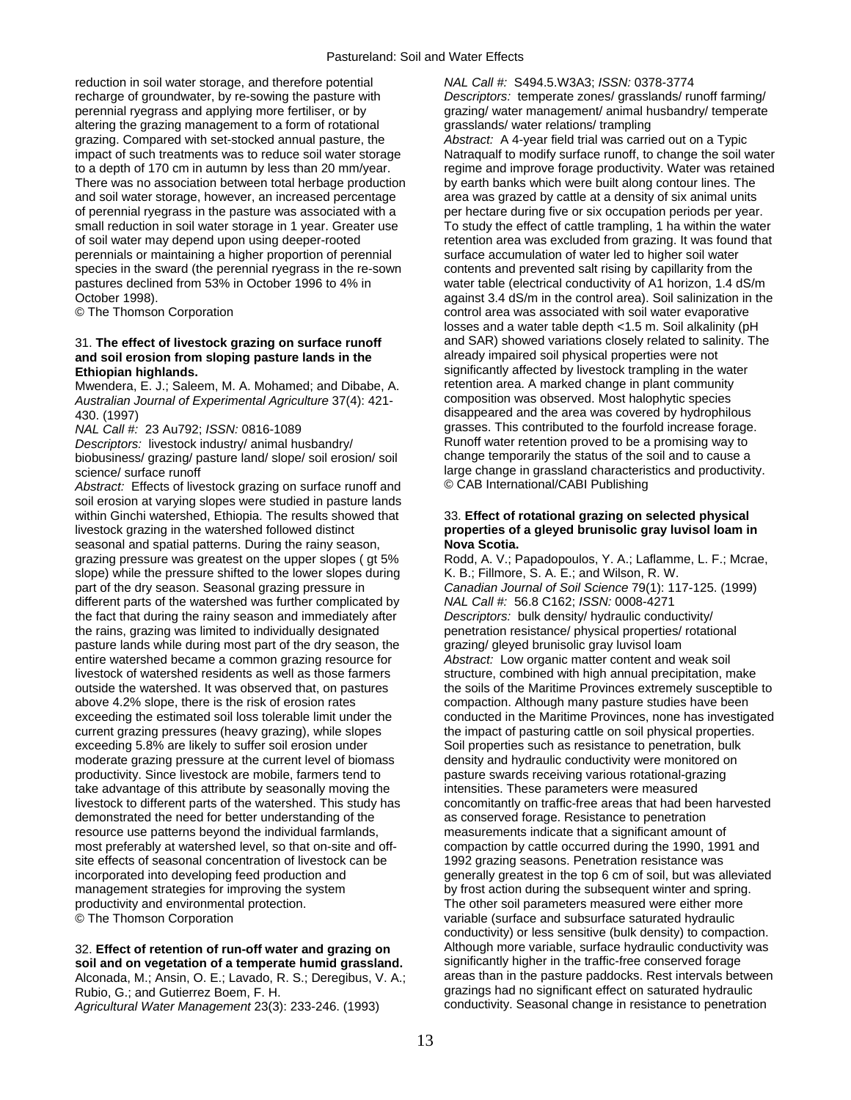reduction in soil water storage, and therefore potential *NAL Call #:* S494.5.W3A3; *ISSN:* 0378-3774 recharge of groundwater, by re-sowing the pasture with *Descriptors:* temperate zones/ grasslands/ runoff farming/ perennial ryegrass and applying more fertiliser, or by grazing/ water management/ animal husbandry/ temperate altering the grazing management to a form of rotational grasslands/ water relations/ trampling grazing. Compared with set-stocked annual pasture, the *Abstract:* A 4-year field trial was carried out on a Typic There was no association between total herbage production by earth banks which were built along contour lines. The and soil water storage, however, an increased percentage area was grazed by cattle at a density of six animal units of perennial ryegrass in the pasture was associated with a per hectare during five or six occupation periods per year. small reduction in soil water storage in 1 year. Greater use To study the effect of cattle trampling, 1 ha within the water of soil water may depend upon using deeper-rooted retention area was excluded from grazing. It was found that perennials or maintaining a higher proportion of perennial surface accumulation of water led to higher soil water species in the sward (the perennial ryegrass in the re-sown contents and prevented salt rising by capillarity from the pastures declined from 53% in October 1996 to 4% in water table (electrical conductivity of A1 horizon,

## and soil erosion from sloping pasture lands in the **Ethiopian highlands.**

Mwendera, E. J.; Saleem, M. A. Mohamed; and Dibabe, A. retention area. A marked change in plant community<br>Australian Journal of Experimental Agriculture 37(4): 421- composition was observed. Most halophytic species Australian Journal of Experimental Agriculture 37(4): 421-430. (1997) disappeared and the area was covered by hydrophilous

*Descriptors:* livestock industry/ animal husbandry/ **Runoff water retention proved to be a promising way to** his business/ grazing/ pasture land/ slope/ soil erosion/ soil **change temporarily the status of the soil and to** biobusiness/ grazing/ pasture land/ slope/ soil erosion/ soil

*Abstract:* Effects of livestock grazing on surface runoff and soil erosion at varying slopes were studied in pasture lands within Ginchi watershed, Ethiopia. The results showed that 33. **Effect of rotational grazing on selected physical**  livestock grazing in the watershed followed distinct **properties of a gleyed brunisolic gray luvisol loam in**  seasonal and spatial patterns. During the rainy season, grazing pressure was greatest on the upper slopes (gt 5% slope) while the pressure shifted to the lower slopes during K. B.; Fillmore, S. A. E.; and Wilson, R. W. part of the dry season. Seasonal grazing pressure in *Canadian Journal of Soil Science* 79(1): 117-125. (1999) different parts of the watershed was further complicated by *NAL Call #:* 56.8 C162; *ISSN:* 0008-4271 the fact that during the rainy season and immediately after *Descriptors:* bulk density/ hydraulic conductivity/ the rains, grazing was limited to individually designated penetration resistance/ physical properties/ rotational pasture lands while during most part of the dry season, the grazing/ gleyed brunisolic gray luvisol loam entire watershed became a common grazing resource for *Abstract:* Low organic matter content and weak soil livestock of watershed residents as well as those farmers structure, combined with high annual precipitation, make outside the watershed. It was observed that, on pastures the soils of the Maritime Provinces extremely susceptible to above 4.2% slope, there is the risk of erosion rates compaction. Although many pasture studies have been current grazing pressures (heavy grazing), while slopes the impact of pasturing cattle on soil physical properties. exceeding 5.8% are likely to suffer soil erosion under Soil properties such as resistance to penetration, bulk moderate grazing pressure at the current level of biomass density and hydraulic conductivity were monitored on productivity. Since livestock are mobile, farmers tend to pasture swards receiving various rotational-grazing take advantage of this attribute by seasonally moving the intensities. These parameters were measured livestock to different parts of the watershed. This study has concomitantly on traffic-free areas that had been harvested demonstrated the need for better understanding of the as conserved forage. Resistance to penetration resource use patterns beyond the individual farmlands, measurements indicate that a significant amount of most preferably at watershed level, so that on-site and off- compaction by cattle occurred during the 1990, 1991 and site effects of seasonal concentration of livestock can be 1992 grazing seasons. Penetration resistance was incorporated into developing feed production and generally greatest in the top 6 cm of soil, but was alleviated management strategies for improving the system by frost action during the subsequent winter and spring. productivity and environmental protection. The other soil parameters measured were either more

32. **Effect of retention of run-off water and grazing on** Although more variable, surface hydraulic conductivity<br> **Soil and on vegetation of a temperate humid grassland**. Significantly higher in the traffic-free conserved **soil and on vegetation of a temperate humid grassland.** Significantly higher in the traffic-free conserved forage<br>Alconada M: Ansin O. F.: Lavado R. S.: Deregibus V. A. areas than in the pasture paddocks. Rest intervals b Alconada, M.; Ansin, O. E.; Lavado, R. S.; Deregibus, V. A.; Rubio, G.; and Gutierrez Boem, F. H. Grazings had no significant effect on saturated hydraulic<br>Agricultural Water Management 23(3): 233-246 (1993) conductivity. Seasonal change in resistance to penetration *Agricultural Water Management* 23(3): 233-246. (1993)

impact of such treatments was to reduce soil water storage Natraqualf to modify surface runoff, to change the soil water to a depth of 170 cm in autumn by less than 20 mm/year. regime and improve forage productivity. Water was retained water table (electrical conductivity of A1 horizon, 1.4 dS/m October 1998).<br>
© The Thomson Corporation **and the control area** associated with soil vater evaporative control area was associated with soil water evaporative control area was associated with soil water evaporative losses and a water table depth <1.5 m. Soil alkalinity (pH 31. **The effect of livestock grazing on surface runoff** and SAR) showed variations closely related to salinity. The **Ethiopian highlands.** significantly affected by livestock trampling in the water *NAL Call #:* 23 Au792; *ISSN:* 0816-1089 grasses. This contributed to the fourfold increase forage.<br>Descriptors: livestock industry/ animal husbandry/ Runoff water retention proved to be a promising way to science/ surface runoff<br>Abstract: Effects of livestock grazing on surface runoff and CCAB International/CABI Publishing

Rodd, A. V.; Papadopoulos, Y. A.; Laflamme, L. F.; Mcrae, exceeding the estimated soil loss tolerable limit under the conducted in the Maritime Provinces, none has investigated variable (surface and subsurface saturated hydraulic conductivity) or less sensitive (bulk density) to compaction.<br>Although more variable, surface hydraulic conductivity was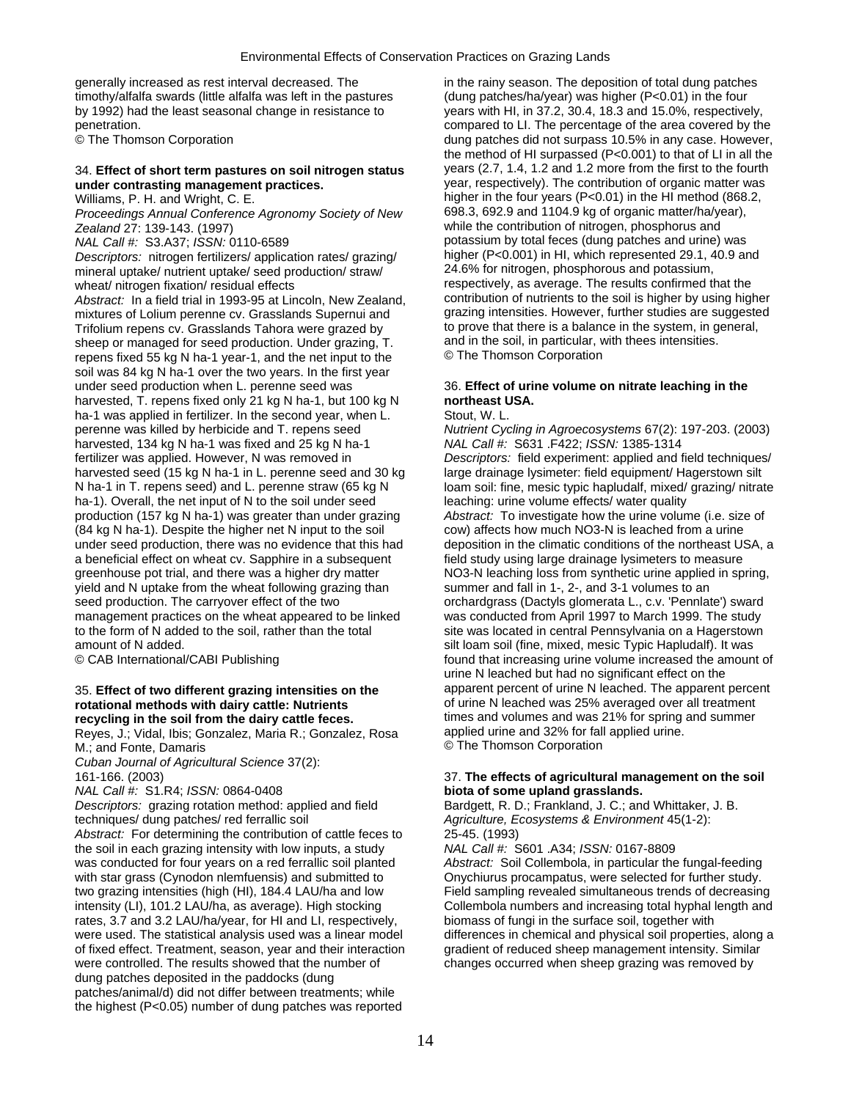generally increased as rest interval decreased. The in the rainy season. The deposition of total dung patches timothy/alfalfa swards (little alfalfa was left in the pastures (dung patches/ha/year) was higher (P<0.01) in the four by 1992) had the least seasonal change in resistance to years with HI, in 37.2, 30.4, 18.3 and 15.0%, respectively,

*Proceedings Annual Conference Agronomy Society of New Zealand 27: 139-143. (1997)* 

*Descriptors:* nitrogen fertilizers/ application rates/ grazing/ higher (P<0.001) in HI, which represented 29.1, 40.9 and mineral uptake/ nutrient uptake/ seed production/ straw/ wheat/ nitrogen fixation/ residual effects<br>Abstract: In a field trial in 1993-95 at Lincoln New Zealand contribution of nutrients to the soil is higher by using higher *Abstract:* In a field trial in 1993-95 at Lincoln, New Zealand, contribution of nutrients to the soil is higher by using higher mixtures of Lolium perenne cv. Grasslands Supernui and grazing intensities. However, further studies are suggeste<br>Trifolium repens cy. Grasslands Tabora were grazed by the prove that there is a balance in the system, in ge Trifolium repens cv. Grasslands Tahora were grazed by to prove that there is a balance in the system, in g<br>sheep or managed for seed production, Under grazing T and in the soil, in particular, with thees intensities. sheep or managed for seed production. Under grazing, T. and in the soil, in particular, viewers fixed 55 kg N ha-1 year-1 and the net input to the  $\degree$  The Thomson Corporation repens fixed 55 kg N ha-1 year-1, and the net input to the soil was 84 kg N ha-1 over the two years. In the first year under seed production when L. perenne seed was 36. **Effect of urine volume on nitrate leaching in the**  harvested, T. repens fixed only 21 kg N ha-1, but 100 kg N **northeast USA.** ha-1 was applied in fertilizer. In the second year, when L. Stout, W. L. perenne was killed by herbicide and T. repens seed *Nutrient Cycling in Agroecosystems* 67(2): 197-203. (2003) harvested, 134 kg N ha-1 was fixed and 25 kg N ha-1 *NAL Call #:* S631 .F422; *ISSN:* 1385-1314 fertilizer was applied. However, N was removed in *Descriptors:* field experiment: applied and field techniques/ harvested seed (15 kg N ha-1 in L. perenne seed and 30 kg large drainage lysimeter: field equipment/ Hagerstown silt N ha-1 in T. repens seed) and L. perenne straw (65 kg N loam soil: fine, mesic typic hapludalf, mixed/ grazing/ nitrate ha-1). Overall, the net input of N to the soil under seed leaching: urine volume effects/ water quality production (157 kg N ha-1) was greater than under grazing *Abstract:* To investigate how the urine volume (i.e. size of (84 kg N ha-1). Despite the higher net N input to the soil cow) affects how much NO3-N is leached from a urine under seed production, there was no evidence that this had deposition in the climatic conditions of the northeast USA, a a beneficial effect on wheat cv. Sapphire in a subsequent field study using large drainage lysimeters a beneficial effect on wheat cv. Sapphire in a subsequent greenhouse pot trial, and there was a higher dry matter NO3-N leaching loss from synthetic urine applied in spring, yield and N uptake from the wheat following grazing than summer and fall in 1-, 2-, and 3-1 volumes to an seed production. The carryover effect of the two orchardgrass (Dactyls glomerata L., c.v. 'Pennlate') sward management practices on the wheat appeared to be linked was conducted from April 1997 to March 1999. The study to the form of N added to the soil, rather than the total site was located in central Pennsylvania on a Hagerstown amount of N added. silt loam soil (fine, mixed, mesic Typic Hapludalf). It was

Reyes, J.; Vidal, Ibis; Gonzalez, Maria R.; Gonzalez, Rosa M.; and Fonte, Damaris © The Thomson Corporation

*Cuban Journal of Agricultural Science* 37(2):

*NAL Call #:* S1.R4; *ISSN:* 0864-0408 **biota of some upland grasslands.**  *Descriptors:* grazing rotation method: applied and field Bardgett, R. D.; Frankland, J. C.; and Whittaker, J. B. techniques/ dung patches/ red ferrallic soil *Agriculture, Ecosystems & Environment* 45(1-2): *Abstract:* For determining the contribution of cattle feces to <br>the soil in each grazing intensity with low inputs, a study MAL Call #: S601 .A34; ISSN: 0167-8809 the soil in each grazing intensity with low inputs, a study *NAL Call #:* S601 .A34; *ISSN:* 0167-8809 was conducted for four years on a red ferrallic soil planted *Abstract:* Soil Collembola, in particular the fungal-feed was conducted for four years on a red ferrallic soil planted with star grass (Cynodon nlemfuensis) and submitted to Chychiurus procampatus, were selected for further study. two grazing intensities (high (HI), 184.4 LAU/ha and low Field sampling revealed simultaneous trends of decreasing rates, 3.7 and 3.2 LAU/ha/year, for HI and LI, respectively, biomass of fungi in the surface soil, together with of fixed effect. Treatment, season, year and their interaction gradient of reduced sheep management intensity. Similar were controlled. The results showed that the number of changes occurred when sheep grazing was removed by dung patches deposited in the paddocks (dung patches/animal/d) did not differ between treatments; while the highest (P<0.05) number of dung patches was reported

penetration. compared to LI. The percentage of the area covered by the © The Thomson Corporation dung patches did not surpass 10.5% in any case. However, the method of HI surpassed (P<0.001) to that of LI in all the 34. **Effect of short term pastures on soil nitrogen status** years (2.7, 1.4, 1.2 and 1.2 more from the first to the fourth year, respectively). The contribution of organic matter was Williams, P. H. and Wright, C. E. higher in the four years (P<0.01) in the HI method (868.2,<br>Proceedings Annual Conference Agronomy Society of New 698.3, 692.9 and 1104.9 kg of organic matter/ha/year), while the contribution of nitrogen, phosphorus and *NAL Call #:* S3.A37; *ISSN:* 0110-6589 potassium by total feces (dung patches and urine) was<br>Descriptors: nitrogen fertilizers/ application rates/ grazing/ higher (P<0.001) in HI, which represented 29.1, 40.9 and

© CAB International/CABI Publishing found that increasing urine volume increased the amount of urine N leached but had no significant effect on the 35. **Effect of two different grazing intensities on the** apparent percent of urine N leached. The apparent percent **rotational methods with dairy cattle: Nutrients** of urine N leached was 25% averaged over all treatment recycling in the soil from the dairy cattle feces. **recycling in the soil from the dairy cattle feces. times and volumes and was 21% for spring**<br>Reves J. Vidal This: Gonzalez Maria R. Gonzalez Rosa applied urine and 32% for fall applied urine.

## 161-166. (2003) 37. **The effects of agricultural management on the soil**

intensity (LI), 101.2 LAU/ha, as average). High stocking Collembola numbers and increasing total hyphal length and were used. The statistical analysis used was a linear model differences in chemical and physical soil properties, along a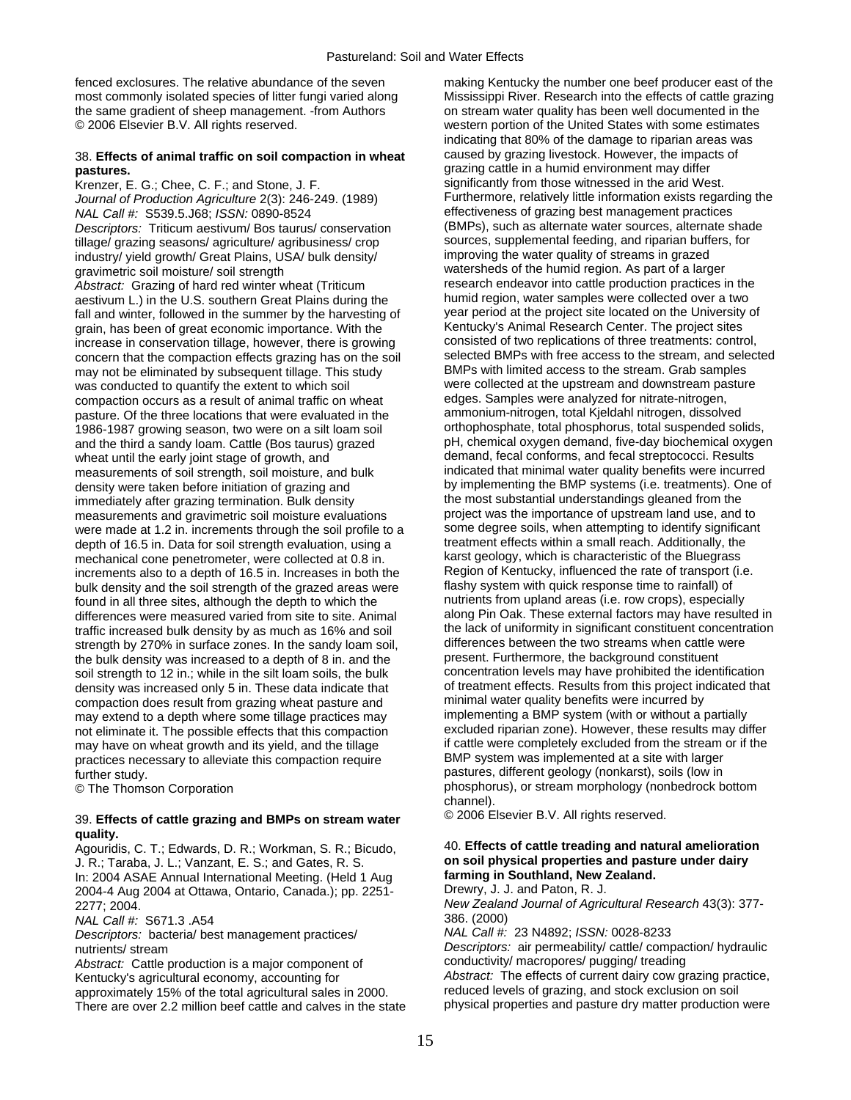fenced exclosures. The relative abundance of the seven making Kentucky the number one beef producer east of the the same gradient of sheep management. -from Authors on stream water quality has been well documented in the<br>
© 2006 Elsevier B.V. All rights reserved. externed in the western portion of the United States with some estimat

## 38. **Effects of animal traffic on soil compaction in wheat** caused by grazing livestock. However, the impacts of **pastures. pastures pastures pastures pastures pastures grazing cattle in a humid environment may differ**

*Journal of Production Agriculture* 2(3): 246-249. (1989) *NAL Call #:* S539.5.J68; *ISSN:* 0890-8524 effectiveness of grazing best management practices *Descriptors:* Triticum aestivum/ Bos taurus/ conservation (BMPs), such as alternate water sources, alternate shad<br>tillage/ grazing seasons/ agriculture/ agribusiness/ crop sources, supplemental feeding, and riparian buffe tillage/ grazing seasons/ agriculture/ agribusiness/ crop sources, supplemental feeding, and riparian buff<br>industry/ vield growth/ Great Plains, USA/ bulk density/ improving the water quality of streams in grazed industry/ yield growth/ Great Plains, USA/ bulk density/ gravimetric soil moisture/ soil strength *Abstract:* Grazing of hard red winter wheat (Triticum research endeavor into cattle production practices in the <br>aestivum L) in the LLS southern Great Plains during the humid region, water samples were collected over a tw aestivum L.) in the U.S. southern Great Plains during the humid region, water samples were collected over a two<br>fall and winter, followed in the summer by the harvesting of year period at the project site located on the Un fall and winter, followed in the summer by the harvesting of year period at the project site located on the University orain has been of great economic importance With the Kentucky's Animal Research Center. The project sit grain, has been of great economic importance. With the Kentucky's Animal Research Center. The project sites<br>increase in conservation tillage, however, there is growing consisted of two replications of three treatments: con concern that the compaction effects grazing has on the soil selected BMPs with free access to the stream, and sele<br>BMPs with limited access to the stream, Grab samples may not be eliminated by subsequent tillage. This study was conducted to quantify the extent to which soil were collected at the upstream and downstream pasture<br>compaction occurs as a result of animal traffic on wheat edges. Samples were analyzed for nitrate-nitrogen, compaction occurs as a result of animal traffic on wheat edges. Samples were analyzed for nitrate-nitrogen,<br>
pasture, Of the three locations that were evaluated in the ammonium-nitrogen, total Kjeldahl nitrogen, dissolved pasture. Of the three locations that were evaluated in the ammonium-nitrogen, total Kjeldahl nitrogen, dissolved<br>1986-1987 growing season, two were on a silt loam soil orthophosphate, total phosphorus, total suspended soli and the third a sandy loam. Cattle (Bos taurus) grazed wheat until the early joint stage of growth, and  $\overrightarrow{a}$  demand, fecal conforms, and fecal streptococci. Results<br>measurements of soil strength, soil moisture, and bulk indicated that minimal water quality benefits were in measurements of soil strength, soil moisture, and bulk immediately after grazing termination. Bulk density the most substantial understandings gleaned from the<br>measurements and gravimetric soil moisture evaluations project was the importance of upstream land use, and to measurements and gravimetric soil moisture evaluations project was the importance of upstream land use, and to<br>were made at 1.2 in, increments through the soil profile to a some degree soils, when attempting to identify si were made at 1.2 in. increments through the soil profile to a some degree soils, when attempting to identify significa<br>depth of 16.5 in. Data for soil strength evaluation, using a treatment effects within a small reach. Ad depth of 16.5 in. Data for soil strength evaluation, using a treatment effects within a small reach. Additionally, the<br>mechanical cone penetrometer, were collected at 0.8 in. <br>karst geology, which is characteristic of the mechanical cone penetrometer, were collected at 0.8 in. karst geology, which is characteristic of the Bluegrass<br>increments also to a depth of 16.5 in Jncreases in both the Region of Kentucky, influenced the rate of transpo increments also to a depth of 16.5 in. Increases in both the Region of Kentucky, influenced the rate of transport (i.e. increases in both the  $\frac{1}{2}$  Region of Kentucky, influenced the rate of transport (i.e. i.e.) of bulk density and the soil strength of the grazed areas were flashy system with quick response time to rainfall) of<br>found in all three sites, although the depth to which the nutrients from upland areas (i.e. row crops), esp found in all three sites, although the depth to which the traffic increased bulk density by as much as 16% and soil the lack of uniformity in significant constituent concentr<br>strength by 270% in surface zones. In the sandy loam soil differences between the two streams when cattle strength by 270% in surface zones. In the sandy loam soil, differences between the two streams when cattle were<br>the bulk density was increased to a depth of 8 in and the present. Furthermore, the background constituent the bulk density was increased to a depth of 8 in. and the density was increased only 5 in. These data indicate that of treatment effects. Results from this project in<br>compaction does result from grazing wheat pasture and only minimal water quality benefits were incurred by compaction does result from grazing wheat pasture and minimal water quality benefits were incurred by<br>may extend to a depth where some tillage practices may simplementing a BMP system (with or without a partially may extend to a depth where some tillage practices may implementing a BMP system (with or without a partially<br>not eliminate it. The possible effects that this compaction excluded riparian zone). However, these results may not eliminate it. The possible effects that this compaction excluded riparian zone). However, these results may differ<br>may have on wheat growth and its vield, and the tillage if cattle were completely excluded from the str may have on wheat growth and its yield, and the tillage if cattle were completely excluded from the stream or if cattle were completely excluded from the stream or incrition the stream or incrition require  $\overline{B}$  BMP sys practices necessary to alleviate this compaction require further study. pastures, different geology (nonkarst), soils (low in

## © 2006 Elsevier B.V. All rights reserved. 39. **Effects of cattle grazing and BMPs on stream water quality.**

J. R.; Taraba, J. L.; Vanzant, E. S.; and Gates, R. S. **on soil physical properties and past** <br>Jn: 2004 ASAE Annual International Meeting (Held 1 Aug **farming in Southland, New Zealand.** In: 2004 ASAE Annual International Meeting. (Held 1 Aug **farming in Southland, New J**<br>2004-4 Aug 2004 at Ottawa, Ontario, Canada ): pp. 2251- Drewry, J. J. and Paton, R. J. 2004-4 Aug 2004 at Ottawa, Ontario, Canada.); pp. 2251-

*Descriptors: bacteria/ best management practices/* 

*Abstract:* Cattle production is a major component of Kentucky's agricultural economy, accounting for *Abstract:* The effects of current dairy cow grazing practice, approximately 15% of the total agricultural sales in 2000. <sup>reduced</sup> levels of grazing, and stock exclusion on soil<br>There are over 2.2 million beef cattle and calves in the state physical properties and pasture dry matter There are over 2.2 million beef cattle and calves in the state

most commonly isolated species of litter fungi varied along Mississippi River. Research into the effects of cattle grazing western portion of the United States with some estimates indicating that 80% of the damage to riparian areas was Krenzer, E. G.; Chee, C. F.; and Stone, J. F. significantly from those witnessed in the arid West.<br> *Journal of Production Agriculture* 2(3): 246-249. (1989) Furthermore, relatively little information exists regarding the watersheds of the humid region. As part of a larger increase in conservation tillage, however, there is growing consisted of two replications of three treatments: control,<br>concern that the compaction effects grazing has on the soil selected BMPs with free access to the stre 1986-1987 growing season, two were on a silt loam soil orthophosphate, total phosphorus, total suspended solids,<br>and the third a sandy loam Cattle (Bos taurus) grazed pH, chemical oxygen demand, five-day biochemical oxygen density were taken before initiation of grazing and by implementing the BMP systems (i.e. treatments). One of immediately after grazing termination Bulk density the most substantial understandings gleaned from the differences were measured varied from site to site. Animal along Pin Oak. These external factors may have resulted in<br>traffic increased bulk density by as much as 16% and soil the lack of uniformity in significant constitu soil strength to 12 in.; while in the silt loam soils, the bulk concentration levels may have prohibited the identification<br>density was increased only 5 in These data indicate that of treatment effects. Results from this p © The Thomson Corporation phosphorus), or stream morphology (nonbedrock bottom channel).<br>© 2006 Elsevier B.V. All rights reserved.

# Agouridis, C. T.; Edwards, D. R.; Workman, S. R.; Bicudo, 40. **Effects of cattle treading and natural amelioration**

2277; 2004. *New Zealand Journal of Agricultural Research* 43(3): 377- *NAL Call #:* S671.3 .A54 386. (2000)<br>Descriptors: bacteria/ best management practices/ **386.** (2000)<br>MAL Call #: 23 N4892; ISSN: 0028-8233 nutrients/ stream<br> *Descriptors:* air permeability/ cattle/ compaction/ hydraulic<br> *Abstract:* Cattle production is a major component of conductivity/ macropores/ pugging/ treading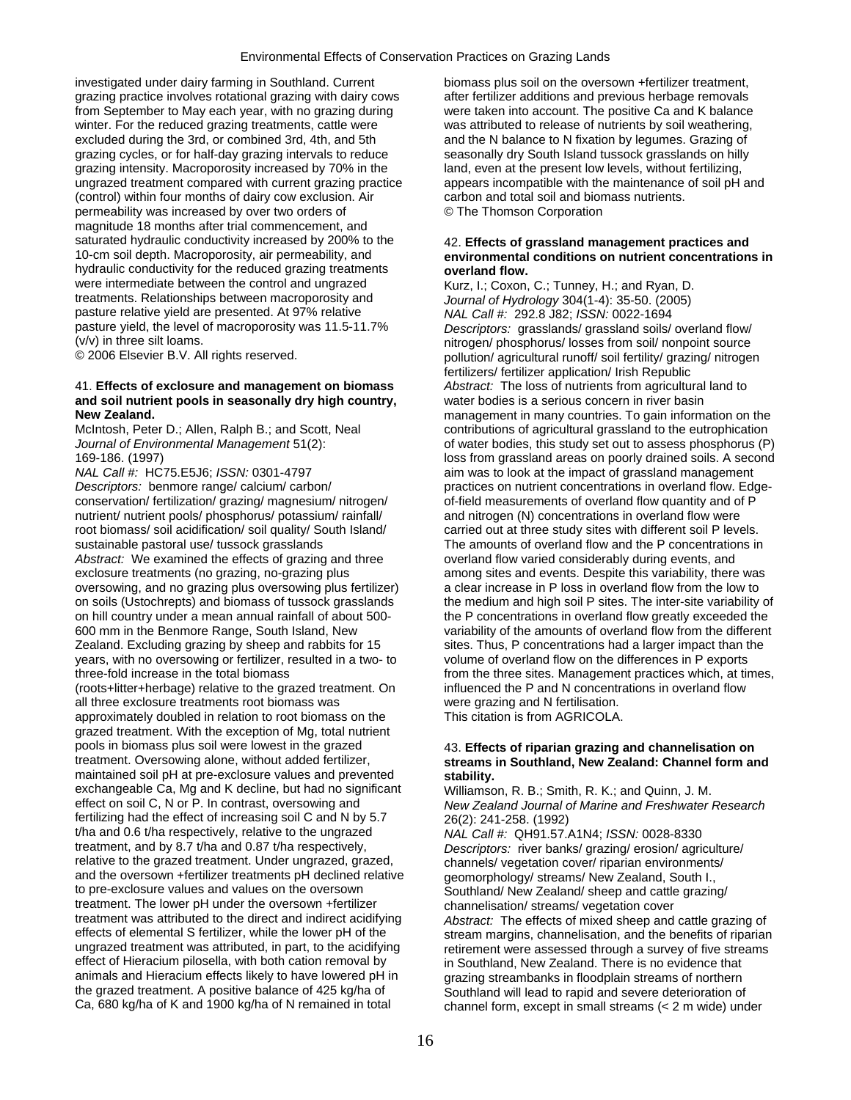investigated under dairy farming in Southland. Current biomass plus soil on the oversown +fertilizer treatment, grazing practice involves rotational grazing with dairy cows after fertilizer additions and previous herbage removals from September to May each year, with no grazing during were taken into account. The positive Ca and K balance winter. For the reduced grazing treatments, cattle were was attributed to release of nutrients by soil weathering, excluded during the 3rd, or combined 3rd, 4th, and 5th and the N balance to N fixation by legumes. Grazing of grazing cycles, or for half-day grazing intervals to reduce seasonally dry South Island tussock grasslands on hilly grazing intensity. Macroporosity increased by 70% in the land, even at the present low levels, without fertilizing, ungrazed treatment compared with current grazing practice appears incompatible with the maintenance of soil pH and (control) within four months of dairy cow exclusion. Air carbon and total soil and biomass nutrients. permeability was increased by over two orders of © The Thomson Corporation magnitude 18 months after trial commencement, and saturated hydraulic conductivity increased by 200% to the 42. **Effects of grassland management practices and** 40-cm soil depth. Macroporosity, air permeability, and **and annonical conditions on nutrient concentration** hydraulic conductivity for the reduced grazing treatments **overland flow.**  were intermediate between the control and ungrazed Kurz, I.; Coxon, C.; Tunney, H.; and Ryan, D. treatments. Relationships between macroporosity and *Journal of Hydrology* 304(1-4): 35-50. (2005) pasture relative yield are presented. At 97% relative *NAL Call #:* <sup>2</sup>92.8 J82; *ISSN:* 0022-1694<br>pasture yield, the level of macroporosity was 11.5-11.7% *Descriptors: grasslands/ grassland soils/* pasture yield, the level of macroporosity was 11.5-11.7% *Descriptors:* grasslands/ grassland soils/ overland flow/

## 41. **Effects of exclosure and management on biomass** *Abstract:* The loss of nutrients from agricultural land to **and soil nutrient pools in seasonally dry high country,** water bodies is a serious concern in river basin

conservation/ fertilization/ grazing/ magnesium/ nitrogen/ of-field measurements of overland flow quantity and of P nutrient/ nutrient pools/ phosphorus/ potassium/ rainfall/ and nitrogen (N) concentrations in overland flow were root biomass/ soil acidification/ soil quality/ South Island/ carried out at three study sites with different soil P levels. sustainable pastoral use/ tussock grasslands The amounts of overland flow and the P concentrations in Abstract: We examined the effects of grazing and three overland flow varied considerably during events, and exclosure treatments (no grazing, no-grazing plus exection of among sites and events. Despite this variability, there was<br>oversowing, and no grazing plus oversowing plus fertilizer) a clear increase in P loss in overland f oversowing, and no grazing plus oversowing plus fertilizer) on soils (Ustochrepts) and biomass of tussock grasslands on hill country under a mean annual rainfall of about 500- the P concentrations in overland flow greatly exceeded the 600 mm in the Benmore Range, South Island, New variability of the amounts of overland flow from the different Zealand. Excluding grazing by sheep and rabbits for 15 sites. Thus, P concentrations had a larger impact than the years, with no oversowing or fertilizer, resulted in a two- to volume of overland flow on the differences in P exports (roots+litter+herbage) relative to the grazed treatment. On influenced the P and N concentrations in overland flow all three exclosure treatments root biomass was were grazing and N fertilisation. approximately doubled in relation to root biomass on the This citation is from AGRICOLA. grazed treatment. With the exception of Mg, total nutrient pools in biomass plus soil were lowest in the grazed 43. **Effects of riparian grazing and channelisation on**<br>treatment. Oversowing alone, without added fertilizer.<br>**Extra and Setteams in Southland New Zealand: Channel form** maintained soil pH at pre-exclosure values and prevented stability. exchangeable Ca, Mg and K decline, but had no significant Williamson, R. B.; Smith, R. K.; and Quinn, J. M.<br>effect on soil C, N or P. In contrast, oversowing and Mew Zealand Journal of Marine and Freshwater fertilizing had the effect of increasing soil C and N by 5.7  $26(2): 241-258. (1992)$ <br>t/ha and 0.6 t/ha respectively, relative to the ungrazed NAI Call #: CH91.57. t/ha and 0.6 t/ha respectively, relative to the ungrazed *NAL Call #:* QH91.57.A1N4; *ISSN:* 0028-8330 treatment, and by 8.7 t/ha and 0.87 t/ha respectively, *Descriptors:* river banks/ grazing/ erosion/ agriculture/ and the oversown +fertilizer treatments pH declined relative geomorphology/ streams/ New Zealand, South I., to pre-exclosure values and values on the oversown treatment. The lower pH under the oversown +fertilizer channelisation/ streams/ vegetation cover treatment was attributed to the direct and indirect acidifying *Abstract:* The effects of mixed sheep and cattle grazing of effects of elemental S fertilizer, while the lower pH of the stream margins, channelisation, and t effects of elemental S fertilizer, while the lower pH of the stream margins, channelisation, and the benefits of riparian<br>ungrazed treatment was attributed, in part, to the acidifying retirement were assessed through a sur effect of Hieracium pilosella, with both cation removal by in Southland, New Zealand. There is no evidence that animals and Hieracium effects likely to have lowered pH in grazing streambanks in floodplain streams of northern<br>the grazed treatment. A positive balance of 425 kg/ha of Southland will lead to rapid and severe deterioratio the grazed treatment. A positive balance of 425 kg/ha of Southland will lead to rapid and severe deterioration of<br>Ca, 680 kg/ha of K and 1900 kg/ha of N remained in total channel form except in small streams (< 2 m wide) u

# **environmental conditions on nutrient concentrations in**

(v/v) in three silt loams. nitrogen/ phosphorus/ losses from soil/ nonpoint source pollution/ agricultural runoff/ soil fertility/ grazing/ nitrogen fertilizers/ fertilizer application/ Irish Republic **New Zealand. New Zealand. new Zealand. new Zealand. management in many countries. To gain information on the** McIntosh, Peter D.; Allen, Ralph B.; and Scott, Neal contributions of agricultural grassland to the eutrophication *Journal of Environmental Management* 51(2): of water bodies, this study set out to assess phosphorus (P) 169-186. (1997) loss from grassland areas on poorly drained soils. A second *NAL Call #:* HC75.E5J6; *ISSN:* 0301-4797 aim was to look at the impact of grassland management *Descriptors:* benmore range/ calcium/ carbon/ practices on nutrient concentrations in overland flow. Edgethe medium and high soil P sites. The inter-site variability of three-fold increase in the total biomass from the three sites. Management practices which, at times,

# streams in Southland, New Zealand: Channel form and

New Zealand Journal of Marine and Freshwater Research

channels/ vegetation cover/ riparian environments/ Southland/ New Zealand/ sheep and cattle grazing/ retirement were assessed through a survey of five streams channel form, except in small streams  $(< 2$  m wide) under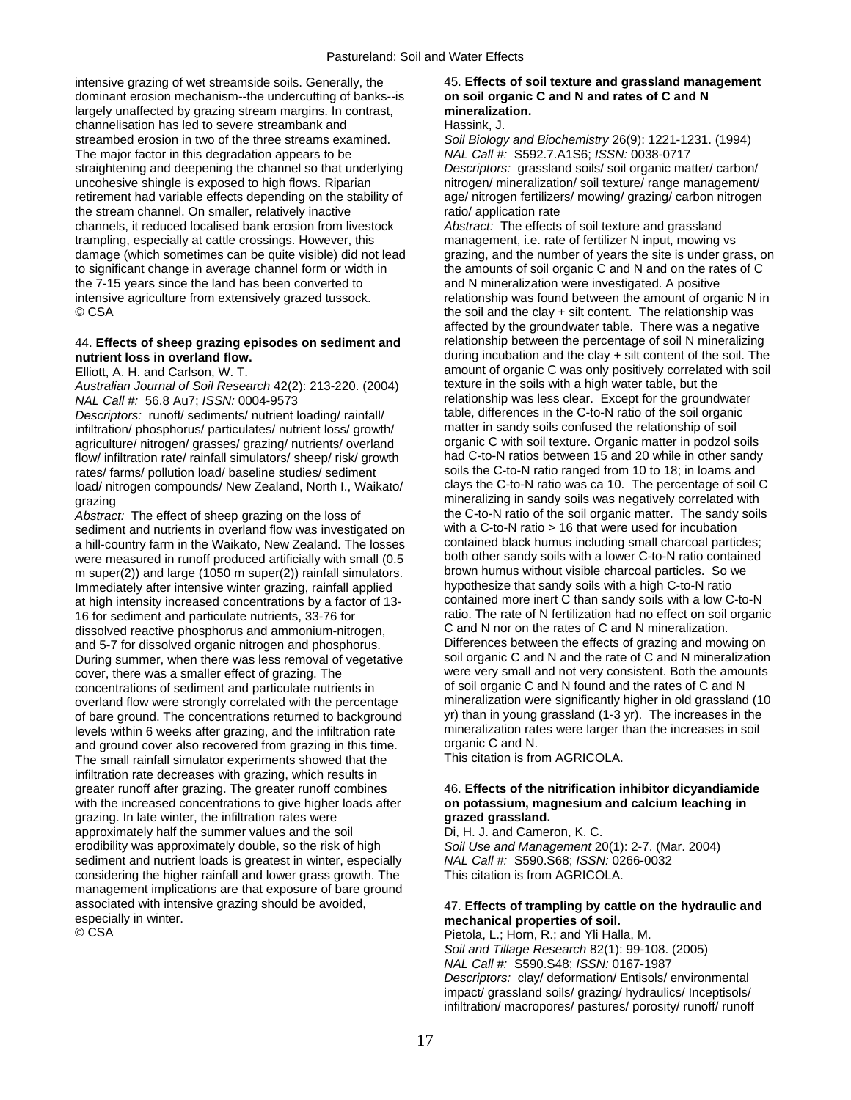intensive grazing of wet streamside soils. Generally, the 45. **Effects of soil texture and grassland management**  dominant erosion mechanism--the undercutting of banks--is **on soil organic C and N and rates of C and N**  largely unaffected by grazing stream margins. In contrast, **mineralization.**  channelisation has led to severe streambank and Hassink, J. streambed erosion in two of the three streams examined. *Soil Biology and Biochemistry* 26(9): 1221-1231. (1994) The major factor in this degradation appears to be *NAL Call #:* S592.7.A1S6; *ISSN:* 0038-0717 straightening and deepening the channel so that underlying *Descriptors:* grassland soils/ soil organic matter/ carbon/ uncohesive shingle is exposed to high flows. Riparian nitrogen/ mineralization/ soil texture/ range management/ retirement had variable effects depending on the stability of age/ nitrogen fertilizers/ mowing/ grazing/ carbon nitrogen the stream channel. On smaller, relatively inactive ratio/ application rate channels, it reduced localised bank erosion from livestock *Abstract:* The effects of soil texture and grassland trampling, especially at cattle crossings. However, this management, i.e. rate of fertilizer N input, mowing vs damage (which sometimes can be quite visible) did not lead grazing, and the number of years the site is under grass, on to significant change in average channel form or width in the amounts of soil organic C and N and on the rates of C the 7-15 years since the land has been converted to and N mineralization were investigated. A positive intensive agriculture from extensively grazed tussock. The lationship was found between the amount of organic N in<br>
© CSA in the soil and the clav + silt content. The relationship was

*Australian Journal of Soil Research* 42(2): 213-220. (2004)

*Descriptors:* runoff/ sediments/ nutrient loading/ rainfall/ table, differences in the C-to-N ratio of the soil organic<br>infiltration/ phosphorus/ particulates/ nutrient loss/ growth/ matter in sandy soils confused the rel infiltration/ phosphorus/ particulates/ nutrient loss/ growth/ agriculture/ nitrogen/ grasses/ grazing/ nutrients/ overland organic C with soil texture. Organic matter in podzol soils<br>flow/ infiltration rate/ rainfall simulators/ sheep/ risk/ growth had C-to-N ratios between 15 and 20 flow/ infiltration rate/ rainfall simulators/ sheep/ risk/ growth had C-to-N ratios between 15 and 20 while in other sand<br>rates/ farms/ pollution load/ baseline studies/ sediment soils the C-to-N ratio ranged from 10 to 18 rates/ farms/ pollution load/ baseline studies/ sediment soils the C-to-N ratio ranged from 10 to 18; in loams and<br>load/ nitrogen compounds/ New Zealand, North I., Waikato/ clays the C-to-N ratio was ca 10. The percentage load/ nitrogen compounds/ New Zealand, North I., Waikato/ grazing and the mineralizing in sandy soils was negatively correlated with

*Abstract:* The effect of sheep grazing on the loss of the C-to-N ratio of the soil organic matter. The sandy soils sediment and nutrients in overland flow was investigated on with a C-to-N ratio > 16 that were used for in sediment and nutrients in overland flow was investigated on with a C-to-N ratio > 16 that were used for incubation<br>a hill-country farm in the Waikato, New Zealand. The losses contained black humus including small charcoal a hill-country farm in the Waikato, New Zealand. The losses contained black humus including small charcoal particles;<br>were measured in runoff produced artificially with small (0.5 both other sandy soils with a lower C-to-N were measured in runoff produced artificially with small (0.5 both other sandy soils with a lower C-to-N ratio containent on super C-to-N ratio containent of the sandy soils with a lower C-to-N ratio containent of the stra m super(2)) and large (1050 m super(2)) rainfall simulators. brown humus without visible charcoal particles. So v<br>Immediately after intensive winter grazing rainfall applied by hypothesize that sandy soils with a high C-to Immediately after intensive winter grazing, rainfall applied hypothesize that sandy soils with a high C-to-N ratio<br>A high intensity increased concentrations by a factor of 13-<br>contained more inert C than sandy soils with a at high intensity increased concentrations by a factor of 13-16 for sediment and particulate nutrients, 33-76 for ratio. The rate of N fertilization had no effect on soil organic<br>dissolved reactive phosphorus and ammonium-nitrogen<br>C and N nor on the rates of C and N mineralization. dissolved reactive phosphorus and ammonium-nitrogen, and 5-7 for dissolved organic nitrogen and phosphorus. Differences between the effects of grazing and mowing on<br>During summer when there was less removal of vegetative soil organic C and N and the rate of C and N mineraliz During summer, when there was less removal of vegetative cover, there was a smaller effect of grazing. The were very small and not very consistent. Both the amounts<br>concentrations of sediment and particulate putrients in of soil organic C and N found and the rates of C and N concentrations of sediment and particulate nutrients in of soil organic C and N found and the rates of C and N<br>overland flow were strongly correlated with the percentage mineralization were significantly higher in old gras overland flow were strongly correlated with the percentage mineralization were significantly higher in old grassland (1<br>of bare ground. The concentrations returned to background yr) than in young grassland (1-3 yr). The in of bare ground. The concentrations returned to background yr) than in young grassland (1-3 yr). The increases in the<br>levels within 6 weeks after grazing, and the infiltration rate mineralization rates were larger than the levels within 6 weeks after grazing, and the infiltration rate mineralization rat<br>and ground cover also recovered from grazing in this time organic C and N. and ground cover also recovered from grazing in this time. This citation is from AGRICOLA.<br>The small rainfall simulator experiments showed that the This citation is from AGRICOLA. The small rainfall simulator experiments showed that the infiltration rate decreases with grazing, which results in greater runoff after grazing. The greater runoff combines 46. **Effects of the nitrification inhibitor dicyandiamide**  with the increased concentrations to give higher loads after **on potassium, magnesium and calcium leaching in** grazing. In late winter, the infiltration rates were **grazed grassland.**  approximately half the summer values and the soil **Di**, H. J. and Cameron, K. C.<br>
erodibility was approximately double, so the risk of high Soil Use and Management 20(1): 2-7. (Mar. 2004) erodibility was approximately double, so the risk of high sediment and nutrient loads is greatest in winter, especially *NAL Call #:* S590.S68; *ISSN:* 0266-0032 considering the higher rainfall and lower grass growth. The This citation is from AGRICOLA. management implications are that exposure of bare ground associated with intensive grazing should be avoided, 47. **Effects of trampling by cattle on the hydraulic and**<br> **expecially in winter. expecially in winter.** especially in winter. **mechanical properties of soil.** 

the soil and the clay  $+$  silt content. The relationship was affected by the groundwater table. There was a negative 44. **Effects of sheep grazing episodes on sediment and** relationship between the percentage of soil N mineralizing **nutrient loss in overland flow. human state of the solution and the clay + silt content of the soil. The** Elliott, A. H. and Carlson, W. T.<br>Australian Journal of Soil Research 42(2): 213-220. (2004) texture in the soils with a high water table, but the *NAL Call #: 56.8 Au7; <i>ISSN:* 0004-9573<br>Descriptors: runoff/ sediments/ nutrient loading/ rainfall/ table, differences in the C-to-N ratio of the soil organic

Pietola, L.; Horn, R.; and Yli Halla, M. *Soil and Tillage Research* 82(1): 99-108. (2005) *NAL Call #:* S590.S48; *ISSN:* 0167-1987 *Descriptors:* clay/ deformation/ Entisols/ environmental impact/ grassland soils/ grazing/ hydraulics/ Inceptisols/ infiltration/ macropores/ pastures/ porosity/ runoff/ runoff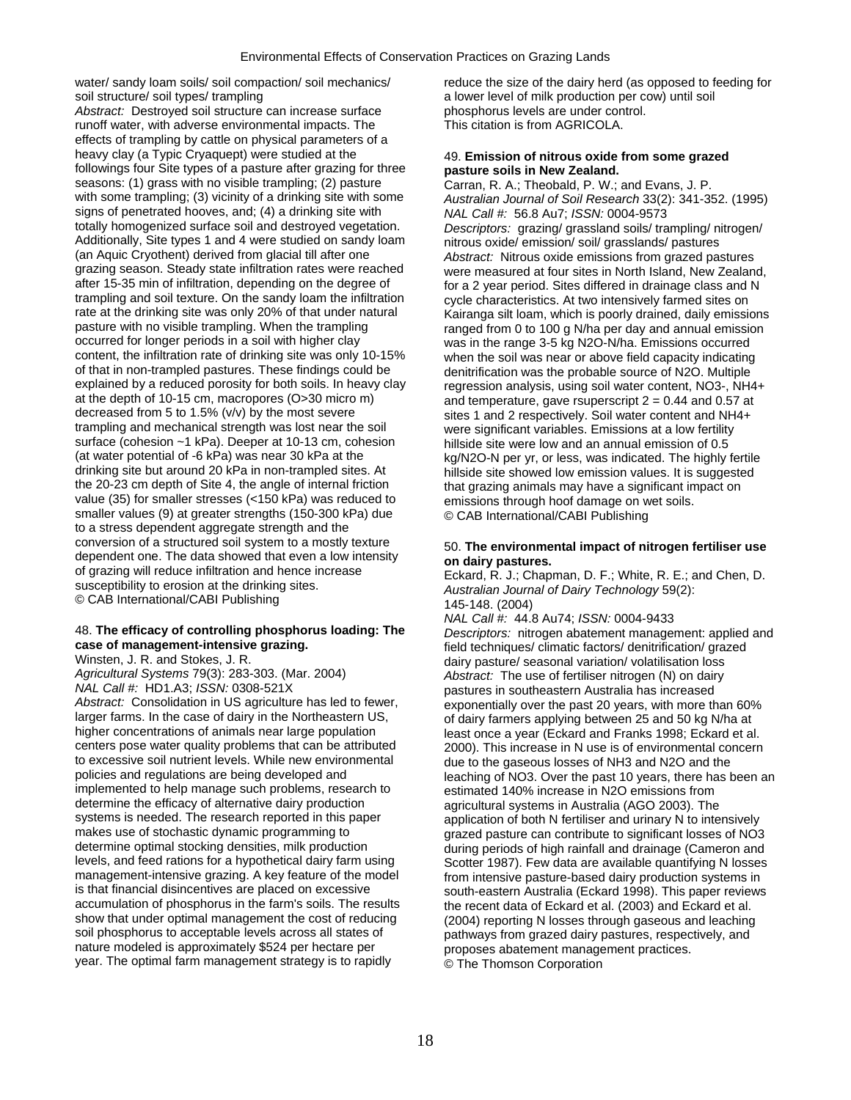soil structure/ soil types/ trampling a lower level of milk production per cow) until soil

*Abstract:* Destroyed soil structure can increase surface *phosphorus levels are under control.*<br>
runoff water, with adverse environmental impacts. The This citation is from AGRICOLA. runoff water, with adverse environmental impacts. The effects of trampling by cattle on physical parameters of a heavy clay (a Typic Cryaquept) were studied at the 49. **Emission of nitrous oxide from some grazed** followings four Site types of a pasture after grazing for three **pasture soils in New Zealand.**  seasons: (1) grass with no visible trampling; (2) pasture Carran, R. A.; Theobald, P. W.; and Evans, J. P.<br>with some trampling; (3) vicinity of a drinking site with some Australian Journal of Soil Research 33(2): 341-3 signs of penetrated hooves, and; (4) a drinking site with *NAL Call #: 56.8 Au7; ISSN: 0004-9573*<br>
totally homogenized surface soil and destroyed vegetation. *Descriptors: grazing/ grassland soils/ tra* Additionally, Site types 1 and 4 were studied on sandy loam nitrous oxide/ emission/ soil/ grasslands/ pastures<br>(an Aquic Cryothent) derived from glacial till after one *Abstract:* Nitrous oxide emissions from grazed pa grazing season. Steady state infiltration rates were reached were measured at four sites in North Island, New Zealand, after 15-35 min of infiltration, depending on the degree of for a 2 year period. Sites differed in drai trampling and soil texture. On the sandy loam the infiltration cycle characteristics. At two intensively farmed sites on rate at the drinking site was only 20% of that under natural Kairanga silt loam, which is poorly drai rate at the drinking site was only 20% of that under natural Kairanga silt loam, which is poorly drained, daily emissions<br>
pasture with no visible trampling. When the trampling ranged from 0 to 100 g N/ba per day and annua pasture with no visible trampling. When the trampling ranged from 0 to 100 g N/ha per day and annual emission<br>occurred for longer periods in a soil with higher clay was in the range 3-5 kg N2O-N/ha. Emissions occurred occurred for longer periods in a soil with higher clay was in the range 3-5 kg N2O-N/ha. Emissions occurred<br>
content, the infiltration rate of drinking site was only 10-15% when the soil was near or above field capacity in content, the infiltration rate of drinking site was only 10-15% when the soil was near or above field capacity indicating<br>of that in non-trampled pastures. These findings could be denitrification was the probable source of of that in non-trampled pastures. These findings could be denitrification was the probable source of N2O. Multiple explained by a reduced porosity for both soils. In heavy clay regression analysis, using soil water content explained by a reduced porosity for both soils. In heavy clay regression analysis, using soil water content, NO3-, NH4+<br>at the depth of 10-15 cm, macropores (O>30 micro m) and temperature, gave rsuperscript 2 = 0.44 and 0 at the depth of 10-15 cm, macropores (O>30 micro m) and temperature, gave rsuperscript  $2 = 0.44$  and 0.57 at decreased from 5 to 1.5% (v/v) by the most severe sites 1 and 2 respectively. Soil water content and NH4+ trampling and mechanical strength was lost near the soil were significant variables. Emissions at a low fertility surface (cohesion ~1 kPa). Deeper at 10-13 cm, cohesion hillside site were low and an annual emission of 0.5<br>(at water potential of -6 kPa) was near 30 kPa at the same of the state of the single site was indicated. The (at water potential of -6 kPa) was near 30 kPa at the kg/N2O-N per yr, or less, was indicated. The highly fertile<br>drinking site but around 20 kPa in non-trampled sites. At kill hillside site showed low emission values. It drinking site but around 20 kPa in non-trampled sites. At hillside site showed low emission values. It is suggested<br>the 20-23 cm depth of Site 4, the angle of internal friction that grazing animals may have a significant i value (35) for smaller stresses (<150 kPa) was reduced to emissions through hoof damage on wet soils. smaller values (9) at greater strengths (150-300 kPa) due © CAB International/CABI Publishing to a stress dependent aggregate strength and the conversion of a structured soil system to a mostly texture<br>dependent one. The data showed that even a low intensity<br>of grazing will reduce infiltration and hence increase<br>susceptibility to erosion at the drinking sites.<br>CA

*Agricultural Systems* 79(3): 283-303. (Mar. 2004) *Abstract:* The use of fertiliser nitrogen (N) on dairy *NAL Call #:* HD1.A3; *ISSN:* 0308-521X pastures in southeastern Australia has increased<br>Abstract: Consolidation in US agriculture has led to fewer, exponentially over the past 20 years, with more th to excessive soil nutrient levels. While new environmental due to the gaseous losses of NH3 and N2O and the policies and requlations are being developed and developed and leaching of NO3. Over the past 10 years, there has implemented to help manage such problems, research to estimated 140% increase in N2O emissions from<br>determine the efficacy of alternative dairy production agricultural systems in Australia (AGO 2003). The determine the efficacy of alternative dairy production agricultural systems in Australia (AGO 2003). The systems is needed. The research reported in this paper application of both N fertiliser and urinary N to inte accumulation of phosphorus in the farm's soils. The results the recent data of Eckard et al. (2003) and Eckard et al.

water/ sandy loam soils/ soil compaction/ soil mechanics/ reduce the size of the dairy herd (as opposed to feeding for

Australian Journal of Soil Research 33(2): 341-352. (1995) Descriptors: grazing/ grassland soils/ trampling/ nitrogen/ Abstract: Nitrous oxide emissions from grazed pastures for a 2 year period. Sites differed in drainage class and N sites 1 and 2 respectively. Soil water content and NH4+ that grazing animals may have a significant impact on

*NAL Call #:* 44.8 Au74; *ISSN:* 0004-9433 48. **The efficacy of controlling phosphorus loading: The** *Descriptors:* nitrogen abatement management: applied and **case of management-intensive grazing.** <br>Winsten, J. R. and Stokes, J. R. **Case Conserverse and Stokes and Mark** denited the densional variation/ volatilisation loss dairy pasture/ seasonal variation/ volatilisation loss A*bstract:* Consolidation in US agriculture has led to fewer, exponentially over the past 20 years, with more than 60%<br>Iarger farms, In the case of dairy in the Northeastern US, exponentially over the past 20 years, with m larger farms. In the case of dairy in the Northeastern US, of dairy farmers applying between 25 and 50 kg N/ha at<br>higher concentrations of animals near large population<br>least once a year (Eckard and Franks 1998: Eckard et higher concentrations of animals near large population least once a year (Eckard and Franks 1998; Eckard et al.<br>
centers pose water quality problems that can be attributed 2000) This increase in N use is of environmental c centers pose water quality problems that can be attributed 2000). This increase in N use is of environmental concern<br>to excessive soil nutrient levels. While new environmental due to the gaseous losses of NH3 and N2O and t leaching of NO3. Over the past 10 years, there has been an systems is needed. The research reported in this paper application of both N fertiliser and urinary N to intensively<br>makes use of stochastic dynamic programming to an arazed pasture can contribute to significant losses of makes use of stochastic dynamic programming to grazed pasture can contribute to significant losses of NO3<br>determine optimal stocking densities, milk production during periods of high rainfall and drainage (Cameron and determine optimal stocking densities, milk production during periods of high rainfall and drainage (Cameron and<br>Ievels, and feed rations for a hypothetical dairy farm using Scotter 1987). Few data are available quantifying levels, and feed rations for a hypothetical dairy farm using Scotter 1987). Few data are available quantifying N losses<br>management-intensive grazing. A key feature of the model from intensive pasture-based dairy production management-intensive grazing. A key feature of the model from intensive pasture-based dairy production systems in<br>is that financial disincentives are placed on excessive south-eastern Australia (Eckard 1998). This paper re south-eastern Australia (Eckard 1998). This paper reviews show that under optimal management the cost of reducing (2004) reporting N losses through gaseous and leaching<br>soil phosphorus to acceptable levels across all states of pathways from grazed dairy pastures, respectively, an soil phosphorus to acceptable levels across all states of pathways from grazed dairy pastures, respectively, and<br>nature modeled is approximately \$524 per hectare per proposes abatement management practices. year. The optimal farm management strategy is to rapidly © The Thomson Corporation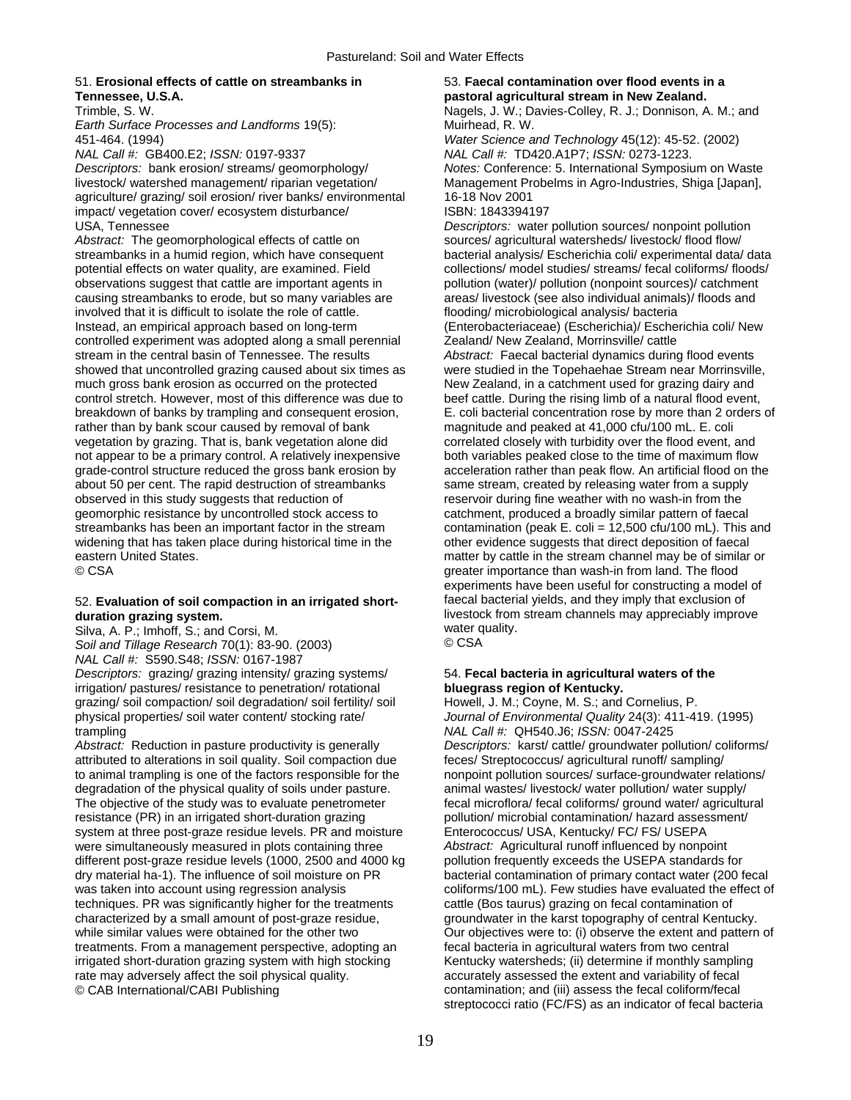## 51. **Erosional effects of cattle on streambanks in** 53. **Faecal contamination over flood events in a Tennessee, U.S.A. pastoral agricultural stream in New Zealand.**

*Earth Surface Processes and Landforms* 19(5): Muirhead, R. W.

livestock/ watershed management/ riparian vegetation/ Management Probelms in Agro-Industries, Shiga [Japan], agriculture/ grazing/ soil erosion/ river banks/ environmental 16-18 Nov 2001 impact/ vegetation cover/ ecosystem disturbance/ **ISBN: 1843394197**<br>USA, Tennessee **Interpretational control of the USA**, Tennessee

Abstract: The geomorphological effects of cattle on sources/ agricultural watersheds/ livestock/ flood flow/ streambanks in a humid region, which have consequent bacterial analysis/ Escherichia coli/ experimental data/ data potential effects on water quality, are examined. Field collections/ model studies/ streams/ fecal coliforms/ floods/ observations suggest that cattle are important agents in pollution (water)/ pollution (nonpoint sources)/ catchment causing streambanks to erode, but so many variables are areas/ livestock (see also individual animals)/ floods and<br>involved that it is difficult to isolate the role of cattle.<br>flooding/ microbiological analysis/ bacteria involved that it is difficult to isolate the role of cattle. Instead, an empirical approach based on long-term (Enterobacteriaceae) (Escherichia)/ Escherichia coli/ New controlled experiment was adopted along a small perennial Zealand/ New Zealand, Morrinsville/ cattle stream in the central basin of Tennessee. The results *Abstract:* Faecal bacterial dynamics during flood events showed that uncontrolled grazing caused about six times as were studied in the Topehaehae Stream near Morrinsville, much gross bank erosion as occurred on the protected New Zealand, in a catchment used for grazing dairy and control stretch. However, most of this difference was due to beef cattle. During the rising limb of a natural flood event, breakdown of banks by trampling and consequent erosion, E. coli bacterial concentration rose by more than 2 orders of rather than by bank scour caused by removal of bank magnitude and peaked at 41,000 cfu/100 mL. E. coli vegetation by grazing. That is, bank vegetation alone did correlated closely with turbidity over the flood event, and not appear to be a primary control. A relatively inexpensive both variables peaked close to the time of maximum flow grade-control structure reduced the gross bank erosion by acceleration rather than peak flow. An artificial flood on the about 50 per cent. The rapid destruction of streambanks same stream, created by releasing water from a supply observed in this study suggests that reduction of reservoir during fine weather with no wash-in from the geomorphic resistance by uncontrolled stock access to catchment, produced a broadly similar pattern of faecal streambanks has been an important factor in the stream contamination (peak E. coli = 12,500 cfu/100 mL). This and<br>widening that has taken place during historical time in the other evidence suggests that direct deposition o widening that has taken place during historical time in the eastern United States. The stream channel may be of similar or

## 52. **Evaluation of soil compaction in an irrigated short-** faecal bacterial yields, and they imply that exclusion of

Silva, A. P.; Imhoff, S.; and Corsi, M. water quality. Water quality. Water quality. Water quality. We consider the second of the second of the second of the second of the second of the second of the second of the second o *Soil and Tillage Research 70(1): 83-90. (2003) NAL Call #:* S590.S48; *ISSN:* 0167-1987 *Descriptors:* grazing/ grazing intensity/ grazing systems/ 54. **Fecal bacteria in agricultural waters of the**  irrigation/ pastures/ resistance to penetration/ rotational **bluegrass region of Kentucky.**<br>
grazing/ soil compaction/ soil degradation/ soil fertility/ soil Howell, J. M.; Coyne, M. S.; and Cornelius, P. grazing/ soil compaction/ soil degradation/ soil fertility/ soil physical properties/ soil water content/ stocking rate/ *Journal of Environmental Quality* 24(3): 411-419. (1995) trampling *NAL Call #:* QH540.J6; *ISSN:* 0047-2425

*Abstract:* Reduction in pasture productivity is generally *Descriptors:* karst/ cattle/ groundwater pollution/ coliforms/ attributed to alterations in soil quality. Soil compaction due feces/ Streptococcus/ agricultural runoff/ sampling/ to animal trampling is one of the factors responsible for the nonpoint pollution sources/ surface-groundwater relations/ degradation of the physical quality of soils under pasture. animal wastes/ livestock/ water pollution/ water supply/ The objective of the study was to evaluate penetrometer fecal microflora/ fecal coliforms/ ground water/ agricultural resistance (PR) in an irrigated short-duration grazing pollution/ microbial contamination/ hazard assessment/ system at three post-graze residue levels. PR and moisture Enterococcus/ USA, Kentucky/ FC/ FS/ USEPA were simultaneously measured in plots containing three *Abstract:* Agricultural runoff influenced by nonpoint different post-graze residue levels (1000, 2500 and 4000 kg pollution frequently exceeds the USEPA standards for dry material ha-1). The influence of soil moisture on PR bacterial contamination of primary contact water (200 fecal techniques. PR was significantly higher for the treatments cattle (Bos taurus) grazing on fecal contamination of characterized by a small amount of post-graze residue, groundwater in the karst topography of central Kentu while similar values were obtained for the other two Our objectives were to: (i) observe the extent and pattern of treatments. From a management perspective, adopting an fecal bacteria in agricultural waters from two central<br>
irrigated short-duration grazing system with high stocking Kentucky watersheds; (ii) determine if monthly sampl irrigated short-duration grazing system with high stocking rate may adversely affect the soil physical quality. accurately assessed the extent and variability of fecal © CAB International/CABI Publishing example and contamination; and (iii) assess the fecal coliform/fecal

## 19

Trimble, S. W. Nagels, J. W.; Davies-Colley, R. J.; Donnison, A. M.; and

451-464. (1994) *Water Science and Technology* 45(12): 45-52. (2002) *NAL Call #:* GB400.E2; *ISSN:* 0197-9337 *NAL Call #:* TD420.A1P7; *ISSN:* 0273-1223. *Descriptors:* bank erosion/ streams/ geomorphology/ *Notes:* Conference: 5. International Symposium on Waste

Descriptors: water pollution sources/ nonpoint pollution © CSA greater importance than wash-in from land. The flood experiments have been useful for constructing a model of **duration grazing system. livestock from stream channels may appreciably improve**<br>Silva A P : Imhoff S : and Corsi M water quality.

was taken into account using regression analysis coliforms/100 mL). Few studies have evaluated the effect of groundwater in the karst topography of central Kentucky. streptococci ratio (FC/FS) as an indicator of fecal bacteria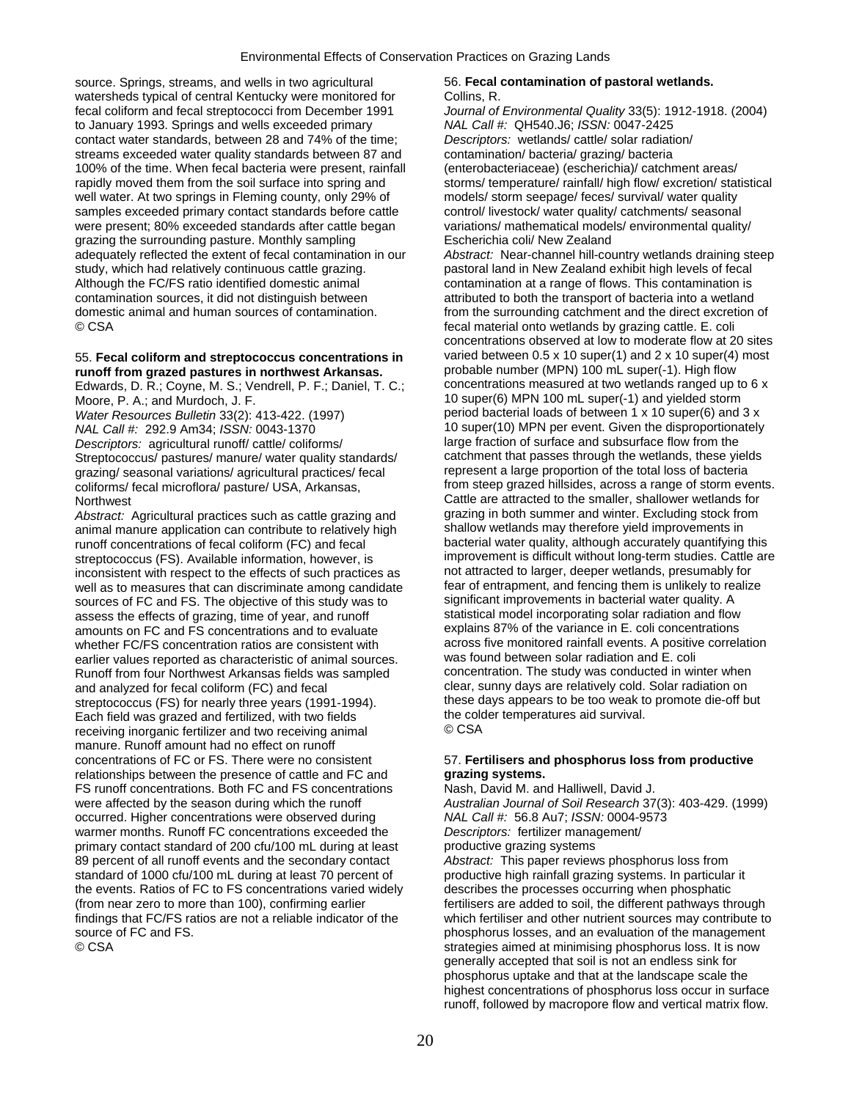source. Springs, streams, and wells in two agricultural 56. **Fecal contamination of pastoral wetlands.**<br>
watersheds tvoical of central Kentucky were monitored for Collins, R. watersheds typical of central Kentucky were monitored for fecal coliform and fecal streptococci from December 1991 *Journal of Environmental Quality* 33(5): 1912-1918. (2004) to January 1993. Springs and wells exceeded primary *NAL Call #:* QH540.J6; *ISSN:* 0047-2425 contact water standards, between 28 and 74% of the time; *Descriptors:* wetlands/ cattle/ solar radiation/ streams exceeded water quality standards between 87 and contamination/ bacteria/ grazing/ bacteria 100% of the time. When fecal bacteria were present, rainfall (enterobacteriaceae) (escherichia)/ catchment areas/ rapidly moved them from the soil surface into spring and storms/ temperature/ rainfall/ high flow/ excretion/ statistical well water. At two springs in Fleming county, only 29% of models/ storm seepage/ feces/ survival/ water quality samples exceeded primary contact standards before cattle control/ livestock/ water quality/ catchments/ seasonal were present; 80% exceeded standards after cattle began variations/ mathematical models/ environmental quality/ grazing the surrounding pasture. Monthly sampling Escherichia coli/ New Zealand adequately reflected the extent of fecal contamination in our *Abstract:* Near-channel hill-country wetlands draining steep study, which had relatively continuous cattle grazing. pastoral land in New Zealand exhibit high levels of fecal Although the FC/FS ratio identified domestic animal contamination at a range of flows. This contamination is contamination sources, it did not distinguish between attributed to both the transport of bacteria into a wetland<br>domestic animal and human sources of contamination. The surrounding catchment and the direct excretion © CSA fecal material onto wetlands by grazing cattle. E. coli

Edwards, D. R.; Coyne, M. S.; Vendrell, P. F.; Daniel, T. C.; Moore, P. A.; and Murdoch, J. F. 10 super(6) MPN 100 mL super(-1) and yielded storm

*NAL Call #:* 292.9 Am34; *ISSN:* 0043-1370 10 super(10) MPN per event. Given the disproportionately<br>Descriptors: agricultural runoff/ cattle/ coliforms/ large fraction of surface and subsurface flow from the *Descriptors:* agricultural runoff/ cattle/ coliforms/ large fraction of surface and subsurface flow from the Streptococcus/ pastures/ manure/ water quality standards/ catchment that passes through the wetlands, these yield<br>
represent a large proportion of the total loss of bacteria coliforms/ fecal microflora/ pasture/ USA, Arkansas,

*Abstract:* Agricultural practices such as cattle grazing and grazing in both summer and winter. Excluding stock fro<br>animal manure application can contribute to relatively high shallow wetlands may therefore yield improvem animal manure application can contribute to relatively high shallow wetlands may therefore yield improvements in<br>
runoff concentrations of fecal coliform (FC) and fecal<br>
shallow wetlands may therefore yield improvements in streptococcus (FS). Available information, however, is improvement is difficult without long-term studies. Cattle inconsistent with respect to the effects of such practices as for a attracted to larger, deeper wetlands, pr inconsistent with respect to the effects of such practices as not attracted to larger, deeper wetlands, presumably for<br>well as to measures that can discriminate among candidate fear of entrapment, and fencing them is unlik well as to measures that can discriminate among candidate fear of entrapment, and fencing them is unlikely to realized to realize the sources of FC and FS. The objective of this study was to significant improvements in bac sources of FC and FS. The objective of this study was to significant improvements in bacterial water quality. A<br>assess the effects of grazing, time of year, and runoff statistical model incorporating solar radiation and fl assess the effects of grazing, time of year, and runoff statistical model incorporating solar radiation and flow<br>amounts on FC and FS concentrations and to evaluate explains 87% of the variance in E. coli concentrations amounts on FC and FS concentrations and to evaluate whether FC/FS concentration ratios are consistent with across five monitored rainfall events. A positive correlation and E. coli<br>earlier values reported as characteristic of animal sources was found between solar radiation earlier values reported as characteristic of animal sources. was found between solar radiation and E. coli<br>Runoff from four Northwest Arkansas fields was sampled concentration. The study was conducted in winter when Runoff from four Northwest Arkansas fields was sampled and analyzed for fecal coliform (FC) and fecal clear, sunny days are relatively cold. Solar radiation on<br>streptococcus (FS) for pearly three years (1991-1994) these days appears to be too weak to promote die-off but streptococcus (FS) for nearly three years (1991-1994). these days appears to be too weak to promote die-off but<br>Fach field was grazed and fertilized with two fields the colder temperatures aid survival. Each field was grazed and fertilized, with two fields the colder the colder temperatures and two receiving animal. receiving inorganic fertilizer and two receiving animal manure. Runoff amount had no effect on runoff concentrations of FC or FS. There were no consistent 57. **Fertilisers and phosphorus loss from productive**  relationships between the presence of cattle and FC and **grazing systems.**  FS runoff concentrations. Both FC and FS concentrations Nash, David M. and Halliwell, David J. were affected by the season during which the runoff *Australian Journal of Soil Research* 37(3): 403-429. (1999) occurred. Higher concentrations were observed during *NAL Call #:* 56.8 Au7; *ISSN:* 0004-9573 warmer months. Runoff FC concentrations exceeded the *Descriptors:* fertilizer management/ primary contact standard of 200 cfu/100 mL during at least productive grazing systems 89 percent of all runoff events and the secondary contact *Abstract:* This paper reviews phosphorus loss from standard of 1000 cfu/100 mL during at least 70 percent of productive high rainfall grazing systems. In particular it the events. Ratios of FC to FS concentrations varied widely describes the processes occurring when phosphatic (from near zero to more than 100), confirming earlier fertilisers are added to soil, the different pathways through findings that FC/FS ratios are not a reliable indicator of the which fertiliser and other nutrient sources may contribute to source of FC and FS. **phosphorus losses**, and an evaluation of the management

from the surrounding catchment and the direct excretion of concentrations observed at low to moderate flow at 20 sites 55. **Fecal coliform and streptococcus concentrations in** varied between 0.5 x 10 super(1) and 2 x 10 super(4) most **runoff from grazed pastures in northwest Arkansas.** Probable number (MPN) 100 mL super(-1). High flow<br>Fdwards, D. R.: Covne, M. S.: Vendrell, P. F.: Daniel, T. C.: concentrations measured at two wetlands ranged up to 6 x *Water Resources Bulletin* 33(2): 413-422. (1997) period bacterial loads of between 1 x 10 super(6) and 3 x grazing/ seasonal variations/ agricultural practices/ fecal represent a large proportion of the total loss of bacteria<br>coliforms/ fecal microflora/ pasture/ USA Arkansas from steep grazed hillsides, across a range of storm Northwest<br>Abstract: Agricultural practices such as cattle grazing and grazing in both summer and winter. Excluding stock from runoff concentrations of fecal coliform (FC) and fecal bacterial water quality, although accurately quantifying this<br>streptococcus (FS). Available information. however, is improvement is difficult without long-term studies

© CSA strategies aimed at minimising phosphorus loss. It is now generally accepted that soil is not an endless sink for phosphorus uptake and that at the landscape scale the highest concentrations of phosphorus loss occur in surface runoff, followed by macropore flow and vertical matrix flow.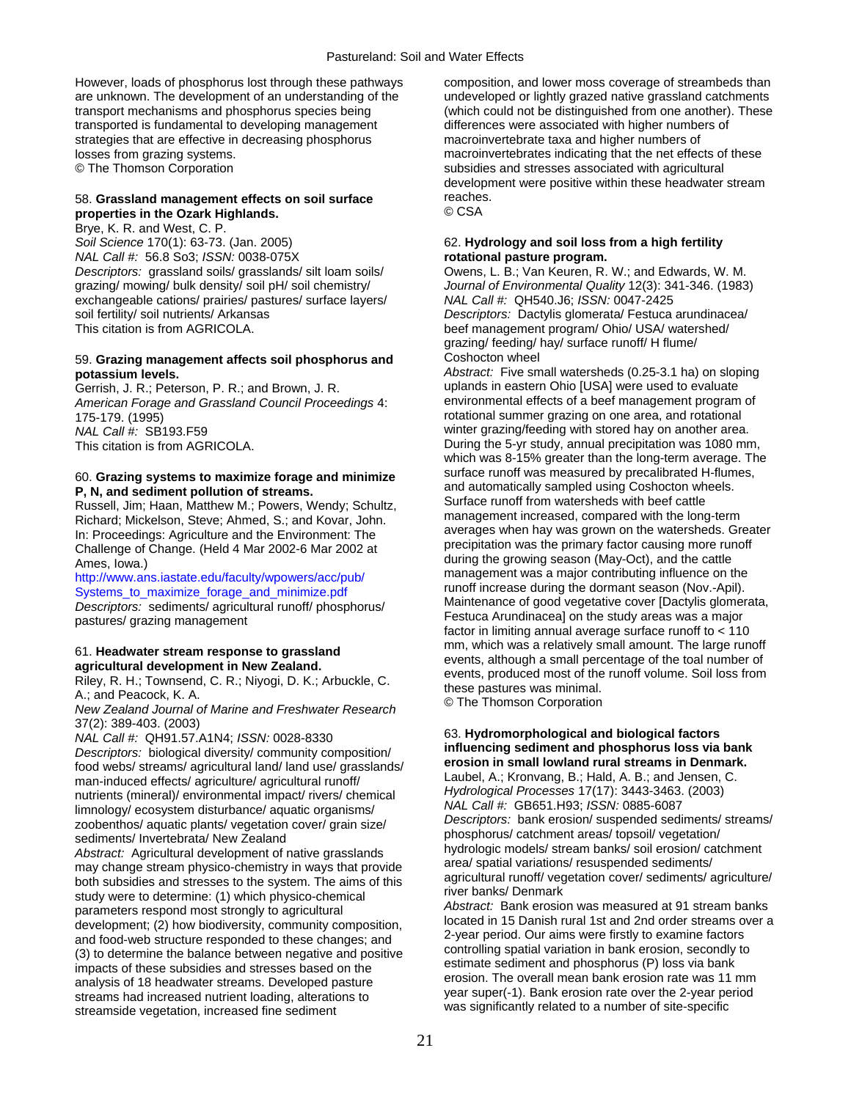are unknown. The development of an understanding of the undeveloped or lightly grazed native grassland catchments transported is fundamental to developing management differences were associated with higher numbers of strategies that are effective in decreasing phosphorus macroinvertebrate taxa and higher numbers of losses from grazing systems. macroinvertebrates indicating that the net effects of these © The Thomson Corporation subsidies and stresses associated with agricultural

## 58. **Grassland management effects on soil surface** reaches.<br>**properties in the Ozark Highlands** © CSA properties in the Ozark Highlands.

Brye, K. R. and West, C. P. *Soil Science* 170(1): 63-73. (Jan. 2005) 62. **Hydrology and soil loss from a high fertility**  *NAL Call #:* 56.8 So3; *ISSN:* 0038-075X **rotational pasture program.**  *Descriptors:* grassland soils/ grasslands/ silt loam soils/ Owens, L. B.; Van Keuren, R. W.; and Edwards, W. M. grazing/ mowing/ bulk density/ soil pH/ soil chemistry/ *Journal of Environmental Quality* 12(3): 341-346. (1983) exchangeable cations/ prairies/ pastures/ surface layers/ *NAL Call #:* QH540.J6; *ISSN:* 0047-2425 soil fertility/ soil nutrients/ Arkansas *Descriptors:* Dactylis glomerata/ Festuca arundinacea/ This citation is from AGRICOLA. beef management program/ Ohio/ USA/ watershed/

## 59. **Grazing management affects soil phosphorus and** Coshocton wheel

Gerrish, J. R.; Peterson, P. R.; and Brown, J. R. uplands in eastern Ohio [USA] were used to evaluate<br>American Forage and Grassland Council Proceedings 4:<br>environmental effects of a beef management program of *American Forage and Grassland Council Proceedings* 4: 175-179. (1995) **175-179.** The same of the state of the state of the state of the state of the state of the state of the state of the state of the state of the state of the state of the state of the state of the state of t *NAL Call #:* SB193.F59 winter grazing/feeding with stored hay on another area.

*Descriptors:* biological diversity/ community composition/ **influencing sediment and phosphorus loss via bank**  food webs/ streams/ agricultural land/ land use/ grasslands/ **erosion in small lowland rural streams in Denmari**<br>Laubel, A.; Kronvang, B.; Hald, A. B.; and Jensen, C. man-induced effects/ agriculture/ agricultural runoff/<br>
nutrients (mineral)/ environmental impact/ rivers/ chemical<br>
limnology/ ecosystem disturbance/ aquatic organisms/<br>
zoobenthos/ aquatic plants/ vegetation cover/ grain

may change stream physico-chemistry in ways that provide<br>
both subsidies and stresses to the system. The aims of this<br>
study were to determine: (1) which physico-chemical<br>
study were to determine: (1) which physico-chemica

However, loads of phosphorus lost through these pathways composition, and lower moss coverage of streambeds than transport mechanisms and phosphorus species being (which could not be distinguished from one another). These development were positive within these headwater stream

grazing/ feeding/ hay/ surface runoff/ H flume/

**potassium levels.**<br> **Abstract:** Five small watersheds (0.25-3.1 ha) on sloping<br>
Gerrish J. R. Peterson P. R. and Brown J. R. I. and Brown J. R. I. and Suplands in eastern Ohio [USA] were used to evaluate This citation is from AGRICOLA. During the 5-yr study, annual precipitation was 1080 mm, which was 8-15% greater than the long-term average. The 60. **Grazing systems to maximize forage and minimize** surface runoff was measured by precalibrated H-flumes,<br> **P, N, and sediment pollution of streams.** and automatically sampled using Coshocton wheels.<br>
Richard; Mickelson 61. **Headwater stream response to grassland** mun, which was a relatively small amount. The large runoff<br> **agricultural development in New Zealand.**<br>
Riley, R. H.; Townsend, C. R.; Niyogi, D. K.; Arbuckle, C.<br>
A.; and Peaco

# 37(2): 389-403. (2003) 63. *NAL Call #:* QH91.57.A1N4; *ISSN:* 0028-8330 **Hydromorphological and biological factors**

sediments/ Invertebrata/ New Zealand<br>
Abstract: Agricultural development of native grasslands<br>
may change stream physico-chemistry in ways that provide<br>
may change stream physico-chemistry in ways that provide<br>
area/ spati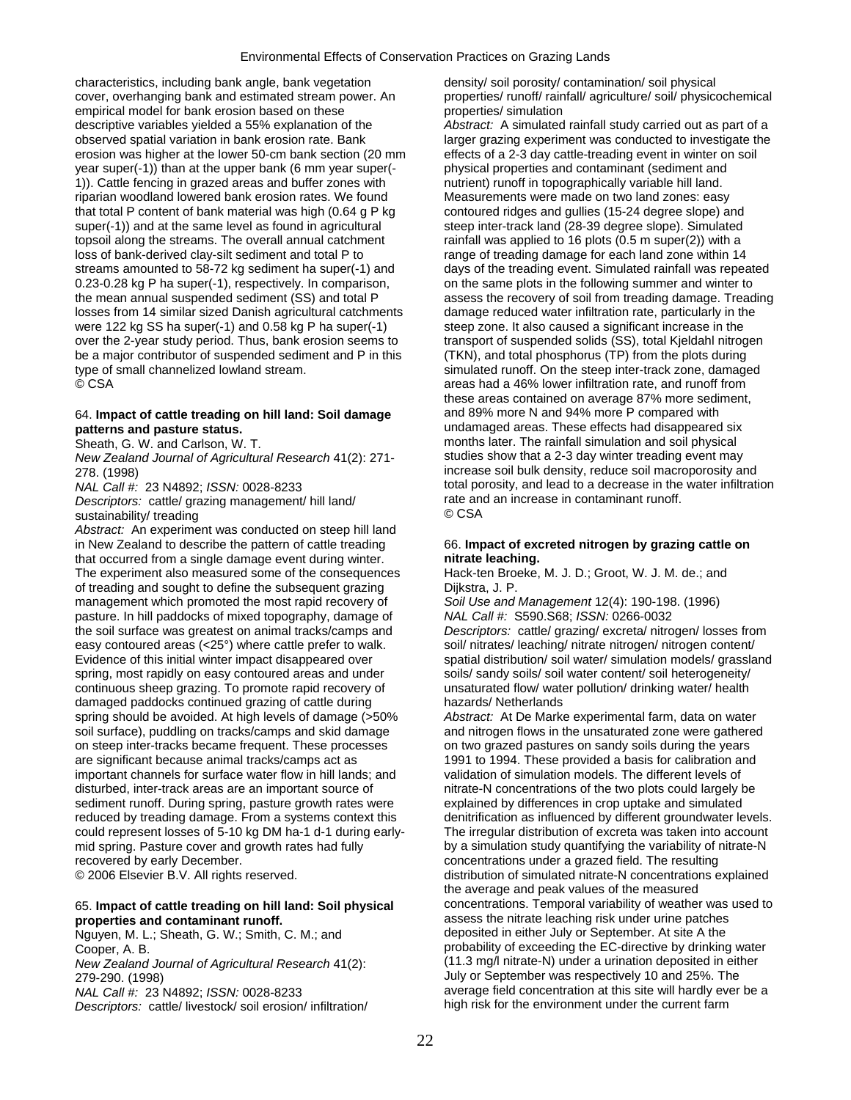characteristics, including bank angle, bank vegetation density/ soil porosity/ contamination/ soil physical cover, overhanging bank and estimated stream power. An properties/ runoff/ rainfall/ agriculture/ soil/ physicochemical empirical model for bank erosion based on these properties/ simulation<br>descriptive variables yielded a 55% explanation of the *Abstract:* A simulated observed spatial variation in bank erosion rate. Bank larger grazing experiment was conducted to investigate the erosion was higher at the lower 50-cm bank section (20 mm effects of a 2-3 day cattle-treading event in winter on soil year super(-1)) than at the upper bank (6 mm year super(- physical properties and contaminant (sediment and 1)). Cattle fencing in grazed areas and buffer zones with nutrient) runoff in topographically variable hill land. riparian woodland lowered bank erosion rates. We found Measurements were made on two land zones: easy that total P content of bank material was high (0.64 g P kg contoured ridges and gullies (15-24 degree slope) and super(-1)) and at the same level as found in agricultural steep inter-track land (28-39 degree slope). Simulated topsoil along the streams. The overall annual catchment rainfall was applied to 16 plots (0.5 m super(2)) with a loss of bank-derived clay-silt sediment and total P to range of treading damage for each land zone within 14<br>streams amounted to 58-72 kg sediment ha super(-1) and days of the treading event. Simulated rainfall was repea 0.23-0.28 kg P ha super(-1), respectively. In comparison, on the same plots in the following summer and winter to the mean annual suspended sediment (SS) and total P assess the recovery of soil from treading damage. Treading<br>
losses from 14 similar sized Danish agricultural catchments damage reduced water infiltration rate, particular losses from 14 similar sized Danish agricultural catchments were 122 kg SS ha super(-1) and 0.58 kg P ha super(-1) steep zone. It also caused a significant increase in the over the 2-year study period. Thus, bank erosion seems to transport of suspended solids (SS), total Kjeldahl nitrogen be a major contributor of suspended sediment and P in this (TKN), and total phosphorus (TP) from the plots during type of small channelized lowland stream. simulated runoff. On the steep inter-track zone, damaged © CSA areas had a 46% lower infiltration rate, and runoff from

## **patterns and pasture status. participates in the contract of the contract of the patterns and pasture status. participated six** and disappeared six

*New Zealand Journal of Agricultural Research* 41(2): 271-278. (1998) **1998 increase soil bulk density, reduce soil macroporosity and** 

*Descriptors:* cattle/ grazing management/ hill land/ rate and an increase in containing rate and an increase in containing  $\odot$  CSA sustainability/ treading

*Abstract:* An experiment was conducted on steep hill land in New Zealand to describe the pattern of cattle treading 66. **Impact of excreted nitrogen by grazing cattle on**  that occurred from a single damage event during winter. **nitrate leaching.**  The experiment also measured some of the consequences Hack-ten Broeke, M. J. D.; Groot, W. J. M. de.; and of treading and sought to define the subsequent grazing Dijkstra, J. P. management which promoted the most rapid recovery of *Soil Use and Management* 12(4): 190-198. (1996) pasture. In hill paddocks of mixed topography, damage of *NAL Call #:* S590.S68; *ISSN:* 0266-0032 the soil surface was greatest on animal tracks/camps and *Descriptors:* cattle/ grazing/ excreta/ nitrogen/ losses from easy contoured areas (<25°) where cattle prefer to walk. soil/ nitrates/ leaching/ nitrate nitrogen/ nitrogen content/ Evidence of this initial winter impact disappeared over spatial distribution/ soil water/ simulation models/ grassland spring, most rapidly on easy contoured areas and under soils/ sandy soils/ soil water content/ soil heterogeneity/ continuous sheep grazing. To promote rapid recovery of unsaturated flow/ water pollution/ drinking water/ health damaged paddocks continued grazing of cattle during hazards/ Netherlands spring should be avoided. At high levels of damage (>50% *Abstract:* At De Marke experimental farm, data on water soil surface), puddling on tracks/camps and skid damage and nitrogen flows in the unsaturated zone were gathered on steep inter-tracks became frequent. These processes on two grazed pastures on sandy soils during the years are significant because animal tracks/camps act as 1991 to 1994. These provided a basis for calibration and important channels for surface water flow in hill lands; and validation of simulation models. The different levels of disturbed, inter-track areas are an important source of nitrate-N concentrations of the two plots could largely be sediment runoff. During spring, pasture growth rates were explained by differences in crop uptake and simulated reduced by treading damage. From a systems context this denitrification as influenced by different groundwater levels. could represent losses of 5-10 kg DM ha-1 d-1 during early- The irregular distribution of excreta was taken into account mid spring. Pasture cover and growth rates had fully by a simulation study quantifying the variability of nitrate-N recovered by early December. concentrations under a grazed field. The resulting

## **properties and contaminant runoff. and incremental contaminant runoff. assess the nitrate leaching risk under urine patches**

*New Zealand Journal of Agricultural Research* 41(2): 279-290. (1998) July or September was respectively 10 and 25%. The *Descriptors: cattle/ livestock/ soil erosion/ infiltration/* 

Abstract: A simulated rainfall study carried out as part of a days of the treading event. Simulated rainfall was repeated these areas contained on average 87% more sediment, 64. **Impact of cattle treading on hill land: Soil damage** and 89% more N and 94% more P compared with Sheath, G. W. and Carlson, W. T. https://www.fileson.com/induction and soil physical<br>New Zealand Journal of Agricultural Research 41(2): 271-<br>studies show that a 2-3 day winter treading event may *NAL Call #:* 23 N4892; *ISSN:* 0028-8233 total porosity, and lead to a decrease in the water infiltration<br>Descriptors: cattle/ grazing management/ hill land/ **rate and an** increase in contaminant runoff.

© 2006 Elsevier B.V. All rights reserved. distribution of simulated nitrate-N concentrations explained the average and peak values of the measured 65. **Impact of cattle treading on hill land: Soil physical** concentrations. Temporal variability of weather was used to Nguyen, M. L.; Sheath, G. W.; Smith, C. M.; and deposited in either July or September. At site A the Cooper, A. B.<br>
Rew Zealand Journal of Agricultural Research 41(2) exceeding the EC-directive by drinking water<br>
(11.3 mg/l nitrate-N) under a urination deposited in either *NAL Call #:* 23 N4892; *ISSN:* 0028-8233 average field concentration at this site will hardly ever be a<br>Descriptors: cattle/livestock/soil erosion/infiltration/<br>high risk for the environment under the current farm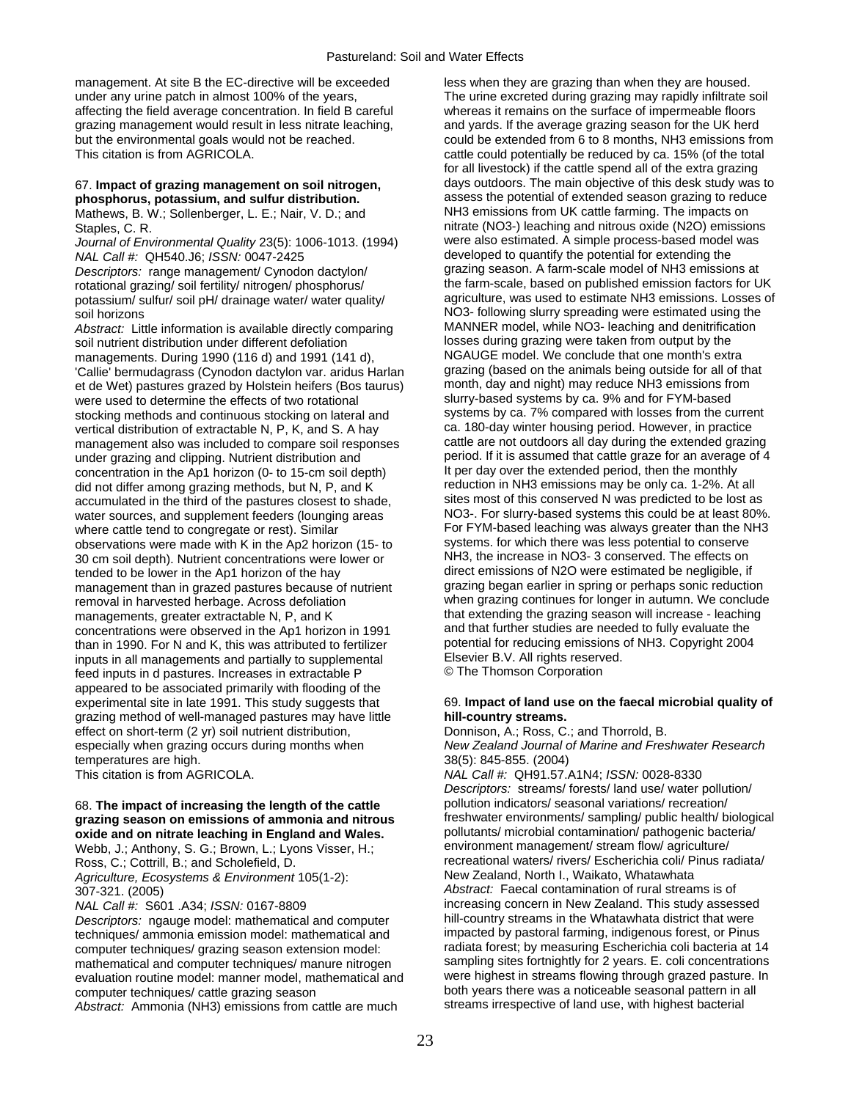management. At site B the EC-directive will be exceeded less when they are grazing than when they are housed. affecting the field average concentration. In field B careful whereas it remains on the surface of impermeable floors grazing management would result in less nitrate leaching, This citation is from AGRICOLA. Cattle could potentially be reduced by ca. 15% (of the total

# Mathews, B. W.; Sollenberger, L. E.; Nair, V. D.; and

*Journal of Environmental Quality* 23(5): 1006-1013. (1994) *NAL Call #:* QH540.J6; *ISSN:* 0047-2425 developed to quantify the potential for extending the

potassium/ sulfur/ soil pH/ drainage water/ water quality/

Abstract: Little information is available directly comparing MANNER model, while NO3- leaching and denitrifica<br>soil nutrient distribution under different defoliation **by the solution** losses during grazing were taken from soil nutrient distribution under different defoliation losses during grazing were taken from output by the<br>managements During 1990 (116 d) and 1991 (141 d) RGAUGE model. We conclude that one month's extra managements. During 1990 (116 d) and 1991 (141 d), NGAUGE model. We conclude that one month's extra<br>Callie' bermudagrass (Cynodon dactylon var, aridus Harlan grazing (based on the animals being outside for all of that 'Callie' bermudagrass (Cynodon dactylon var. aridus Harlan grazing (based on the animals being outside for all of that<br>et de Wet) pastures grazed by Holstein heifers (Bos taurus) month, day and night) may reduce NH3 emissi et de Wet) pastures grazed by Holstein heifers (Bos taurus) were used to determine the effects of two rotational slurry-based systems by ca. 9% and for FYM-based stocking methods and continuous stocking on lateral and systems by ca. 7% compared with losses from the current<br>vertical distribution of extractable N. P. K. and S. A hay ca. 180-day winter housing period. However, in prac vertical distribution of extractable N, P, K, and S. A hay ca. 180-day winter housing period. However, in practice<br>management also was included to compare soil responses cattle are not outdoors all day during the extended management also was included to compare soil responses concentration in the Ap1 horizon (0- to 15-cm soil depth) It per day over the extended period, then the monthly<br>It per day over the extended period, then the monthly<br>reduction in NH3 emissions may be only ca. 1-2%. At all did not differ among grazing methods, but N, P, and K reduction in NH3 emissions may be only ca. 1-2%. At all<br>Accumulated in the third of the pastures closest to shade sites most of this conserved N was predicted to be los accumulated in the third of the pastures closest to shade, water sources, and supplement feeders (lounging areas NO3-. For slurry-based systems this could be at least 80%. where cattle tend to congregate or rest). Similar Forman For FYM-based leaching was always greater than the NH3<br>observations were made with K in the Ap2 horizon (15- to systems, for which there was less potential to conser observations were made with K in the Ap2 horizon (15- to systems. for which there was less potential to conserve<br>30 cm soil depth). Nutrient concentrations were lower or NH3, the increase in NO3- 3 conserved. The effects o 30 cm soil depth). Nutrient concentrations were lower or NH3, the increase in NO3- 3 conserved. The effects on<br>
1. direct emissions of N2O were estimated be negligible, if tended to be lower in the Ap1 horizon of the hay direct emissions of N2O were estimated be negligible, if<br>management than in grazed pastures because of nutrient grazing began earlier in spring or perhaps sonic reduction management than in grazed pastures because of nutrient removal in harvested herbage. Across defoliation managements, greater extractable N, P, and K that extending the grazing season will increase - leaching<br>
concentrations were observed in the Ap1 horizon in 1991 and that further studies are needed to fully evaluate the concentrations were observed in the Ap1 horizon in 1991 than in 1990. For N and K, this was attributed to fertilizer potential for reducing emissions of NH3. Copyright 2004<br>
inputs in all managements and partially to supplemental Elsevier B.V. All rights reserved. inputs in all managements and partially to supplemental Elsevier B.V. All rights reserved.<br>
Fluit teed inputs in d pastures, Increases in extractable P<br>
C The Thomson Corporation feed inputs in d pastures. Increases in extractable P appeared to be associated primarily with flooding of the grazing method of well-managed pastures may have little **hill-country streams.**  effect on short-term (2 yr) soil nutrient distribution, Donnison, A.; Ross, C.; and Thorrold, B. especially when grazing occurs during months when *New Zealand Journal of Marine and Freshwater Research* temperatures are high. 38(5): 845-855. (2004)

# **grazing season on emissions of ammonia and nitrous** freshwater environments/ sampling/ public health/ biologing<br> **oxide and on nitrate leaching in England and Wales.** Pollutants/ microbial contamination/ pathogenic bacter

Webb, J.; Anthony, S. G.; Brown, L.; Lyons Visser, H.; Ross, C.; Cottrill, B.; and Scholefield, D. Agriculture, Ecosystems & Environment 105(1-2):

*Descriptors:* ngauge model: mathematical and computer hill-country streams in the Whatawhata district that were techniques/ ammonia emission model: mathematical and impacted by pastoral farming, indigenous forest, or Pinus computer techniques/ grazing season extension model: radiata forest; by measuring Escherichia coli bacteria at 14<br>mathematical and computer techniques/ manure pitrogen sampling sites fortnightly for 2 years. E. coli concen mathematical and computer techniques/ manure nitrogen sampling sites fortnightly for 2 years. E. coli concentrations<br>evaluation routine model: manner model, mathematical and were highest in streams flowing through grazed p evaluation routine model: manner model, mathematical and computer techniques/ cattle grazing season both years there was a noticeable seasonal pattern in all<br>Abstract: Ammonia (NH3) emissions from cattle are much streams irrespective of land use, with highest bacterial *Abstract: Ammonia (NH3) emissions from cattle are much* 

under any urine patch in almost 100% of the years, The urine excreted during grazing may rapidly infiltrate soil but the environmental goals would not be reached. could be extended from 6 to 8 months, NH3 emissions from for all livestock) if the cattle spend all of the extra grazing 67. **Impact of grazing management on soil nitrogen,** days outdoors. The main objective of this desk study was to **phosphorus, potassium, and sulfur distribution. assess the potential of extended season grazing to reduce Mathews. B. W.: Sollenberger, L. E.: Nair. V. D.: and <b>N.** 2001 **N.** 2001 **Stephender of the extended season graz** Staples, C. R. C. R. C. R. nitrate (NO3-) leaching and nitrous oxide (N2O) emissions<br>Staples of Fnyironmental Quality 23(5): 1006-1013. (1994) were also estimated. A simple process-based model was *Descriptors:* range management/ Cynodon dactylon/ grazing season. A farm-scale model of NH3 emissions at rotational grazing of the farm-scale, based on published emission factors for UK rotational grazing/ soil fertility/ nitrogen/ phosphorus/ the farm-scale, based on published emission factors for UK<br>notassium/ sulfur/ soil pH/ drainage water/ water quality/ agriculture, was used to estimate NH3 emission soil horizons<br>absorb intervention is available directly comparing and MO3- following slurry spreading were estimated using the<br>Abstract: Little information is available directly comparing MANNER model, while NO3- leaching under grazing and clipping. Nutrient distribution and period. If it is assumed that cattle graze for an average of 4<br>concentration in the Ap1 horizon (0- to 15-cm soil depth) It per day over the extended period, then the m when grazing continues for longer in autumn. We conclude

## experimental site in late 1991. This study suggests that **69. Impact of land use on the faecal microbial quality of**

This citation is from AGRICOLA. *NAL Call #:* QH91.57.A1N4; *ISSN:* 0028-8330 *Descriptors:* streams/ forests/ land use/ water pollution/ 68. **The impact of increasing the length of the cattle** *pollution indicators/* seasonal variations/ recreation/<br> **grazing season on emissions of ammonia and nitrous** freshwater environments/ sampling/ public health/ biolo **oxide and on nitrate leaching in England and Wales.** <sup>pollutants/ microbial contamination/ pathogenic bact</sub><br>Webb, J.: Anthony, S. G.: Brown, L.: Lyons Visser, H.: **process and the environment management/ stream flow/ agri</sup>** recreational waters/ rivers/ Escherichia coli/ Pinus radiata/<br>New Zealand, North I., Waikato, Whatawhata 307-321. (2005) *Abstract:* Faecal contamination of rural streams is of *NAL Call #:* S601 .A34; *ISSN:* 0167-8809 increasing concern in New Zealand. This study assessed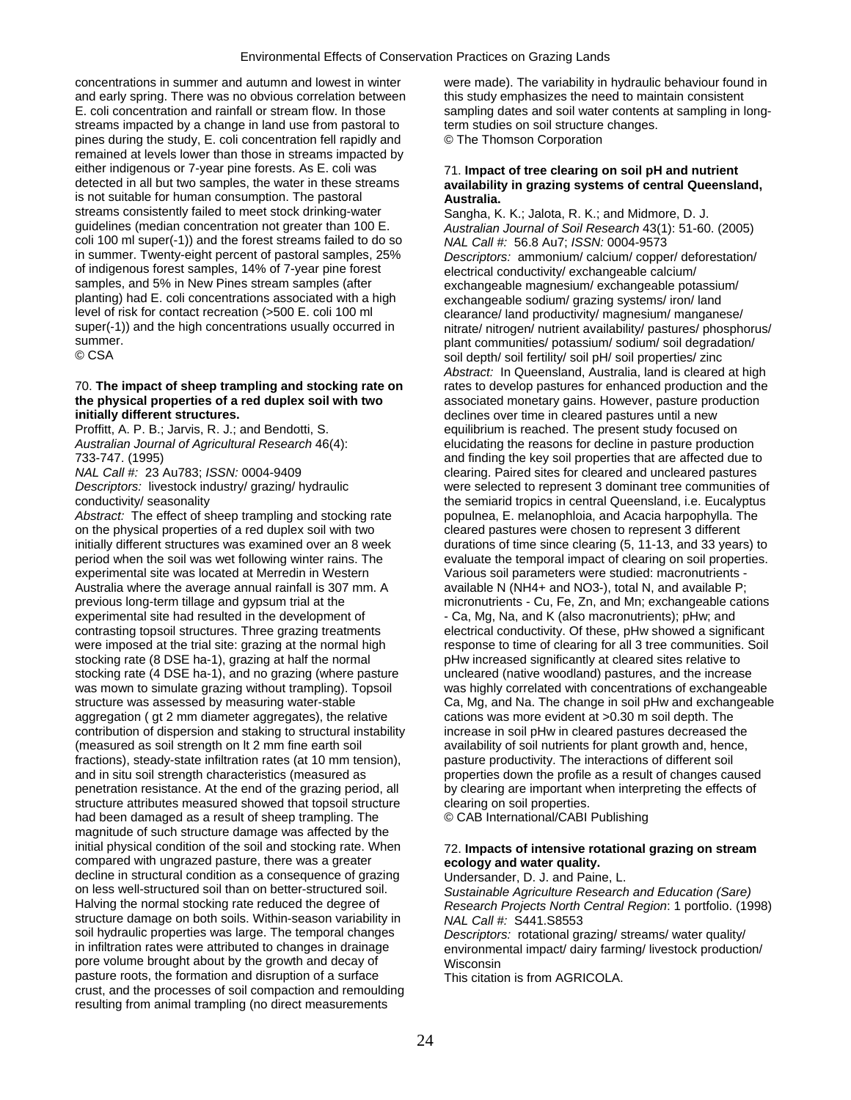concentrations in summer and autumn and lowest in winter were made). The variability in hydraulic behaviour found in and early spring. There was no obvious correlation between this study emphasizes the need to maintain consistent<br>E. coli concentration and rainfall or stream flow. In those sampling dates and soil water contents at samplin streams impacted by a change in land use from pastoral to term studies on soil structure changes. pines during the study, E. coli concentration fell rapidly and © The Thomson Corporation remained at levels lower than those in streams impacted by either indigenous or 7-year pine forests. As E. coli was 71. **Impact of tree clearing on soil pH and nutrient**<br>detected in all but two samples, the water in these streams **availability in grazing systems of central Queensl** is not suitable for human consumption. The pastoral **Australia.**<br>
streams consistently failed to meet stock drinking-water **Australia.** streams consistently failed to meet stock drinking-water Sangha, K. K.; Jalota, R. K.; and Midmore, D. J. quidelines (median concentration not greater than 100 E. coli 100 ml super(-1)) and the forest streams failed to do so *NAL Call #:* 56.8 Au7; *ISSN:* 0004-9573 in summer. Twenty-eight percent of pastoral samples, 25% *Descriptors:* ammonium/ calcium/ copper/ deforestation/ of indigenous forest samples, 14% of 7-year pine forest electrical conductivity/ exchangeable calcium/<br>samples, and 5% in New Pines stream samples (after exchangeable magnesium/ exchangeable pota planting) had E. coli concentrations associated with a high exchangeable sodium/ grazing systems/ iron/ land<br>level of risk for contact recreation (>500 E. coli 100 ml clearance/ land productivity/ magnesium/ mangane level of risk for contact recreation (>500 E. coli 100 ml clearance/ land productivity/ magnesium/ manganese/<br>super(-1)) and the high concentrations usually occurred in entrate/ nitrogen/ nutrient availability/ pastures/ p super(-1)) and the high concentrations usually occurred in nitrate/ nitrogen/ nutrient availability/ pastures/ phosphorus/<br>nitrate/ nitrogen/ nutrient availability/ pastures/ phosphorus/<br>nitrate/ nitrogen/ nutries/ potassi

## 70. **The impact of sheep trampling and stocking rate on** rates to develop pastures for enhanced production and the **the physical properties of a red duplex soil with two** associated monetary gains. However, pasture production **initially different structures. declines** over time in cleared pastures until a new

Abstract: The effect of sheep trampling and stocking rate populnea, E. melanophloia, and Acacia harpophylla. The on the physical properties of a red duplex soil with two cleared pastures were chosen to represent 3 different<br>
initially different structures was examined over an 8 week durations of time since clearing (5, 11-13, and 33 initially different structures was examined over an 8 week durations of time since clearing (5, 11-13, and 33 years) to period when the soil was wet following winter rains. The evaluate the temporal impact of clearing on s experimental site was located at Merredin in Western Various soil parameters were studied: macronutrients -Australia where the average annual rainfall is 307 mm. A available N (NH4+ and NO3-), total N, and available P; previous long-term tillage and gypsum trial at the micronutrients - Cu, Fe, Zn, and Mn; exchangeable cations experimental site had resulted in the development of - Ca, Mg, Na, and K (also macronutrients); pHw; and contrasting topsoil structures. Three grazing treatments electrical conductivity. Of these, pHw showed a significant were imposed at the trial site: grazing at the normal high response to time of clearing for all 3 tree communities. Soil stocking rate (8 DSE ha-1), grazing at half the normal pHw increased significantly at cleared sites relative to stocking rate (4 DSE ha-1), and no grazing (where pasture uncleared (native woodland) pastures, and the increase was mown to simulate grazing without trampling). Topsoil was highly correlated with concentrations of exchangeable aggregation (gt 2 mm diameter aggregates), the relative cations was more evident at >0.30 m soil depth. The contribution of dispersion and staking to structural instability increase in soil pHw in cleared pastures decreased the (measured as soil strength on lt 2 mm fine earth soil availability of soil nutrients for plant growth and, hence, fractions), steady-state infiltration rates (at 10 mm tension), pasture productivity. The interactions of different soil and in situ soil strength characteristics (measured as properties down the profile as a result of changes caused penetration resistance. At the end of the grazing period, all by clearing are important when interpreting the effects of structure attributes measured showed that topsoil structure clearing on soil properties. had been damaged as a result of sheep trampling. The  $\heartsuit$  CAB International/CABI Publishing magnitude of such structure damage was affected by the initial physical condition of the soil and stocking rate. When 72. **Impacts of intensive rotational grazing on stream** compared with ungrazed pasture, there was a greater ecology and water quality. compared with ungrazed pasture, there was a greater decline in structural condition as a consequence of grazing Undersander, D. J. and Paine, L.<br>
on less well-structured soil than on better-structured soil. Sustainable Agriculture Research on less well-structured soil than on better-structured soil. *Sustainable Agriculture Research and Education (Sare)*  structure damage on both soils. Within-season variability in *NAL Call #:* S441.S8553 soil hydraulic properties was large. The temporal changes *Descriptors:* rotational grazing/ streams/ water quality/<br>in infiltration rates were attributed to changes in drainage environmental impact/ dairy farming/ livesto pore volume brought about by the growth and decay of Wisconsin pasture roots, the formation and disruption of a surface This citation is from AGRICOLA. crust, and the processes of soil compaction and remoulding resulting from animal trampling (no direct measurements

sampling dates and soil water contents at sampling in long-

# availability in grazing systems of central Queensland,

Australian Journal of Soil Research 43(1): 51-60. (2005) exchangeable magnesium/ exchangeable potassium/ summer.<br>
and the plant communities/ potassium/ sodium/ soil degradation/<br>
equal denth/ soil dertility/ soil nH/ soil properties/ zinc soil depth/ soil fertility/ soil pH/ soil properties/ zinc *Abstract:* In Queensland, Australia, land is cleared at high Proffitt, A. P. B.; Jarvis, R. J.; and Bendotti, S. equilibrium is reached. The present study focused on *Australian Journal of Agricultural Research* 46(4): elucidating the reasons for decline in pasture production 733-747. (1995) and finding the key soil properties that are affected due to *NAL Call #:* 23 Au783; *ISSN:* 0004-9409 clearing. Paired sites for cleared and uncleared pastures *Descriptors:* livestock industry/ grazing/ hydraulic were selected to represent 3 dominant tree communities of conductivity/ seasonality the semiarid tropics in central Queensland, i.e. Eucalyptus evaluate the temporal impact of clearing on soil properties. structure was assessed by measuring water-stable Ca, Mg, and Na. The change in soil pHw and exchangeable

Research Projects North Central Region: 1 portfolio. (1998)

environmental impact/ dairy farming/ livestock production/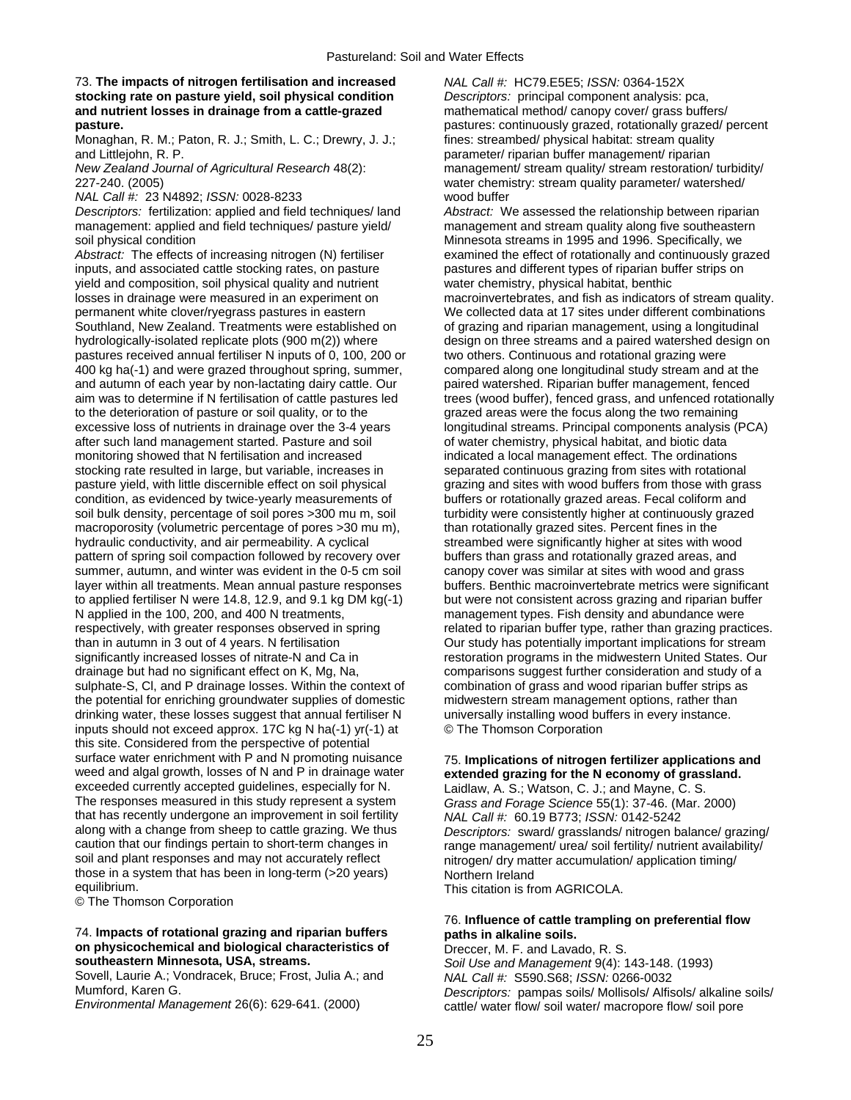## 73. **The impacts of nitrogen fertilisation and increased** *NAL Call #:* HC79.E5E5; *ISSN:* 0364-152X **stocking rate on pasture yield, soil physical condition** *Descriptors:* principal component analysis: pca, **and nutrient losses in drainage from a cattle-grazed** mathematical method/ canopy cover/ grass buffers/

Monaghan, R. M.; Paton, R. J.; Smith, L. C.; Drewry, J. J.; fines: streambed/ physical habitat: stream quality and Littlejohn, R. P. parameter/ riparian buffer management/ riparian buffer management/ riparian

*NAL Call #:* 23 N4892; *ISSN:* 0028-8233 wood buffer

*Descriptors:* fertilization: applied and field techniques/ land *Abstract:* We assessed the relationship between riparian management: applied and field techniques/ pasture yield/ management and stream quality along five southeastern soil physical condition **Minnesota streams in 1995 and 1996**. Specifically, we

inputs, and associated cattle stocking rates, on pasture pastures and different types of riparian buffer strips on yield and composition, soil physical quality and nutrient water chemistry, physical habitat, benthic losses in drainage were measured in an experiment on macroinvertebrates, and fish as indicators of stream quality. permanent white clover/ryegrass pastures in eastern We collected data at 17 sites under different combinations Southland, New Zealand. Treatments were established on of grazing and riparian management, using a longitudinal hydrologically-isolated replicate plots (900 m(2)) where design on three streams and a paired watershed design on pastures received annual fertiliser N inputs of 0, 100, 200 or two others. Continuous and rotational grazing were 400 kg ha(-1) and were grazed throughout spring, summer, compared along one longitudinal study stream and at the and autumn of each year by non-lactating dairy cattle. Our paired watershed. Riparian buffer management, fenced aim was to determine if N fertilisation of cattle pastures led trees (wood buffer), fenced grass, and unfenced rotationally to the deterioration of pasture or soil quality, or to the grazed areas were the focus along the two remaining excessive loss of nutrients in drainage over the 3-4 years longitudinal streams. Principal components analysis (PCA) after such land management started. Pasture and soil of water chemistry, physical habitat, and biotic data monitoring showed that N fertilisation and increased indicated a local management effect. The ordinations stocking rate resulted in large, but variable, increases in separated continuous grazing from sites with rotational pasture yield, with little discernible effect on soil physical grazing and sites with wood buffers from those with grass condition, as evidenced by twice-yearly measurements of buffers or rotationally grazed areas. Fecal coliform and soil bulk density, percentage of soil pores >300 mu m, soil turbidity were consistently higher at continuously grazed macroporosity (volumetric percentage of pores >30 mu m), than rotationally grazed sites. Percent fines in the hydraulic conductivity, and air permeability. A cyclical streambed were significantly higher at sites with wood pattern of spring soil compaction followed by recovery over buffers than grass and rotationally grazed areas, and summer, autumn, and winter was evident in the 0-5 cm soil canopy cover was similar at sites with wood and grass layer within all treatments. Mean annual pasture responses buffers. Benthic macroinvertebrate metrics were significant to applied fertiliser N were 14.8, 12.9, and 9.1 kg DM kg(-1) but were not consistent across grazing and riparian buffer N applied in the 100, 200, and 400 N treatments, management types. Fish density and abundance were respectively, with greater responses observed in spring related to riparian buffer type, rather than grazing practices. than in autumn in 3 out of 4 years. N fertilisation Our study has potentially important implications for stream significantly increased losses of nitrate-N and Ca in restoration programs in the midwestern United States. Our drainage but had no significant effect on K, Mg, Na, comparisons suggest further consideration and study of a<br>sulphate-S, Cl, and P drainage losses. Within the context of combination of grass and wood riparian buffer strip sulphate-S, Cl, and P drainage losses. Within the context of the potential for enriching groundwater supplies of domestic midwestern stream management options, rather than drinking water, these losses suggest that annual fertiliser N universally installing wood buffers in every instance. inputs should not exceed approx. 17C kg N ha(-1)  $yr(-1)$  at  $\qquad \qquad \textcircled{The Thomson Corporation}$ this site. Considered from the perspective of potential surface water enrichment with P and N promoting nuisance 75. **Implications of nitrogen fertilizer applications and**  weed and algal growth, losses of N and P in drainage water **extended grazing for the N economy of grassland.**  exceeded currently accepted guidelines, especially for N.<br>The responses measured in this study represent a system Grass and Forage Science 55(1): 37-46 (Mar 2) that has recently undergone an improvement in soil fertility *NAL Call #:* 60.19 B773; *ISSN:* 0142-5242<br>along with a change from sheep to cattle grazing. We thus *Descriptors: sward/* grasslands/ nitrogen ba along with a change from sheep to cattle grazing. We thus *Descriptors:* sward/ grasslands/ nitrogen balance/ grazing/ caution that our findings pertain to short-term changes in range management/ urea/ soil fertility/ nutrient availability/<br>soil and plant responses and may not accurately reflect his reprocent dry matter accumulation/ appli those in a system that has been in long-term (>20 years) Northern Ireland<br>equilibrium. This citation is free

© The Thomson Corporation

## 74. **Impacts of rotational grazing and riparian buffers paths in alkaline soils. on physicochemical and biological characteristics of Figure 2018** Dreccer, M. F. and Lavado, R. S. southeastern Minnesota, USA, streams. Soil Use and Management 9(4): 1

Sovell, Laurie A.; Vondracek, Bruce; Frost, Julia A.; and *NAL Call #:* S590.S68; *ISSN:* 0266-0032

**pasture.** pastures: continuously grazed, rotationally grazed/ percent *New Zealand Journal of Agricultural Research* 48(2): management/ stream quality/ stream restoration/ turbidity/ 227-240. (2005) water chemistry: stream quality parameter/ watershed/

Abstract: The effects of increasing nitrogen (N) fertiliser examined the effect of rotationally and continuously grazed

Grass and Forage Science 55(1): 37-46. (Mar. 2000) nitrogen/ dry matter accumulation/ application timing/ This citation is from AGRICOLA.

## 76. **Influence of cattle trampling on preferential flow**

Soil Use and Management 9(4): 143-148. (1993) Mumford, Karen G. *Descriptors:* pampas soils/ Mollisols/ Alfisols/ alkaline soils/ cattle/ water flow/ soil water/ macropore flow/ soil pore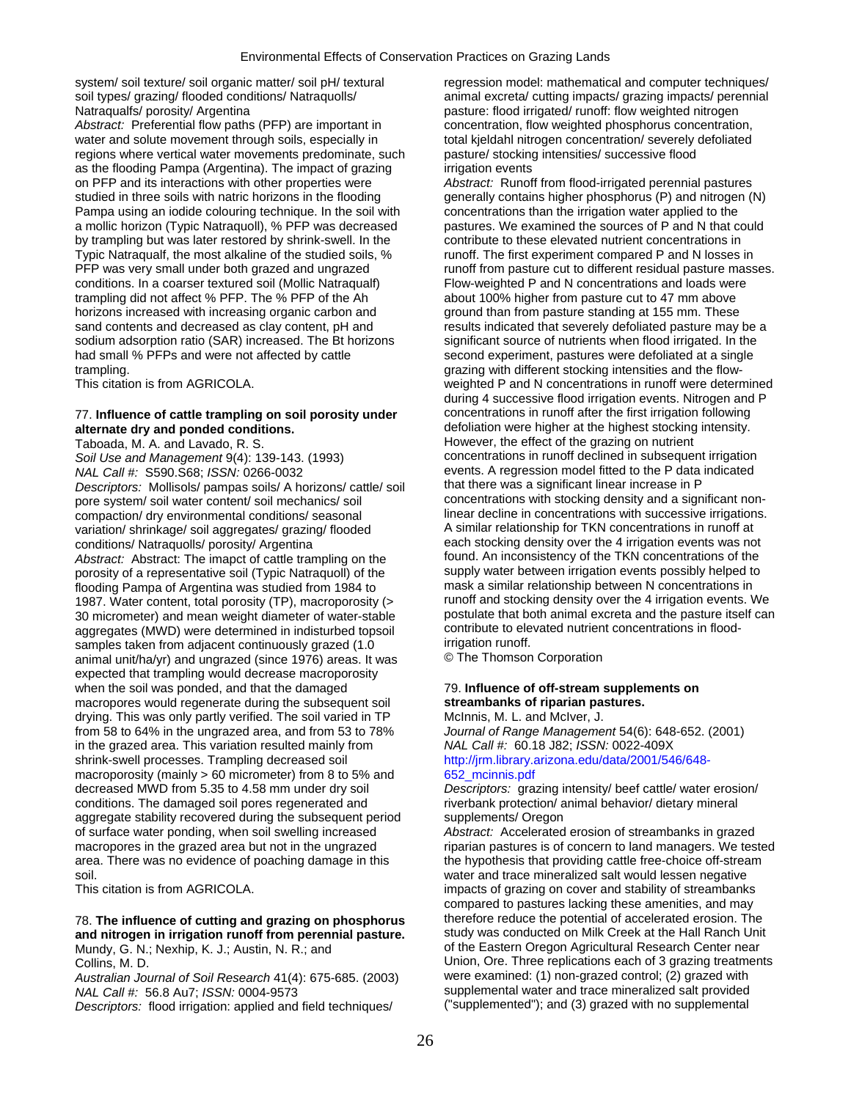Natraqualfs/ porosity/ Argentina pasture: flood irrigated/ runoff: flow weighted nitrogen

water and solute movement through soils, especially in total kieldahl nitrogen concentration/ severely defoliated regions where vertical water movements predominate, such pasture/ stocking intensities/ successive flood as the flooding Pampa (Argentina). The impact of grazing irrigation events on PFP and its interactions with other properties were *Abstract:* Runoff from flood-irrigated perennial pastures studied in three soils with natric horizons in the flooding generally contains higher phosphorus (P) and nitrogen (N) Pampa using an iodide colouring technique. In the soil with concentrations than the irrigation water applied to the a mollic horizon (Typic Natraquoll), % PFP was decreased pastures. We examined the sources of P and N that could by trampling but was later restored by shrink-swell. In the contribute to these elevated nutrient concentrations in Typic Natraqualf, the most alkaline of the studied soils, % runoff. The first experiment compared P and N losses in conditions. In a coarser textured soil (Mollic Natraqualf) Flow-weighted P and N concentrations and loads were trampling did not affect % PFP. The % PFP of the Ah about 100% higher from pasture cut to 47 mm above<br>horizons increased with increasing organic carbon and ground than from pasture standing at 155 mm. These horizons increased with increasing organic carbon and sand contents and decreased as clay content, pH and sodium adsorption ratio (SAR) increased. The Bt horizons significant source of nutrients when flood irrigated. In the had small % PFPs and were not affected by cattle second experiment, pastures were defoliated at a single trampling. grazing with different stocking intensities and the flow-

## **alternate dry and ponded conditions.** defoliation were higher at the highest stocking intensity.

*Soil Use and Management* 9(4): 139-143. (1993) concentrations in runoff declined in subsequent irrigation *NAL Call #:* S590.S68; *ISSN:* 0266-0032 events. A regression model fitted to the P data indicated *Descriptors:* Mollisols/ pampas soils/ A horizons/ cattle/ soil that there was a significant linear increase in P *Descriptors:* Mollisols/ pampas soils/ A horizons/ cattle/ soil that there was a significant linear increase in P pore system/ soil water content/ soil mechanics/ soil compaction/ dry environmental conditions/ seasonal linear decline in concentrations with successive irrigations.<br>
variation/ shrinkage/ soil aggregates/ grazing/ flooded A similar relationship for TKN concentrations in run variation/ shrinkage/ soil aggregates/ grazing/ flooded conditions/ Natraquolls/ porosity/ Argentina each stocking density over the 4 irrigation events was not<br>Abstract: Abstract: The imapct of cattle trampling on the found. An inconsistency of the TKN concentrations of the *Abstract: Abstract: The imapct of cattle trampling on the* found. An inconsistency of the TKN concentrations of the norosity of a representative soil (Typic Natraquol) of the supply water between irrigation events possibl porosity of a representative soil (Typic Natraquoll) of the supply water between irrigation events possibly helped to<br>flooding Pampa of Argentina was studied from 1984 to mask a similar relationship between N concentration flooding Pampa of Argentina was studied from 1984 to mask a similar relationship between N concentrations in<br>1987, Water content, total porosity (TP), macroporosity (> runoff and stocking density over the 4 irrigation even 1987. Water content, total porosity (TP), macroporosity (> aggregates (MWD) were determined in indisturbed topsoil contribute to ele<br>samples taken from adjacent continuously grazed (1.0 irrigation runoff. samples taken from adjacent continuously grazed (1.0 irrigation runoff.<br>animal unit/ha/vr) and ungrazed (since 1976) areas. It was Che Thomson Corporation animal unit/ha/yr) and ungrazed (since 1976) areas. It was expected that trampling would decrease macroporosity when the soil was ponded, and that the damaged **79. Influence of off-stream supplements on** macropores would regenerate during the subsequent soil **streambanks of riparian pastures.**  drying. This was only partly verified. The soil varied in TP McInnis, M. L. and McIver, J. from 58 to 64% in the ungrazed area, and from 53 to 78% *Journal of Range Management* 54(6): 648-652. (2001) in the grazed area. This variation resulted mainly from *NAL Call #:* 60.18 J82; *ISSN:* 0022-409X shrink-swell processes. Trampling decreased soil [http://jrm.library.arizona.edu/data/2001/546/648](http://jrm.library.arizona.edu/data/2001/546/648-652_mcinnis.pdf) macroporosity (mainly  $> 60$  micrometer) from 8 to 5% and 652 mcinnis.pdf decreased MWD from 5.35 to 4.58 mm under dry soil *Descriptors:* grazing intensity/ beef cattle/ water erosion/ conditions. The damaged soil pores regenerated and riverbank protection/ animal behavior/ dietary mineral aggregate stability recovered during the subsequent period supplements/ Oregon of surface water ponding, when soil swelling increased *Abstract:* Accelerated erosion of streambanks in grazed macropores in the grazed area but not in the ungrazed riparian pastures is of concern to land managers. We tested area. There was no evidence of poaching damage in this the hypothesis that providing cattle free-choice off-stream soil. water and trace mineralized salt would lessen negative

78. The influence of cutting and grazing on phosphorus **and nitrogen in irrigation runoff from perennial pasture.** study was conducted on Milk Creek at the Hall Ranch Unit Mundy, G. N.; Nexhip, K. J.; Austin, N. R.; and **of the Eastern Oregon Agricultural Research Center near** 

*Australian Journal of Soil Research* 41(4): 675-685. (2003) *NAL Call #:* 56.8 Au7; *ISSN:* 0004-9573<br>*Descriptors:* flood irrigation: applied and field techniques/ ("supplemented"); and (3) grazed with no supplemental *Descriptors:* flood irrigation: applied and field techniques/

system/ soil texture/ soil organic matter/ soil pH/ textural regression model: mathematical and computer techniques/ soil types/ grazing/ flooded conditions/ Natraquolls/ animal excreta/ cutting impacts/ grazing impacts/ perennial *Abstract:* Preferential flow paths (PFP) are important in concentration, flow weighted phosphorus concentration,

PFP was very small under both grazed and ungrazed runoff from pasture cut to different residual pasture masses. results indicated that severely defoliated pasture may be a This citation is from AGRICOLA. weighted P and N concentrations in runoff were determined during 4 successive flood irrigation events. Nitrogen and P 77. **Influence of cattle trampling on soil porosity under** concentrations in runoff after the first irrigation following Taboada, M. A. and Lavado, R. S. However, the effect of the grazing on nutrient 30 micrometer) and mean weight diameter of water-stable postulate that both animal excreta and the pasture itself can<br>angregates (MWD) were determined in indisturbed topsoil contribute to elevated nutrient concentrations i

This citation is from AGRICOLA. impacts of grazing on cover and stability of streambanks compared to pastures lacking these amenities, and may therefore reduce the potential of accelerated erosion. The Collins, M. D.<br>
Collins, M. D.<br>
Australian Journal of Soil Research 41(4): 675-685. (2003) were examined: (1) non-grazed control; (2) grazed with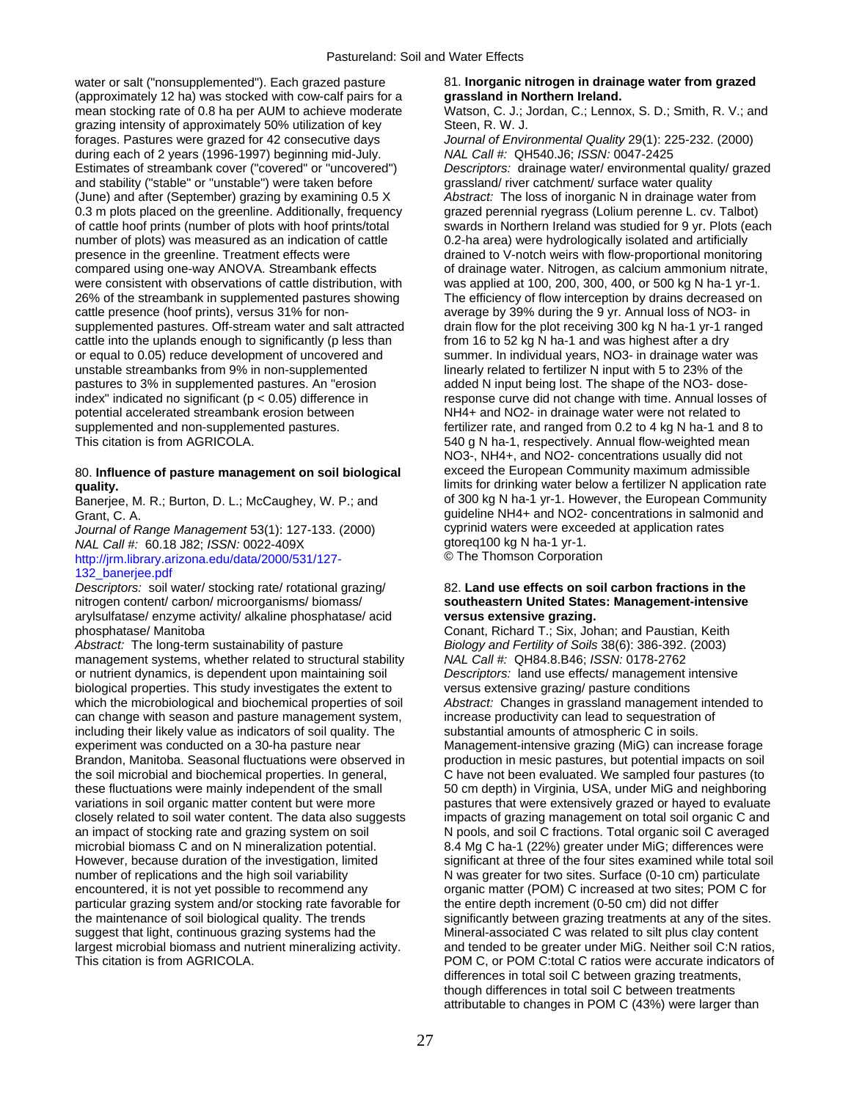water or salt ("nonsupplemented"). Each grazed pasture 81. **Inorganic nitrogen in drainage water from grazed** (approximately 12 ha) was stocked with cow-calf pairs for a **grassland in Northern Ireland.**  mean stocking rate of 0.8 ha per AUM to achieve moderate Watson, C. J.; Jordan, C.; Lennox, S. D.; Smith, R. V.; and grazing intensity of approximately 50% utilization of key Steen, R. W. J. forages. Pastures were grazed for 42 consecutive days *Journal of Environmental Quality* 29(1): 225-232. (2000) during each of 2 years (1996-1997) beginning mid-July. *NAL Call #:* QH540.J6; *ISSN:* 0047-2425 Estimates of streambank cover ("covered" or "uncovered") *Descriptors:* drainage water/ environmental quality/ grazed and stability ("stable" or "unstable") were taken before grassland/ river catchment/ surface water quality (June) and after (September) grazing by examining 0.5 X *Abstract:* The loss of inorganic N in drainage water from 0.3 m plots placed on the greenline. Additionally, frequency grazed perennial ryegrass (Lolium perenne L. cv. Talbot) of cattle hoof prints (number of plots with hoof prints/total swards in Northern Ireland was studied for 9 yr. Plots (each number of plots) was measured as an indication of cattle  $0.2$ -ha area) were hydrologically isolated and artificially presence in the greenline. Treatment effects were drained to V-notch weirs with flow-proportional monitoring<br>
compared using one-way ANOVA. Streambank effects of drainage water. Nitrogen, as calcium ammonium nitrate were consistent with observations of cattle distribution, with was applied at 100, 200, 300, 400, or 500 kg N ha-1 yr-1. 26% of the streambank in supplemented pastures showing The efficiency of flow interception by drains decreased on cattle presence (hoof prints), versus 31% for non-<br>average by 39% during the 9 yr. Annual loss of NO3- in supplemented pastures. Off-stream water and salt attracted drain flow for the plot receiving 300 kg N ha-1 yr-1 ranged cattle into the uplands enough to significantly (p less than from 16 to 52 kg N ha-1 and was highest after a dry or equal to 0.05) reduce development of uncovered and summer. In individual years, NO3- in drainage water was unstable streambanks from 9% in non-supplemented linearly related to fertilizer N input with 5 to 23% of the pastures to 3% in supplemented pastures. An "erosion added N input being lost. The shape of the NO3- doseindex" indicated no significant ( $p < 0.05$ ) difference in response curve did not change with time. Annual losses of potential accelerated streambank erosion between NH4+ and NO2- in drainage water were not related to supplemented and non-supplemented pastures. fertilizer rate, and ranged from 0.2 to 4 kg N ha-1 and 8 to This citation is from AGRICOLA. This citation is from AGRICOLA. **540 g N** ha-1, respectively. Annual flow-weighted mean

## 80. **Influence of pasture management on soil biological** exceed the European Community maximum admissible

Banerjee, M. R.; Burton, D. L.; McCaughey, W. P.; and

*Journal of Range Management* 53(1): 127-133. (2000) cyprinid waters were exce<br> *NAL Call* #: 60.18.J82: *ISSN:* 0022-409X<br>
gtoreq100 kg N ha-1 yr-1. *NAL Call #:* 60.18 J82; *ISSN:* 0022-409X gtoreq100 kg N ha-1 yr-1.<br>http://irm.library.arizona.edu/data/2000/531/127- <br>
© The Thomson Corporation [http://jrm.library.arizona.edu/data/2000/531/127-](http://jrm.library.arizona.edu/data/2000/531/127-132_banerjee.pdf)

## [132\\_banerjee.pdf](http://jrm.library.arizona.edu/data/2000/531/127-132_banerjee.pdf)

nitrogen content/ carbon/ microorganisms/ biomass/ **southeastern United States: Management-intensive**  arylsulfatase/ enzyme activity/ alkaline phosphatase/ acid **versus extensive grazing.**  phosphatase/ Manitoba Conant, Richard T.; Six, Johan; and Paustian, Keith

*Abstract:* The long-term sustainability of pasture *Biology and Fertility of Soils* 38(6): 386-392. (2003) management systems, whether related to structural stability *NAL Call #:* QH84.8.B46; *ISSN:* 0178-2762 or nutrient dynamics, is dependent upon maintaining soil *Descriptors:* land use effects/ management intensive biological properties. This study investigates the extent to versus extensive grazing/ pasture conditions which the microbiological and biochemical properties of soil *Abstract:* Changes in grassland management intended to can change with season and pasture management system, increase productivity can lead to sequestration of including their likely value as indicators of soil quality. The substantial amounts of atmospheric C in soils. experiment was conducted on a 30-ha pasture near Management-intensive grazing (MiG) can increase forage Brandon, Manitoba. Seasonal fluctuations were observed in production in mesic pastures, but potential impacts on soil the soil microbial and biochemical properties. In general, Chave not been evaluated. We sampled four pastures (to these fluctuations were mainly independent of the small 50 cm depth) in Virginia, USA, under MiG and neighboring variations in soil organic matter content but were more pastures that were extensively grazed or hayed to evaluate closely related to soil water content. The data also suggests impacts of grazing management on total soil organic C and an impact of stocking rate and grazing system on soil N pools, and soil C fractions. Total organic soil C averaged microbial biomass C and on N mineralization potential. 8.4 Mg C ha-1 (22%) greater under MiG; differences were However, because duration of the investigation, limited significant at three of the four sites examined while total soil number of replications and the high soil variability N was greater for two sites. Surface (0-10 cm) particulate encountered, it is not yet possible to recommend any organic matter (POM) C increased at two sites; POM C for particular grazing system and/or stocking rate favorable for the entire depth increment (0-50 cm) did not differ<br>the maintenance of soil biological quality. The trends significantly between grazing treatments at any of suggest that light, continuous grazing systems had the Mineral-associated C was related to silt plus clay content largest microbial biomass and nutrient mineralizing activity. and tended to be greater under MiG. Neither soil C:N ratios,<br>This citation is from AGRICOLA. POM C. or POM C. total C ratios were accurate indicators of

of drainage water. Nitrogen, as calcium ammonium nitrate, average by 39% during the 9 yr. Annual loss of NO3- in NO3-, NH4+, and NO2- concentrations usually did not **quality.**<br> **alimits for drinking water below a fertilizer N application rate**<br> **Baneriee M R · Burton D L · McCaughey W P · and** of 300 kg N ha-1 yr-1. However, the European Community Grant, C. A. Grant, C. A. guideline NH4+ and NO2- concentrations in salmonid and<br>Cournal of Range Management 53(1): 127-133. (2000) cyprinid waters were exceeded at application rates

# *Descriptors:* soil water/ stocking rate/ rotational grazing/ 82. **Land use effects on soil carbon fractions in the**

significantly between grazing treatments at any of the sites. POM C, or POM C:total C ratios were accurate indicators of differences in total soil C between grazing treatments, though differences in total soil C between treatments attributable to changes in POM C (43%) were larger than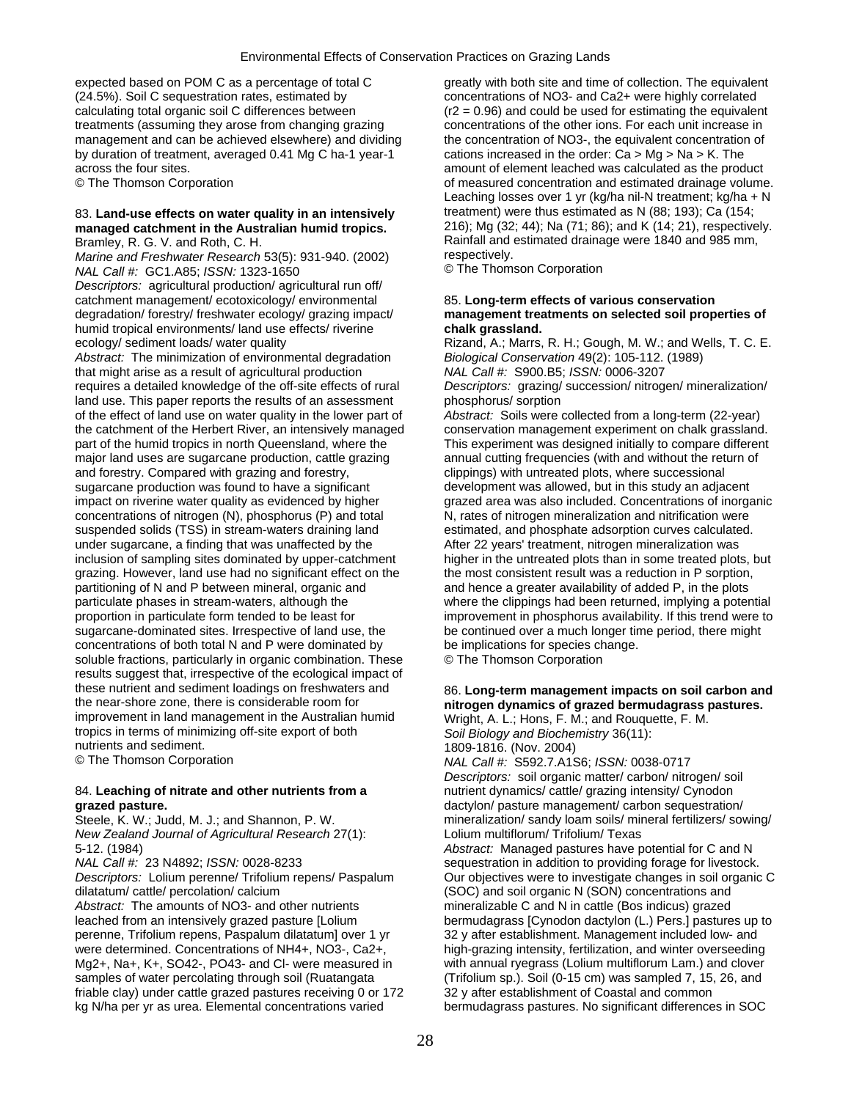expected based on POM C as a percentage of total C greatly with both site and time of collection. The equivalent (24.5%). Soil C sequestration rates, estimated by concentrations of NO3- and Ca2+ were highly correlated calculating total organic soil C differences between  $(r2 = 0.96)$  and could be used for estimating the equivalent treatments (assuming they arose from changing grazing concentrations of the other ions. For each unit increa management and can be achieved elsewhere) and dividing the concentration of NO3-, the equivalent concentration of by duration of treatment, averaged 0.41 Mg C ha-1 year-1 cations increased in the order: Ca > Mg > Na > K. The across the four sites. amount of element leached was calculated as the product

## **managed catchment in the Australian humid tropics.**

*Marine and Freshwater Research* 53(5): 931-940. (2002) respectively.<br>NAL Call #: GC1.A85: ISSN: 1323-1650 *NAL Call #: GC1.A85; ISSN: 1323-1650 Descriptors:* agricultural production/ agricultural run off/ catchment management/ ecotoxicology/ environmental 85. **Long-term effects of various conservation**  humid tropical environments/ land use effects/ riverine **chalk grassland.** 

*Abstract:* The minimization of environmental degradation *Biological Conservation* 49(2): 105-112. (1989) that might arise as a result of agricultural production *NAL Call #:* S900.B5; *ISSN:* 0006-3207 requires a detailed knowledge of the off-site effects of rural *Descriptors:* grazing/ succession/ nitrogen/ mineralization/ land use. This paper reports the results of an assessment phosphorus/ sorption of the effect of land use on water quality in the lower part of *Abstract:* Soils were collected from a long-term (22-year) the catchment of the Herbert River, an intensively managed conservation management experiment on chalk grassland. part of the humid tropics in north Queensland, where the This experiment was designed initially to compare different major land uses are sugarcane production, cattle grazing annual cutting frequencies (with and without the return of and forestry. Compared with grazing and forestry, example in principle plots, where successional sugarcane production was found to have a significant development was allowed, but in this study an adjacent concentrations of nitrogen (N), phosphorus (P) and total N, rates of nitrogen mineralization and nitrification were suspended solids (TSS) in stream-waters draining land estimated, and phosphate adsorption curves calculated. under sugarcane, a finding that was unaffected by the After 22 years' treatment, nitrogen mineralization was inclusion of sampling sites dominated by upper-catchment higher in the untreated plots than in some treated plots, but grazing. However, land use had no significant effect on the the most consistent result was a reduction in P sorption, partitioning of N and P between mineral, organic and and hence a greater availability of added P, in the plots particulate phases in stream-waters, although the where the clippings had been returned, implying a potential sugarcane-dominated sites. Irrespective of land use, the be continued over a much longer time period, there might concentrations of both total N and P were dominated by be implications for species change. soluble fractions, particularly in organic combination. These  $\Box$  The Thomson Corporation results suggest that, irrespective of the ecological impact of these nutrient and sediment loadings on freshwaters and 86. **Long-term management impacts on soil carbon and**<br>the near-shore zone, there is considerable room for **the interior of the set of the set of grazed bermudagrass p** improvement in land management in the Australian humid tropics in terms of minimizing off-site export of both *Soil Biology and Biochemistry* 36(11):<br>
nutrients and sediment. (1809-1816, Nov. 2004) nutrients and sediment. 1809-1816. (Nov. 2004)

## 84. **Leaching of nitrate and other nutrients from a** nutrient dynamics/ cattle/ grazing intensity/ Cynodon

*New Zealand Journal of Agricultural Research* 27(1): Lolium multiflorum/ Trifolium/ Texas

dilatatum/ cattle/ percolation/ calcium (SOC) and soil organic N (SON) concentrations and

*Abstract:* The amounts of NO3- and other nutrients mineralizable C and N in cattle (Bos indicus) grazed leached from an intensively grazed pasture [Lolium bermudagrass [Cynodon dactylon (L.) Pers.] pastures up to perenne, Trifolium repens, Paspalum dilatatum] over 1 yr 32 y after establishment. Management included low- and were determined. Concentrations of NH4+, NO3-, Ca2+, high-grazing intensity, fertilization, and winter overseeding Mg2+, Na+, K+, SO42-, PO43- and Cl- were measured in with annual ryegrass (Lolium multiflorum Lam.) and clover samples of water percolating through soil (Ruatangata (Trifolium sp.). Soil (0-15 cm) was sampled 7, 15, 26, and friable clay) under cattle grazed pastures receiving 0 or 172 32 y after establishment of Coastal and common

concentrations of the other ions. For each unit increase in © The Thomson Corporation of measured concentration and estimated drainage volume. Leaching losses over 1 yr (kg/ha nil-N treatment; kg/ha + N 83. Land-use effects on water quality in an intensively treatment) were thus estimated as N (88; 193); Ca (154;<br>managed catchment in the Australian humid tropics. 216); Mg (32; 44); Na (71; 86); and K (14; 21), respectivel Bramley, R. G. V. and Roth, C. H. C. Bramley, R. G. V. and Roth, C. H. Rainfall and estimated drainage were 1840 and 985 mm,<br>Marine and Freshwater Research 53(5): 931-940 (2002) respectively.

# degradation/ forestry/ freshwater ecology/ grazing impact/ **management treatments on selected soil properties of**

ecology/ sediment loads/ water quality **Rigand, A.; Marrs, R. H.; Gough, M. W.; and Wells, T. C. E.** impact on riverine water quality as evidenced by higher grazed area was also included. Concentrations of inorganic proportion in particulate form tended to be least for improvement in phosphorus availability. If this trend were to

# nitrogen dynamics of grazed bermudagrass pastures.<br>Wright, A. L.; Hons, F. M.; and Rouquette, F. M.

© The Thomson Corporation *NAL Call #:* S592.7.A1S6; *ISSN:* 0038-0717 *Descriptors:* soil organic matter/ carbon/ nitrogen/ soil **grazed pasture. dactylon/ pasture management/ carbon sequestration/**  $\alpha$ Steele, K. W.; Judd, M. J.; and Shannon, P. W. mineralization/ sandy loam soils/ mineral fertilizers/ sowing/

5-12. (1984) *Abstract:* Managed pastures have potential for C and N sequestration in addition to providing forage for livestock. *Descriptors:* Lolium perenne/ Trifolium repens/ Paspalum Our objectives were to investigate changes in soil organic C kg N/ha per yr as urea. Elemental concentrations varied bermudagrass pastures. No significant differences in SOC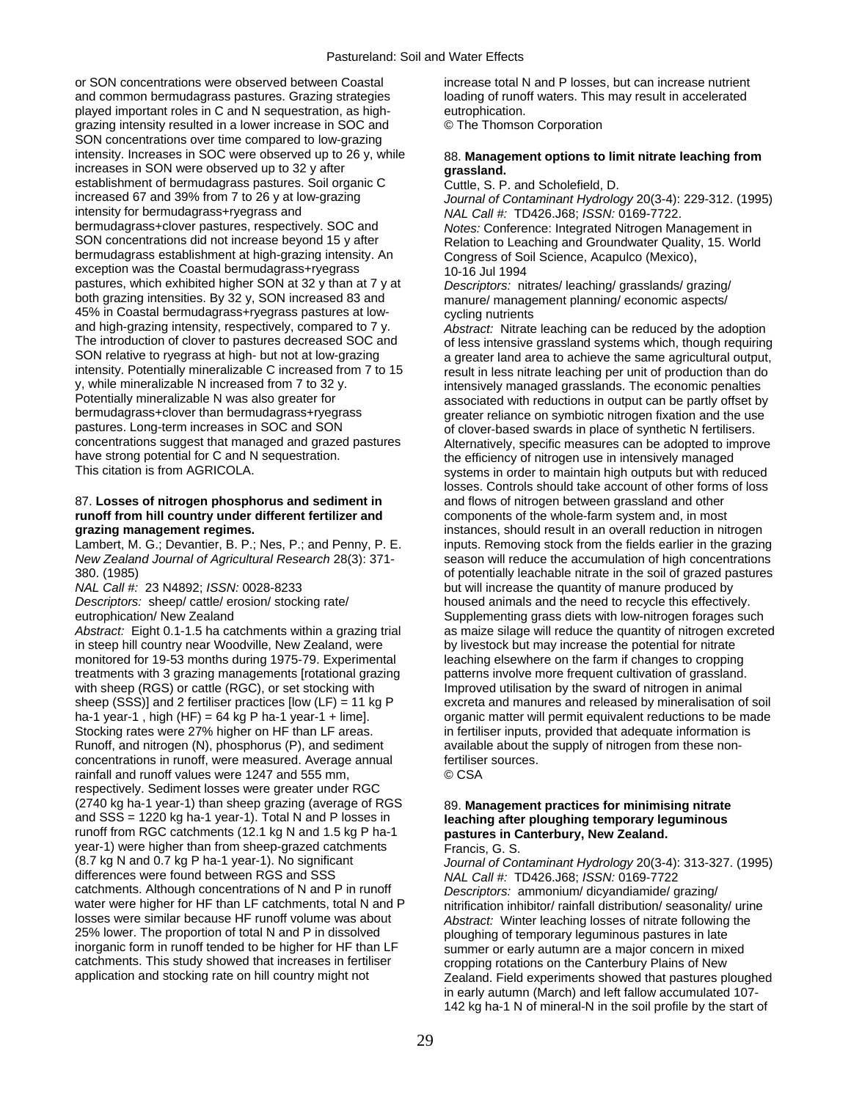or SON concentrations were observed between Coastal increase total N and P losses, but can increase nutrient and common bermudagrass pastures. Grazing strategies loading of runoff waters. This may result in accelerated played important roles in C and N sequestration, as high-<br>eutrophication. played important roles in C and N sequestration, as highgrazing intensity resulted in a lower increase in SOC and © The Thomson Corporation SON concentrations over time compared to low-grazing intensity. Increases in SOC were observed up to 26 y, while 88. **Management options to limit nitrate leaching from**  increases in SON were observed up to 32 y after **grassland. grassland. establishment of bermudagrass pastures.** Soil organic C Cuttle, S. P. and Scholefield, D. establishment of bermudagrass pastures. Soil organic C increased 67 and 39% from 7 to 26 y at low-grazing increased 67 and 39% from 7 to 26 y at low-grazing *Journal of Contaminant Hydrology* 20(3-4): 229-312. (1995) intensity for bermudagrass+ryegrass and *NAL Call #:* TD426.J68; *ISSN:* 0169-7722. bermudagrass+clover pastures, respectively. SOC and *Notes:* Conference: Integrated Nitrogen Management in<br>SON concentrations did not increase beyond 15 y after Relation to Leaching and Groundwater Quality, 15, Worl bermudagrass establishment at high-grazing intensity. An Congress of Soil Science, Acapulco (Mexico), exception was the Coastal bermudagrass+ryegrass 10-16 Jul 1994 pastures, which exhibited higher SON at 32 y than at 7 y at *Descriptors:* nitrates/ leaching/ grasslands/ grazing/ 45% in Coastal bermudagrass+ryegrass pastures at low-<br>and high-grazing intensity, respectively, compared to 7 y. Abstract: Nitrate and high-grazing intensity, respectively, compared to 7 y. *Abstract:* Nitrate leaching can be reduced by the adoption The introduction of clover to pastures decreased SOC and of less intensive grassland systems which, though requiring<br>SON relative to ryegrass at high- but not at low-grazing a greater land area to achieve the same agricult SON relative to ryegrass at high- but not at low-grazing a greater land area to achieve the same agricultural output,<br>intensity. Potentially mineralizable C increased from 7 to 15 result in less nitrate leaching per unit o intensity. Potentially mineralizable C increased from 7 to 15 result in less nitrate leaching per unit of production than do<br>y, while mineralizable N increased from 7 to 32 y. strategies intensively managed grasslands. The y, while mineralizable N increased from 7 to 32 y.<br>
Potentially mineralizable N was also greater for example associated with reductions in output can be partly offset by Potentially mineralizable N was also greater for example associated with reductions in output can be partly offset by<br>bermudagrass+clover than bermudagrass+ryegrass example areater reliance on symbiotic nitrogen fixation a bermudagrass+clover than bermudagrass+ryegrass example are greater reliance on symbiotic nitrogen fixation and the use<br>pastures. Long-term increases in SOC and SON of clover-based swards in place of synthetic N fertilisers pastures. Long-term increases in SOC and SON of clover-based swards in place of synthetic N fertilisers.<br>
concentrations suggest that managed and grazed pastures Alternatively, specific measures can be adopted to impro concentrations suggest that managed and grazed pastures Alternatively, specific measures can be adopted to improve<br>have strong potential for C and N sequestration.<br>the efficiency of nitrogen use in intensively managed have strong potential for C and N sequestration.<br>This citation is from AGRICOLA.<br>Systems in order to maintain high outputs but with rec

## 87. **Losses of nitrogen phosphorus and sediment in** and flows of nitrogen between grassland and other **runoff from hill country under different fertilizer and** components of the whole-farm system and, in most

in steep hill country near Woodville, New Zealand, were by livestock but may increase the potential for nitrate monitored for 19-53 months during 1975-79. Experimental leaching elsewhere on the farm if changes to cropping treatments with 3 grazing managements [rotational grazing patterns involve more frequent cultivation of grassland. with sheep (RGS) or cattle (RGC), or set stocking with Improved utilisation by the sward of nitrogen in animal sheep (SSS)] and 2 fertiliser practices [low (LF) = 11 kg P excreta and manures and released by mineralisation of soil ha-1 year-1, high (HF) = 64 kg P ha-1 year-1 + lime]. organic matter will permit equivalent reductions to be made Stocking rates were 27% higher on HF than LF areas. in fertiliser inputs, provided that adequate information is Runoff, and nitrogen (N), phosphorus (P), and sediment available about the supply of nitrogen from these nonconcentrations in runoff, were measured. Average annual fertiliser sources. rainfall and runoff values were 1247 and 555 mm, © CSA respectively. Sediment losses were greater under RGC (2740 kg ha-1 year-1) than sheep grazing (average of RGS 89. **Management practices for minimising nitrate**  $\frac{1}{2}$  and SSS = 1220 kg ha-1 year-1). Total N and P losses in runoff from RGC catchments (12.1 kg N and 1.5 kg P ha-1 year-1) were higher than from sheep-grazed catchments Francis, G. S.<br>(8.7 kg N and 0.7 kg P ha-1 year-1). No significant Journal of Co (8.7 kg N and 0.7 kg P ha-1 year-1). No significant *Journal of Contaminant Hydrology* 20(3-4): 313-327. (1995) catchments. Although concentrations of N and P in runoff *Descriptors:* ammonium/ dicyandiamide/ grazing/ water were higher for HF than LF catchments, total N and P nitrification inhibitor/ rainfall distribution/ seasonality/ urine losses were similar because HF runoff volume was about *Abstract:* Winter leaching losses of nitrate following the 25% lower. The proportion of total N and P in dissolved ploughing of temporary leguminous pastures in late inorganic form in runoff tended to be higher for HF than LF<br>
catchments. This study showed that increases in fertiliser<br>
cropping rotations on the Canterbury Plains of New catchments. This study showed that increases in fertiliser experience cropping rotations on the Canterbury Plains of New<br>cropplication and stocking rate on hill country might not zealand. Field experiments showed that past

Relation to Leaching and Groundwater Quality, 15. World

manure/ management planning/ economic aspects/

systems in order to maintain high outputs but with reduced losses. Controls should take account of other forms of loss **grazing management regimes.** instances, should result in an overall reduction in nitrogen Lambert, M. G.; Devantier, B. P.; Nes, P.; and Penny, P. E. inputs. Removing stock from the fields earlier in the grazing *New Zealand Journal of Agricultural Research* 28(3): 371- season will reduce the accumulation of high concentrations 380. (1985)<br>
380. (1985) of potentially leachable nitrate in the soil of grazed pastures<br>
but will increase the quantity of manure produced by *NAL Call #:* 23 N4892; *ISSN:* 0028-8233 but will increase the quantity of manure produced by<br>Descriptors: sheep/ cattle/ erosion/ stocking rate/ http://www.bloused animals and the need to recycle this effective housed animals and the need to recycle this effectively. eutrophication/ New Zealand Supplementing grass diets with low-nitrogen forages such *Abstract:* Eight 0.1-1.5 ha catchments within a grazing trial as maize silage will reduce the quantity of nitrogen excreted

# leaching after ploughing temporary leguminous<br>pastures in Canterbury, New Zealand.

MAL Call #: TD426.J68; *ISSN:* 0169-7722 Zealand. Field experiments showed that pastures ploughed in early autumn (March) and left fallow accumulated 107- 142 kg ha-1 N of mineral-N in the soil profile by the start of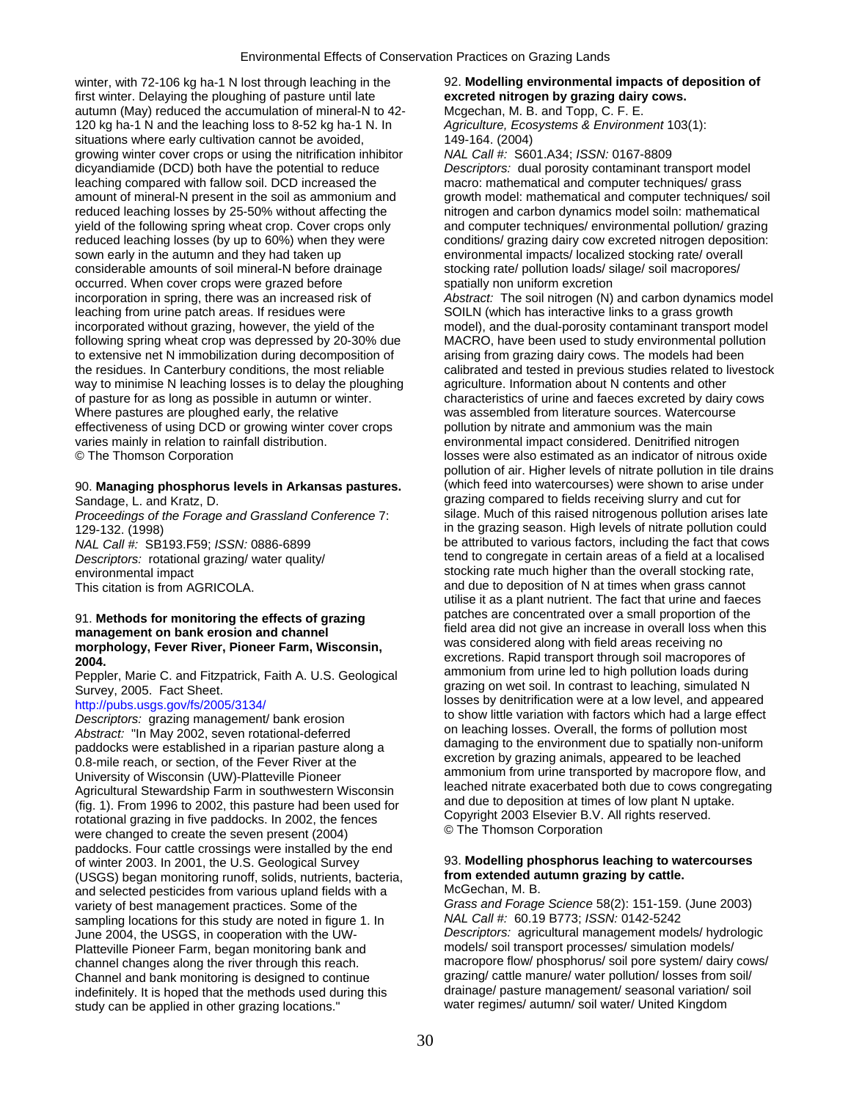winter, with 72-106 kg ha-1 N lost through leaching in the 92. Modelling environmental impacts of deposition of first winter. Delaying the ploughing of pasture until late **excreted nitrogen by grazing dairy cows.**<br>
autumn (May) reduced the accumulation of mineral-N to 42- Mcgechan, M. B. and Topp, C. F. E. autumn (May) reduced the accumulation of mineral-N to 42-120 kg ha-1 N and the leaching loss to 8-52 kg ha-1 N. In *Agriculture, Ecosystems & Environment* 103(1): situations where early cultivation cannot be avoided,  $149-164.$  (2004) growing winter cover crops or using the nitrification inhibitor *NAL Call #:* S601.A34; *ISSN:* 0167-8809 dicyandiamide (DCD) both have the potential to reduce *Descriptors:* dual porosity contaminant transport model leaching compared with fallow soil. DCD increased the macro: mathematical and computer techniques/ grass amount of mineral-N present in the soil as ammonium and growth model: mathematical and computer techniques/ soil reduced leaching losses by 25-50% without affecting the nitrogen and carbon dynamics model soiln: mathematical yield of the following spring wheat crop. Cover crops only and computer techniques/ environmental pollution/ grazing reduced leaching losses (by up to 60%) when they were conditions/ grazing dairy cow excreted nitrogen deposition:<br>sown early in the autumn and they had taken up environmental impacts/ localized stocking rate/ overall considerable amounts of soil mineral-N before drainage stocking rate/ pollution loads/ silage/ soil macropores/ occurred. When cover crops were grazed before spatially non uniform excretion incorporation in spring, there was an increased risk of *Abstract:* The soil nitrogen (N) and carbon dynamics model leaching from urine patch areas. If residues were SOILN (which has interactive links to a grass growth incorporated without grazing, however, the yield of the model), and the dual-porosity contaminant transport model following spring wheat crop was depressed by 20-30% due MACRO, have been used to study environmental pollution to extensive net N immobilization during decomposition of arising from grazing dairy cows. The models had been the residues. In Canterbury conditions, the most reliable calibrated and tested in previous studies related to livestock way to minimise N leaching losses is to delay the ploughing agriculture. Information about N contents and other of pasture for as long as possible in autumn or winter. characteristics of urine and faeces excreted by dairy cows Where pastures are ploughed early, the relative was assembled from literature sources. Watercourse effectiveness of using DCD or growing winter cover crops pollution by nitrate and ammonium was the main varies mainly in relation to rainfall distribution. The environmental impact considered. Denitrified nitrogen © The Thomson Corporation losses were also estimated as an indicator of nitrous oxide

*Proceedings of the Forage and Grassland Conference* 7:

# morphology, Fever River, Pioneer Farm, Wisconsin,

University of Wisconsin (UW)-Platteville Pioneer<br>Agricultural Stewardship Farm in southwestern Wisconsin<br>(fig. 1). From 1996 to 2002, this pasture had been used for<br>rotational grazing in five paddocks. In 2002, the fences<br> paddocks. Four cattle crossings were installed by the end of winter 2003. In 2001, the U.S. Geological Survey 93. **Modelling phosphorus leaching to watercourses**  (USGS) began monitoring runoff, solids, nutrients, bacteria, **from extended a**<br>and selected pesticides from various upland fields with a **MCGechan, M. B.** and selected pesticides from various upland fields with a variety of best management practices. Some of the *Grass and Forage Science* 58(2): 151-159. (June 2003) sampling locations for this study are noted in figure 1. In June 2004, the USGS, in cooperation with the UW- *Descriptors:* agricultural management models/ hydrologic Platteville Pioneer Farm, began monitoring bank and channel changes along the river through this reach. macropore flow/ phosphorus/ soil pore system/ dairy cows/<br>Channel and bank monitoring is designed to continue are arazing/ cattle manure/ water pollution/ losses from soi Channel and bank monitoring is designed to continue grazing/ cattle manure/ water pollution/ losses from soil/<br>indefinitely It is hoped that the methods used during this drainage/ pasture management/ seasonal variation/ so indefinitely. It is hoped that the methods used during this drainage/ pasture management/ seasonal variation/<br>study can be applied in other grazing locations "<br>water regimes/ autumn/ soil water/ United Kingdom study can be applied in other grazing locations."

environmental impacts/ localized stocking rate/ overall

pollution of air. Higher levels of nitrate pollution in tile drains 90. **Managing phosphorus levels in Arkansas pastures.** (which feed into watercourses) were shown to arise under Sandage, L. and Kratz, D.<br>Proceedings of the Forage and Grassland Conference 7: silage. Much of this raised nitrogenous pollution arises late 129-132. (1998) in the grazing season. High levels of nitrate pollution could *NAL Call #:* SB193.F59; *ISSN:* 0886-6899 be attributed to various factors, including the fact that cows<br>Descriptors: rotational grazing/ water quality/ the state of congregate in certain areas of a field at a localised tend to congregate in certain areas of a field at a localised environmental impact and the stocking rate much higher than the overall stocking rate,<br>
This citation is from AGRICOLA. This citation is from AGRICOLA. and due to deposition of N at times when grass cannot utilise it as a plant nutrient. The fact that urine and faeces patches are concentrated over a small proportion of the 91. **Methods for monitoring the effects of grazing management on bank erosion and channel is a subset of grading** field area did not give an increase in overall loss when this management on bank erosion and channel was considered along with field areas receiving no normho excretions. Rapid transport through soil macropores of **2004.**  Peppler, Marie C. and Fitzpatrick, Faith A. U.S. Geological Survey, 2005. Fact Sheet.<br>
Survey, 2005. Fact Sheet.<br>
http://pubs.usgs.gov/fs/2005/3134/<br>
Descriptors: grazing management/ bank erosion<br>
Abstract: "In May 2002, s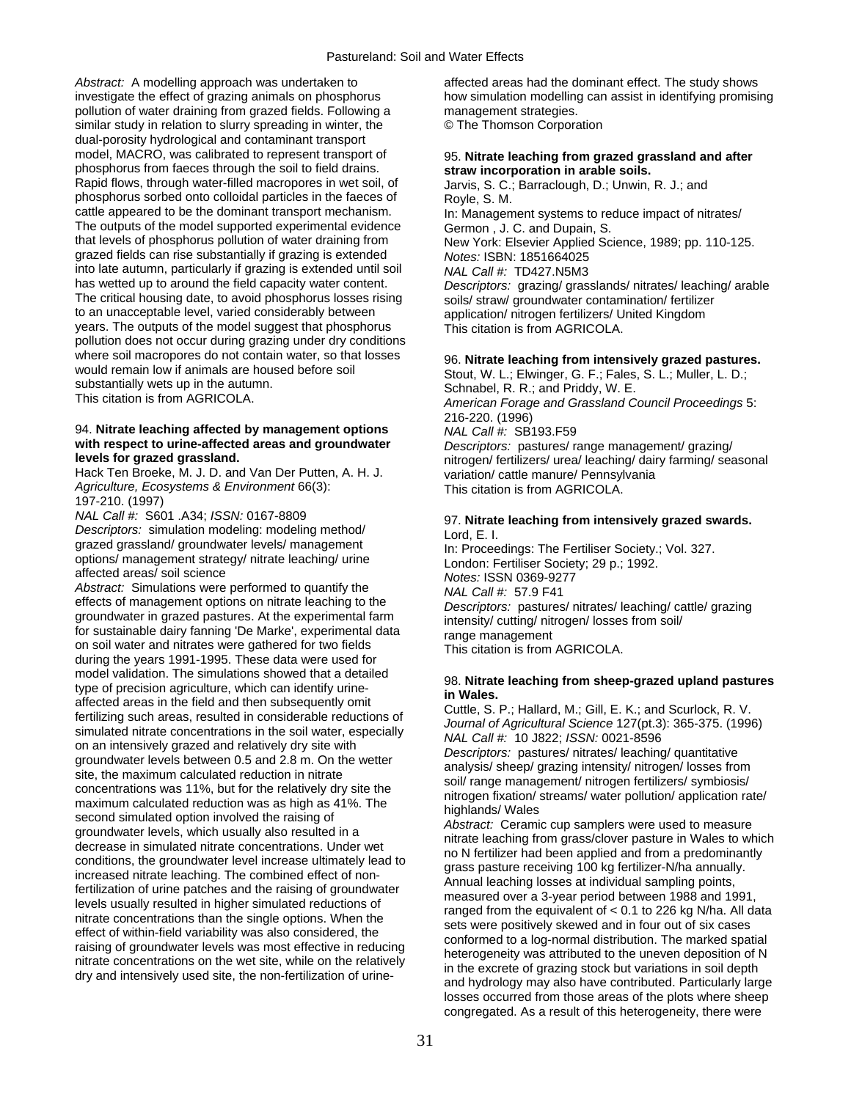Abstract: A modelling approach was undertaken to affected areas had the dominant effect. The study shows investigate the effect of grazing animals on phosphorus how simulation modelling can assist in identifying promising pollution of water draining from grazed fields. Following a management strategies. similar study in relation to slurry spreading in winter, the  $\heartsuit$  The Thomson Corporation dual-porosity hydrological and contaminant transport model, MACRO, was calibrated to represent transport of 95. **Nitrate leaching from grazed grassland and after**  phosphorus from faeces through the soil to field drains.<br>
Rapid flows, through water-filled macropores in wet soil, of Jarvis, S. C.; Barraclough, D.; Unwin, R. J.; and Rapid flows, through water-filled macropores in wet soil, of phosphorus sorbed onto colloidal particles in the faeces of Royle, S. M.<br>
cattle appeared to be the dominant transport mechanism. In: Managem The outputs of the model supported experimental evidence Germon, J. C. and Dupain, S.<br>
that levels of phosphorus pollution of water draining from New York: Flsevier Applied Sc grazed fields can rise substantially if grazing is extended *Notes:* ISBN: 1851664025 into late autumn, particularly if grazing is extended until soil *NAL Call #:* TD427.N5M3 The critical housing date, to avoid phosphorus losses rising soils/ straw/ groundwater contamination/ fertilizer to an unacceptable level, varied considerably between application/ nitrogen fertilizers/ United Kingdom years. The outputs of the model suggest that phosphorus This citation is from AGRICOLA. pollution does not occur during grazing under dry conditions where soil macropores do not contain water, so that losses would remain low if animals are housed before soil<br>substantially wets up in the autumn.<br>This citation is from AGRICOLA. A merican Forage and Grassland Council Proc

## 94. **Nitrate leaching affected by management options** *NAL Call #:* SB193.F59 **with respect to urine-affected areas and groundwater** *Descriptors: pastures/rall* **with respect to urine-affected areas and groundwater** *Descriptors:* pastures/ range management/ grazing/<br>**levels for grazed grassland.** prince and groundwater and primage prince of fertilizers/ urea/ leaching/ dairy farm

Hack Ten Broeke, M. J. D. and Van Der Putten, A. H. J. variation/ cattle manure/ Pennsyl<br>Agriculture, Ecosystems & Environment 66(3): This citation is from AGRICOLA. Agriculture, Ecosystems & Environment 66(3): 197-210. (1997)

NAL Call #: S601 .A34; /SSN: 0167-8809 97. Nitrate leaching from intensively grazed swards.<br>
Descriptors: simulation modeling: modeling method/<br>
grazed grassland/ groundwater levels/ management<br>
options/ management strateg

affected areas/ soll science<br> *Abstract:* Simulations were performed to quantify the *NAL Call #:* 57.9 F41<br>
effects of management options on nitrate leaching to the *Descriptors: pastures/reformer* effects of management options on nitrate leaching to the<br>groundwater in grazed pastures. At the experimental farm<br>for sustainable dairy fanning 'De Marke', experimental data<br>on soil water and nitrates were gathered for two during the years 1991-1995. These data were used for model validation. The simulations showed that a detilizing sole. Nitrate leaching from sheep-grazed upland pastures<br>three of precision anciculture, which can identify urine-<br>affected areas in the field and then subsequent

In: Management systems to reduce impact of nitrates/ New York: Elsevier Applied Science, 1989; pp. 110-125. **Descriptors: grazing/ grasslands/ nitrates/ leaching/ arable** 

216-220. (1996) nitrogen/ fertilizers/ urea/ leaching/ dairy farming/ seasonal variation/ cattle manure/ Pennsylvania

losses occurred from those areas of the plots where sheep congregated. As a result of this heterogeneity, there were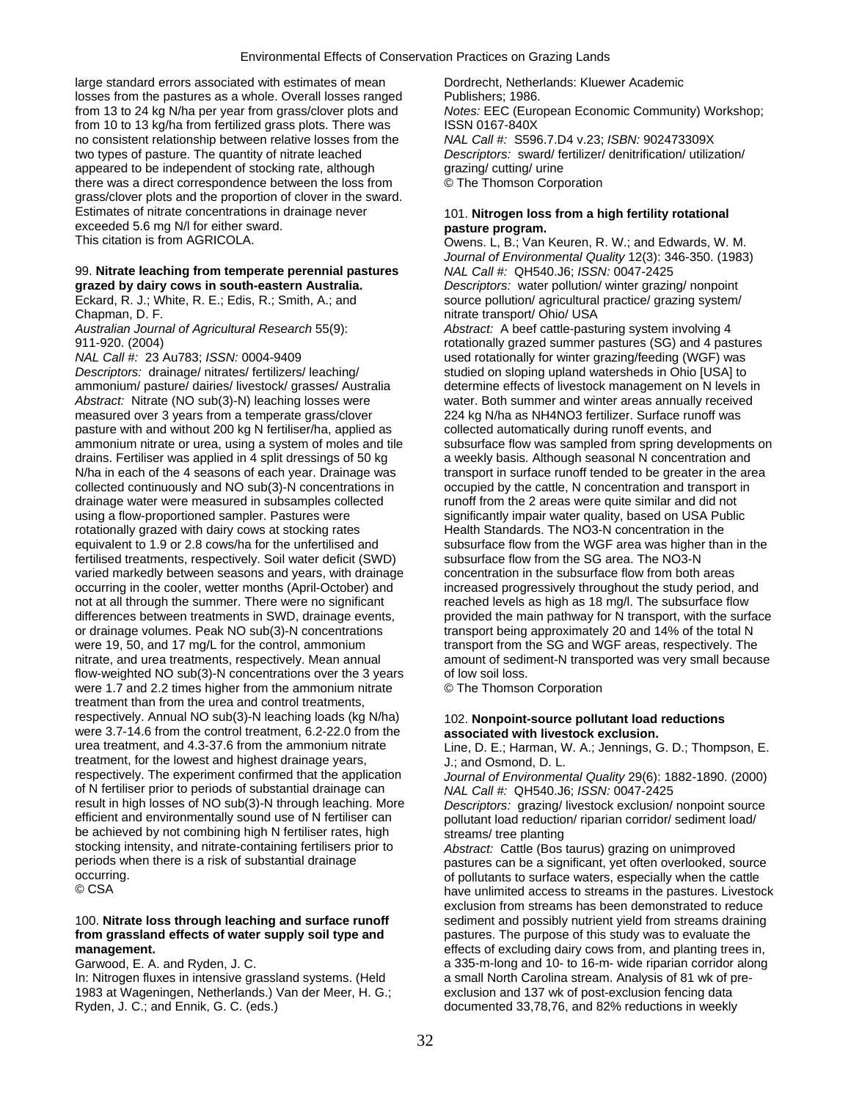large standard errors associated with estimates of mean Dordrecht, Netherlands: Kluewer Academic losses from the pastures as a whole. Overall losses ranged Publishers; 1986. from 13 to 24 kg N/ha per year from grass/clover plots and *Notes:* EEC (European Economic Community) Workshop; from 10 to 13 kg/ha from fertilized grass plots. There was no consistent relationship between relative losses from the *NAL Call #:* S596.7.D4 v.23; *ISBN:* 902473309X two types of pasture. The quantity of nitrate leached *Descriptors:* sward/ fertilizer/ denitrification/ utilization/ appeared to be independent of stocking rate, although grazing/ cutting/ urine there was a direct correspondence between the loss from © The Thomson Corporation grass/clover plots and the proportion of clover in the sward. Estimates of nitrate concentrations in drainage never 101. Nitrogen loss from a high fertility rotational exceeded 5.6 mg N/l for either sward.<br>
This citation is from AGRICOLA. **pasture program. pasture program. pasture program.** 

## 99. **Nitrate leaching from temperate perennial pastures** *NAL Call #:* QH540.J6; *ISSN:* 0047-2425 **grazed by dairy cows in south-eastern Australia.** *Descriptors:* water pollution/ winter grazing/ nonpoint

Chapman, D. F. nitrate transport/ Ohio/ USA

ammonium/ pasture/ dairies/ livestock/ grasses/ Australia determine effects of livestock management on N levels in *Abstract:* Nitrate (NO sub(3)-N) leaching losses were water. Both summer and winter areas annually received measured over 3 years from a temperate grass/clover 224 kg N/ha as NH4NO3 fertilizer. Surface runoff was pasture with and without 200 kg N fertiliser/ha, applied as collected automatically during runoff events, and ammonium nitrate or urea, using a system of moles and tile subsurface flow was sampled from spring developments on drains. Fertiliser was applied in 4 split dressings of 50 kg a weekly basis. Although seasonal N concentration and N/ha in each of the 4 seasons of each year. Drainage was transport in surface runoff tended to be greater in the area collected continuously and NO sub(3)-N concentrations in occupied by the cattle, N concentration and transport in drainage water were measured in subsamples collected runoff from the 2 areas were quite similar and did not using a flow-proportioned sampler. Pastures were strategy and significantly impair water quality, based on USA Public rotationally grazed with dairy cows at stocking rates Health Standards. The NO3-N concentration in the equivalent to 1.9 or 2.8 cows/ha for the unfertilised and subsurface flow from the WGF area was higher than in the fertilised treatments, respectively. Soil water deficit (SWD) subsurface flow from the SG area. The NO3-N fertilised treatments, respectively. Soil water deficit (SWD) varied markedly between seasons and years, with drainage concentration in the subsurface flow from both areas occurring in the cooler, wetter months (April-October) and increased progressively throughout the study period, and not at all through the summer. There were no significant reached levels as high as 18 mg/l. The subsurface flow differences between treatments in SWD, drainage events, provided the main pathway for N transport, with the surface or drainage volumes. Peak NO sub(3)-N concentrations transport being approximately 20 and 14% of the total N were 19, 50, and 17 mg/L for the control, ammonium transport from the SG and WGF areas, respectively. The nitrate, and urea treatments, respectively. Mean annual amount of sediment-N transported was very small because flow-weighted NO sub(3)-N concentrations over the 3 years of low soil loss. were 1.7 and 2.2 times higher from the ammonium nitrate © The Thomson Corporation treatment than from the urea and control treatments, respectively. Annual NO sub(3)-N leaching loads (kg N/ha) 102. **Nonpoint-source pollutant load reductions**  were 3.7-14.6 from the control treatment, 6.2-22.0 from the **associated with livestock exclusion.**<br>urea treatment, and 4.3-37.6 from the ammonium nitrate line, D. F.: Harman, W. A.: Jennings, G. treatment, for the lowest and highest drainage years, J.; and Osmond, D. L.<br>respectively. The experiment confirmed that the application Journal of Environment respectively. The experiment confirmed that the application *Journal of Environmental Quality* 29(6): 1882-1890. (2000)<br>
of N fertiliser prior to periods of substantial drainage can MAI Call #: OH540 J6: JSSN: 0047-2425 of N fertiliser prior to periods of substantial drainage can *NAL Call #:* QH540.J6; *ISSN:* 0047-2425 result in high losses of NO sub(3)-N through leaching. More *Descriptors:* grazing/ livestock exclusion/ nonpoint source be achieved by not combining high N fertiliser rates, high streams/ tree planting stocking intensity, and nitrate-containing fertilisers prior to *Abstract:* Cattle (Bos stocking intensity, and nitrate-containing fertilisers prior to *Abstract:* Cattle (Bos taurus) grazing on unimproved periods when there is a risk of substantial drainage pastures can be a significant, yet often overlooked, source<br>occurring.

# **from grassland effects of water supply soil type and** pastures. The purpose of this study was to evaluate the

In: Nitrogen fluxes in intensive grassland systems. (Held a small North Carolina stream. Analysis of 81 wk of pre-1983 at Wageningen, Netherlands.) Van der Meer, H. G.; exclusion and 137 wk of post-exclusion fencing data<br>Ryden, J. C.; and Ennik, G. C. (eds.) states and the documented 33,78,76, and 82% reductions in weekly

Owens. L, B.; Van Keuren, R. W.; and Edwards, W. M. *Journal of Environmental Quality* 12(3): 346-350. (1983) Eckard, R. J.; White, R. E.; Edis, R.; Smith, A.; and source pollution/ agricultural practice/ grazing system/

*Australian Journal of Agricultural Research* 55(9): *Abstract:* A beef cattle-pasturing system involving 4 911-920. (2004) rotationally grazed summer pastures (SG) and 4 pastures *NAL Call #: 23 Au783; <i>ISSN:* 0004-9409 used rotationally for winter grazing/feeding (WGF) was<br>Descriptors: drainage/ nitrates/ fertilizers/ leaching/ studied on sloping upland watersheds in Ohio [USA] to studied on sloping upland watersheds in Ohio [USA] to

Line, D. E.; Harman, W. A.; Jennings, G. D.; Thompson, E.

pollutant load reduction/ riparian corridor/ sediment load/

occurring. of pollutants to surface waters, especially when the cattle have unlimited access to streams in the pastures. Livestock exclusion from streams has been demonstrated to reduce 100. **Nitrate loss through leaching and surface runoff** sediment and possibly nutrient yield from streams draining **management.** effects of excluding dairy cows from, and planting trees in, Garwood, E. A. and Ryden, J. C. **a 335-m-long and 10-to 16-m-** wide riparian corridor along documented 33,78,76, and 82% reductions in weekly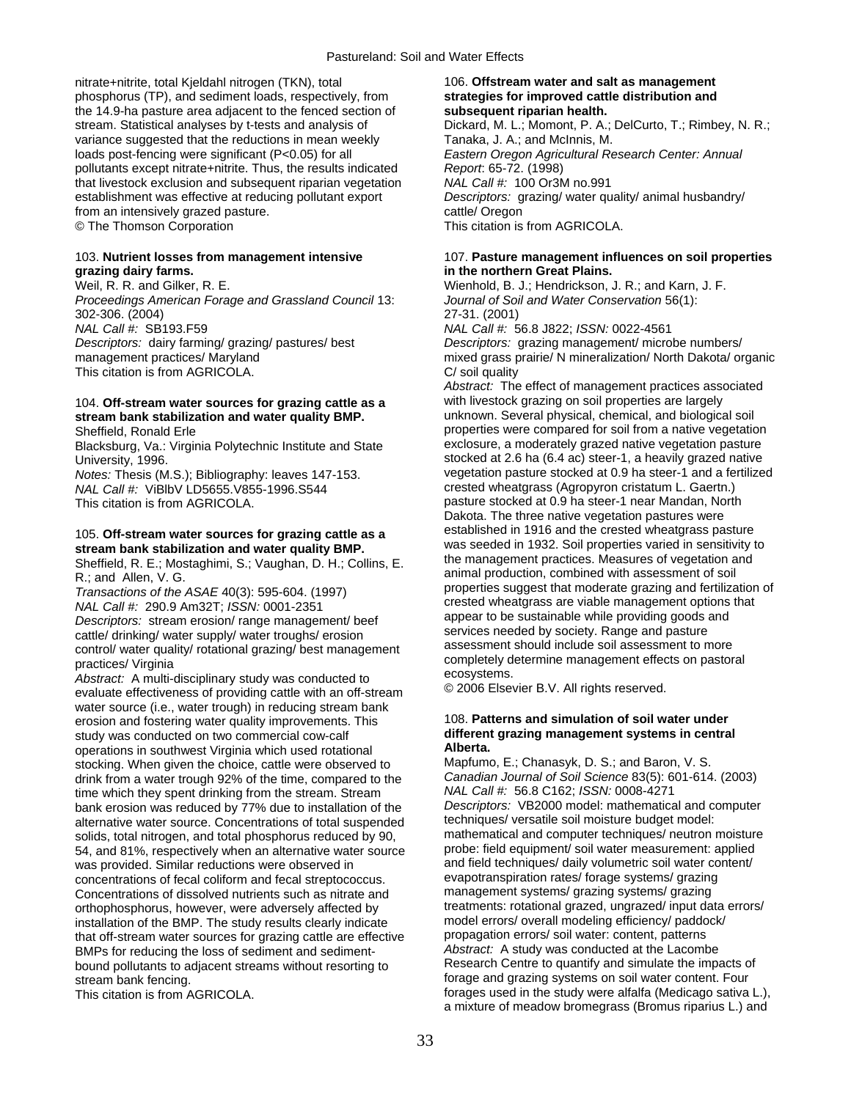nitrate+nitrite, total Kjeldahl nitrogen (TKN), total 106. **Offstream water and salt as management**  phosphorus (TP), and sediment loads, respectively, from **strategies for improved cattle distribution and**  the 14.9-ha pasture area adjacent to the fenced section of **subsequent riparian health.**  stream. Statistical analyses by t-tests and analysis of Dickard, M. L.; Momont, P. A.; DelCurto, T.; Rimbey, N. R.; variance suggested that the reductions in mean weekly Tanaka, J. A.; and McInnis, M. loads post-fencing were significant (P<0.05) for all *Eastern Oregon Agricultural Research Center: Annual*  pollutants except nitrate+nitrite. Thus, the results indicated *Report*: 65-72. (1998) that livestock exclusion and subsequent riparian vegetation *NAL Call #:* 100 Or3M no.991 establishment was effective at reducing pollutant export *Descriptors:* grazing/ water quality/ animal husbandry/ from an intensively grazed pasture. The cattle of cattle/ Oregon © The Thomson Corporation This citation is from AGRICOLA.

Weil, R. R. and Gilker, R. E. Wienhold, B. J.; Hendrickson, J. R.; and Karn, J. F. *Proceedings American Forage and Grassland Council* 13: *Journal of Soil and Water Conservation* 56(1): 302-306. (2004) 27-31. (2001) *NAL Call #:* SB193.F59 *NAL Call #:* 56.8 J822; *ISSN:* 0022-4561 *Descriptors:* dairy farming/ grazing/ pastures/ best *Descriptors:* grazing management/ microbe numbers/ This citation is from AGRICOLA. C/ soil quality

## stream bank stabilization and water quality BMP.

Blacksburg, Va.: Virginia Polytechnic Institute and State

*NAL Call #:* ViBlbV LD5655.V855-1996.S544<br>This citation is from AGRICOLA.

water source (i.e., water trough) in reducing stream bank erosion and fostering water quality improvements. This 108. **Patterns and simulation of soil water under**  study was conducted on two commercial cow-calf **different grazing management systems in central**<br> **different grazing management systems in central**<br> **Alberta. Alberta.** operations in southwest Virginia which used rotational **Alberta.**  stocking. When given the choice, cattle were observed to Mapfumo, E.; Chanasyk, D. S.; and Baron, V. S.<br>drink from a water trough 92% of the time, compared to the Canadian Journal of Soil Science 83(5): 601-614. (2003) drink from a water trough 92% of the time, compared to the *Canadian Journal of Soil Science* 83(5): 6<br>
time which they spent drinking from the stream Stream **NAL Call #: 56.8 C162; ISSN: 0008-4271** time which they spent drinking from the stream. Stream *NAL Call #:* 56.8 C162; *ISSN:* 0008-4271 bank erosion was reduced by 77% due to installation of the *Descriptors:* VB2000 model: mathematical and computer<br>Alternative water source, Concentrations of total suspended techniques/ versatile soil moisture budget model alternative water source. Concentrations of total suspended techniques/ versatile soil moisture budget model:<br>solids total nitrogen, and total phosphorus reduced by 90 mathematical and computer techniques/ neutron moisture solids, total nitrogen, and total phosphorus reduced by 90. 54, and 81%, respectively when an alternative water source probe: field equipment/ soil water measurement: applied was provided. Similar reductions were observed in and field techniques/ daily volumetric soil water content/<br>
concentrations of fecal coliform and fecal streptococcus evapotranspiration rates/ forage systems/ grazing concentrations of fecal coliform and fecal streptococcus. evapotranspiration rates/ forage systems/ grazing Concentrations of dissolved nutrients such as nitrate and management systems/ grazing systems/ grazing<br>
orthophosphorus, however, were adversely affected by extractments: rotational grazed, ungrazed/ input data errors/ orthophosphorus, however, were adversely affected by entitled treatments: rotational grazed, ungrazed/ input data installation of the BMP. The study results clearly indicate model errors/ overall modeling efficiency/ paddo installation of the BMP. The study results clearly indicate model errors/ overall modeling efficiency/ paddo<br>that off-stream water sources for grazing cattle are effective propagation errors/ soil water: content, patterns that off-stream water sources for grazing cattle are effective propagation errors/ soil water: content, patterns<br>RMPs for reducing the loss of sediment and sediment-<br>Abstract: A study was conducted at the Lacombe BMPs for reducing the loss of sediment and sediment- *Abstract:* A study was conducted at the Lacombe bound pollutants to adjacent streams without resorting to

## 103. **Nutrient losses from management intensive** 107. **Pasture management influences on soil properties in the northern Great Plains.**

management practices/ Maryland mixed grass prairie/ N mineralization/ North Dakota/ organic

*Abstract:* The effect of management practices associated 104. **Off-stream water sources for grazing cattle as a** with livestock grazing on soil properties are largely Sheffield, Ronald Erle<br>Blacksburg, Va : Virginia Polytechnic Institute and State<br>Blacksburg, Va : Virginia Polytechnic Institute and State<br>exclosure, a moderately grazed native vegetation pasture University, 1996.<br>Notes: Thesis (M.S.): Bibliography: leaves 147-153. stocked at 2.6 ha (6.4 ac) steer-1, a heavily grazed native<br>Notes: Thesis (M.S.): Bibliography: leaves 147-153. vegetation pasture stocked at 0.9 ha ste *Notes:* Thesis (M.S.); Bibliography: leaves 147-153. vegetation pasture stocked at 0.9 ha steer-1 and a fe<br> *NAL Call #:* ViBlbV LD5655 V855-1996 S544 crested wheatgrass (Agropyron cristatum L. Gaertn.) pasture stocked at 0.9 ha steer-1 near Mandan, North Dakota. The three native vegetation pastures were 105. **Off-stream water sources for grazing cattle as a**<br> **established in 1916 and the crested wheatgrass pasture**<br> **stream bank stabilization and water quality BMP.**<br>
Sheffield, R. E.; Mostaghimi, S.; Vaughan, D. H.; Colli Descriptors: stream erosion/ range management/ beef<br>cattle/ drinking/ water supply/ water troughs/ erosion<br>control/ water quality/ rotational grazing/ best management<br>practices/ Virginia<br>Abstract: A multi-disciplinary stud

stream bank fencing. forage and grazing systems on soil water content. Four<br>This citation is from AGRICOLA. This citation is from AGRICOLA. forages used in the study were alfalfa (Medicago sativa L.), a mixture of meadow bromegrass (Bromus riparius L.) and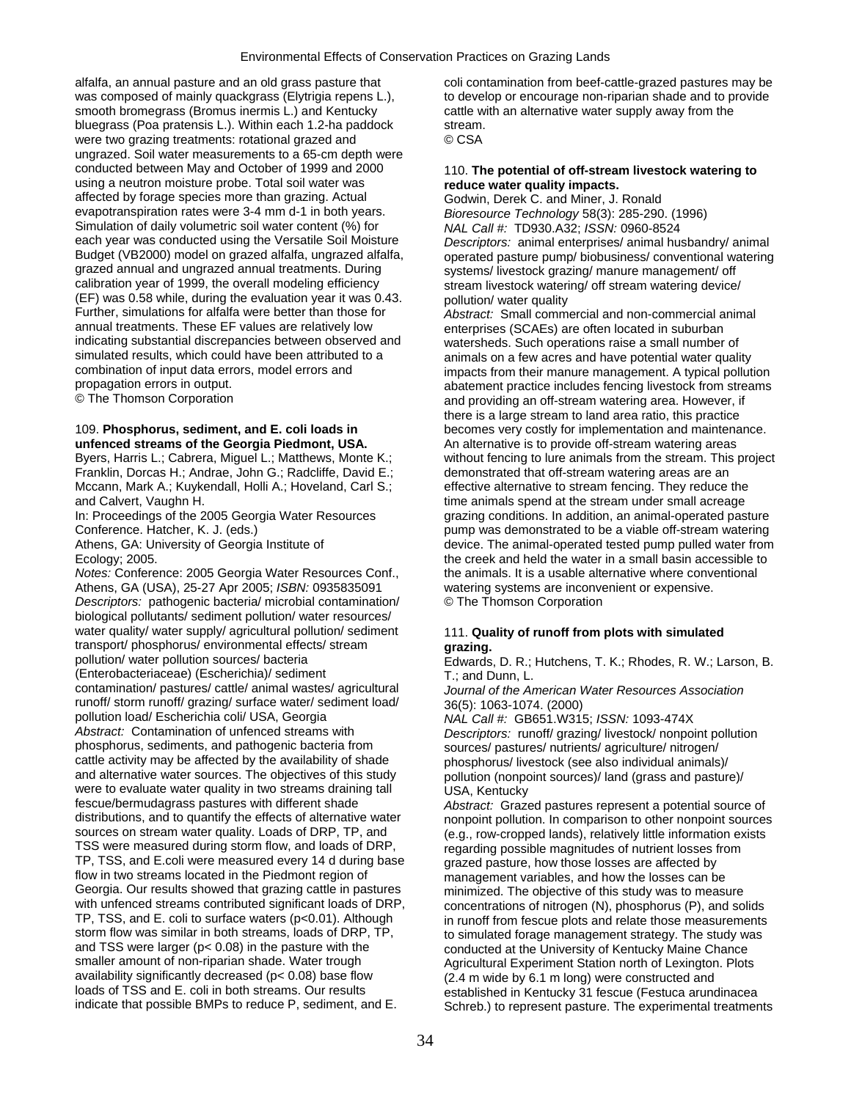alfalfa, an annual pasture and an old grass pasture that coli contamination from beef-cattle-grazed pastures may be was composed of mainly quackgrass (Elytrigia repens L.), to develop or encourage non-riparian shade and to provide smooth bromegrass (Bromus inermis L.) and Kentucky cattle with an alternative water supply away from the bluegrass (Poa pratensis L.). Within each 1.2-ha paddock stream. were two grazing treatments: rotational grazed and  $\heartsuit$  CSA ungrazed. Soil water measurements to a 65-cm depth were conducted between May and October of 1999 and 2000 110. **The potential of off-stream livestock watering to**  using a neutron moisture probe. Total soil water was **reduce water quality impacts.**<br>affected by forage species more than grazing. Actual Godwin, Derek C. and Miner, J. Ronald affected by forage species more than grazing. Actual evapotranspiration rates were 3-4 mm d-1 in both years. *Bioresource Technology* 58(3): 285-290. (1996) Simulation of daily volumetric soil water content (%) for *NAL Call #:* TD930.A32; *ISSN:* 0960-8524<br>
each year was conducted using the Versatile Soil Moisture *Descriptors:* animal enterprises/ animal hus each year was conducted using the Versatile Soil Moisture *Descriptors:* animal enterprises/ animal husbandry/ animal grazed annual and ungrazed annual treatments. During systems/ livestock grazing/ manure management/ off<br>
calibration year of 1999, the overall modeling efficiency stream livestock watering/ off stream watering device (EF) was 0.58 while, during the evaluation year it was 0.43. pollution/ water quality  $F$ urther, simulations for alfalfa were better than those for  $\overline{B}$  Abstract: Small comm Further, simulations for alfalfa were better than those for *Abstract:* Small commercial and non-commercial animal annual treatments. These EF values are relatively low enterprises (SCAEs) are often located in suburban indicating substantial discrepancies between observed and watersheds. Such operations raise a small number of simulated results, which could have been attributed to a animals on a few acres and have potential water quality<br>combination of input data errors, model errors and and any animacts from their manure management. A typical p combination of input data errors, model errors and impacts from their manure management. A typical pollution<br>abatement practice includes fencing livestock from streams

## **unfenced streams of the Georgia Piedmont, USA.** An alternative is to provide off-stream watering areas

Franklin, Dorcas H.; Andrae, John G.; Radcliffe, David E.; demonstrated that off-stream watering areas are an Mccann, Mark A.; Kuykendall, Holli A.; Hoveland, Carl S.; effective alternative to stream fencing. They reduce the and Calvert, Vaughn H. time animals spend at the stream under small acreage

Athens, GA (USA), 25-27 Apr 2005; *ISBN:* 0935835091 watering systems are inconvenient or expensive. *Descriptors:* pathogenic bacteria/ microbial contamination/ © The Thomson Corporation biological pollutants/ sediment pollution/ water resources/ water quality/ water supply/ agricultural pollution/ sediment 111. Quality of runoff from plots with simulated transport/ phosphorus/ environmental effects/ stream **grazing.**  (Enterobacteriaceae) (Escherichia)/ sediment T.; and Dunn, L. contamination/ pastures/ cattle/ animal wastes/ agricultural *Journal of the American Water Resources Association* runoff/ storm runoff/ grazing/ surface water/ sediment load/  $36(5)$ : 1063-1074. (2000)<br>pollution load/ Escherichia coli/ USA, Georgia  $NAL \text{ Call } \#$ : GB651.W31! pollution load/ Escherichia coli/ USA, Georgia *NAL Call #:* CB651.W315; *ISSN:* 1093-474X<br>Abstract: Contamination of unfenced streams with *Descriptors: runoff/ grazing/ livestock/ nonpoi* phosphorus, sediments, and pathogenic bacteria from sources/ pastures/ nutrients/ agriculture/ nitrogen/<br>cattle activity may be affected by the availability of shade bothosphorus/ livestock (see also individual animals cattle activity may be affected by the availability of shade phosphorus/ livestock (see also individual animals)/<br>and alternative water sources. The objectives of this study pollution (nonpoint sources)/ land (grass and pa were to evaluate water quality in two streams draining tall **USA, Kentucky**<br>
fescue/bermudagrass pastures with different shade **Abstract**: Graze fescue/bermudagrass pastures with different shade *Abstract:* Grazed pastures represent a potential source of distributions, and to quantify the effects of alternative water nonpoint pollution. In comparison to other nonpoint sources<br>sources on stream water quality. Loads of DRP, TP, and entity equipment of the lands), relatively sources on stream water quality. Loads of DRP, TP, and (e.g., row-cropped lands), relatively little information exists<br>TSS were measured during storm flow, and loads of DRP, regarding possible magnitudes of nutrient losses TSS were measured during storm flow, and loads of DRP, regarding possible magnitudes of nutrient losses from TP, TSS, and E.coli were measured every 14 d during base or a regard pasture how those losses are affected by TP, TSS, and E.coli were measured every 14 d during base grazed pasture, how those losses are affected by<br>flow in two streams located in the Piedmont region of management variables and how the losses can b flow in two streams located in the Piedmont region of management variables, and how the losses can be<br>Georgia. Our results showed that grazing cattle in pastures minimized. The objective of this study was to meas Georgia. Our results showed that grazing cattle in pastures minimized. The objective of this study was to measure<br>with unfenced streams contributed significant loads of DRP, concentrations of nitrogen (N), phosphorus (P), with unfenced streams contributed significant loads of DRP, concentrations of nitrogen (N), phosphorus (P), and solids<br>TP, TSS, and E. coli to surface waters (p<0.01). Although in runoff from fescue plots and relate those storm flow was similar in both streams, loads of DRP, TP, to simulated forage management strategy. The study was and TSS were larger (p< 0.08) in the pasture with the conducted at the University of Kentucky Maine Chance<br>smaller amount of non-riparian shade. Water trough<br>Agricultural Experiment Station north of Lexington Plots smaller amount of non-riparian shade. Water trough Agricultural Experiment Station north of Lexington. Plots availability significantly decreased (p< 0.08) base flow  $(2.4 \text{ m})$  wide by 6.1 m long) were constructed and availability significantly decreased (p< 0.08) base flow (2.4 m wide by 6.1 m long) were constructed and<br>- loads of TSS and E. coli in both streams. Our results extract he established in Kentucky 31 fescue (Festuca arung loads of TSS and E. coli in both streams. Our results established in Kentucky 31 fescue (Festuca arundinacea<br>Indicate that possible BMPs to reduce P. sediment, and E. Schreb ) to represent pasture. The experimental treatme

operated pasture pump/ biobusiness/ conventional watering stream livestock watering/ off stream watering device/

propagation errors in output.<br>
© The Thomson Corporation errors abatement practice includes fencing livestock from streams<br>
and providing an off-stream watering area. However, if and providing an off-stream watering area. However, if there is a large stream to land area ratio, this practice 109. **Phosphorus, sediment, and E. coli loads in** becomes very costly for implementation and maintenance. Byers, Harris L.; Cabrera, Miguel L.; Matthews, Monte K.; without fencing to lure animals from the stream. This project In: Proceedings of the 2005 Georgia Water Resources grazing conditions. In addition, an animal-operated pasture Conference. Hatcher, K. J. (eds.) pump was demonstrated to be a viable off-stream watering Athens, GA: University of Georgia Institute of device. The animal-operated tested pump pulled water from Ecology; 2005. the creek and held the water in a small basin accessible to *Notes:* Conference: 2005 Georgia Water Resources Conf., the animals. It is a usable alternative where conventional

Edwards, D. R.; Hutchens, T. K.; Rhodes, R. W.; Larson, B.

*Descriptors:* runoff/ grazing/ livestock/ nonpoint pollution pollution (nonpoint sources)/ land (grass and pasture)/

in runoff from fescue plots and relate those measurements Schreb.) to represent pasture. The experimental treatments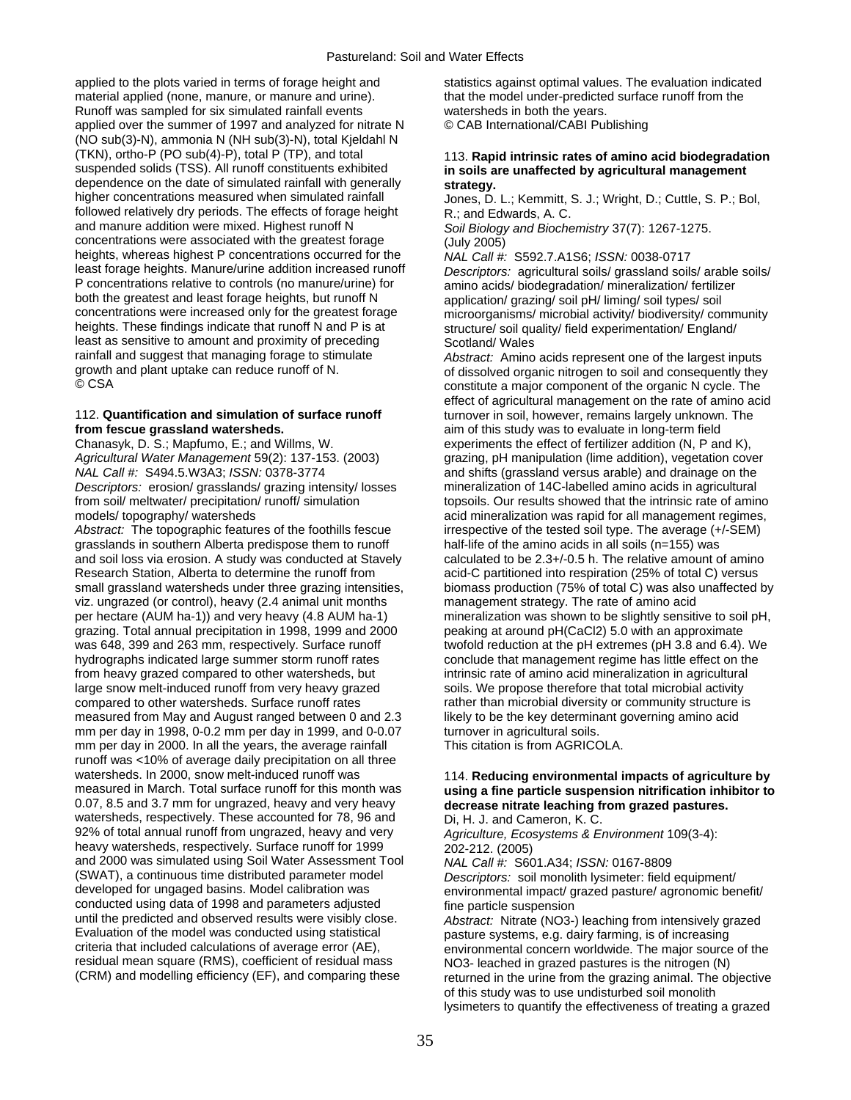applied to the plots varied in terms of forage height and statistics against optimal values. The evaluation indicated material applied (none, manure, or manure and urine). that the model under-predicted surface runoff from the Runoff was sampled for six simulated rainfall events watersheds in both the years.<br>Applied over the summer of 1997 and analyzed for nitrate N CAB International/CABI Publishing applied over the summer of 1997 and analyzed for nitrate N (NO sub(3)-N), ammonia N (NH sub(3)-N), total Kjeldahl N (TKN), ortho-P (PO sub(4)-P), total P (TP), and total 113. **Rapid intrinsic rates of amino acid biodegradation**  dependence on the date of simulated rainfall with generally **strategy.**<br>
higher concentrations measured when simulated rainfall **strategy**. D. followed relatively dry periods. The effects of forage height  $R$ ; and Edwards, A. C. and manure addition were mixed. Highest runoff N concentrations were associated with the greatest forage (July 2005) heights, whereas highest P concentrations occurred for the *NAL Call #:* S592.7.A1S6; *ISSN:* 0038-0717 least forage heights. Manure/urine addition increased runoff *Descriptors:* agricultural soils/ grassland soils/ arable soils/ P concentrations relative to controls (no manure/urine) for amino acids/ biodegradation/ mineralization/ fertilizer both the greatest and least forage heights, but runoff N application/ grazing/ soil pH/ liming/ soil types/ soil<br>concentrations were increased only for the greatest forage microorganisms/ microbial activity/ biodiversity/ concentrations were increased only for the greatest forage microorganisms/ microbial activity/ biodiversity/ community<br>heights. These findings indicate that runoff N and P is at structure/ soil quality/ field experimentati least as sensitive to amount and proximity of preceding Scotland/ Wales<br>
rainfall and suggest that managing forage to stimulate Abstract: Amino rainfall and suggest that managing forage to stimulate *Abstract:* Amino acids represent one of the largest inputs<br>growth and plant uptake can reduce runoff of N.<br>of dissolved organic pitrogen to soil and consequently they growth and plant uptake can reduce runoff of N. of dissolved organic nitrogen to soil and consequently they<br>© CSA excle. The constitute a major component of the organic N cycle. The

## **from fescue grassland watersheds.** aim of this study was to evaluate in long-term field

Chanasyk, D. S.; Mapfumo, E.; and Willms, W. experiments the effect of fertilizer addition (N, P and K), *Agricultural Water Management* 59(2): 137-153. (2003) grazing, pH manipulation (lime addition), vegetation cover *NAL Call #:* S494.5.W3A3; *ISSN:* 0378-3774 and shifts (grassland versus arable) and drainage on the *Descriptors:* erosion/ grasslands/ grazing intensity/ losses mineralization of 14C-labelled amino acids in agricultural

Abstract: The topographic features of the foothills fescue irrespective of the tested soil type. The average (+/-SEM) grasslands in southern Alberta predispose them to runoff half-life of the amino acids in all soils (n=155) was<br>and soil loss via erosion. A study was conducted at Stavely calculated to be 2.3+/-0.5 h. The relative amount o and soil loss via erosion. A study was conducted at Stavely Research Station, Alberta to determine the runoff from acid-C partitioned into respiration (25% of total C) versus viz. ungrazed (or control), heavy (2.4 animal unit months management strategy. The rate of amino acid per hectare (AUM ha-1)) and very heavy (4.8 AUM ha-1) mineralization was shown to be slightly sensitive to soil pH, grazing. Total annual precipitation in 1998, 1999 and 2000 peaking at around pH(CaCl2) 5.0 with an approximate was 648, 399 and 263 mm, respectively. Surface runoff twofold reduction at the pH extremes (pH 3.8 and 6.4). We hydrographs indicated large summer storm runoff rates conclude that management regime has little effect on the from heavy grazed compared to other watersheds, but intrinsic rate of amino acid mineralization in agricultural large snow melt-induced runoff from very heavy grazed soils. We propose therefore that total microbial activity compared to other watersheds. Surface runoff rates rather than microbial diversity or community structure is measured from May and August ranged between 0 and 2.3 likely to be the key determinant governing amino acid mm per day in 1998, 0-0.2 mm per day in 1999, and 0-0.07 turnover in agricultural soils. mm per day in 2000. In all the years, the average rainfall This citation is from AGRICOLA. runoff was <10% of average daily precipitation on all three watersheds. In 2000, snow melt-induced runoff was 114. **Reducing environmental impacts of agriculture by measured in March. Total surface runoff for this month was 114. Reducing environmental impacts of agriculture by** 0.07, 8.5 and 3.7 mm for ungrazed, heavy and very heavy **decrease nitrate leaching from grazed pastures.**  watersheds, respectively. These accounted for 78, 96 and Di, H. J. and Cameron, K. C. 92% of total annual runoff from ungrazed, heavy and very *Agriculture, Ecosystems & Environment* 109(3-4): heavy watersheds, respectively. Surface runoff for 1999 <br>and 2000 was simulated using Soil Water Assessment Tool MAL Call #: S601.A34; ISSN: 0167-8809 and 2000 was simulated using Soil Water Assessment Tool *(SWAT)*, a continuous time distributed parameter model (SWAT), a continuous time distributed parameter model *Descriptors:* soil monolith lysimeter: field equipment/ conducted using data of 1998 and parameters adjusted fine particle suspension until the predicted and observed results were visibly close. *Abstract:* Nitrate (NO3-) leaching from intensively grazed Evaluation of the model was conducted using statistical pasture systems, e.g. dairy farming, is of increasing<br>
partition of the major source enter the major source enter the major source enter the major source criteria that included calculations of average error (AE), environmental concern worldwide. The major source of the<br>
residual mean square (RMS), coefficient of residual mass<br>
NO3- leached in grazed pastures is the pitrogen residual mean square (RMS), coefficient of residual mass NO3- leached in grazed pastures is the nitrogen (N)<br>(CRM) and modelling efficiency (EF), and comparing these entired in the urine from the grazing animal. The of

# in soils are unaffected by agricultural management

Jones, D. L.; Kemmitt, S. J.; Wright, D.; Cuttle, S. P.; Bol,

Soil Biology and Biochemistry 37(7): 1267-1275.

structure/ soil quality/ field experimentation/ England/

constitute a major component of the organic N cycle. The effect of agricultural management on the rate of amino acid 112. **Quantification and simulation of surface runoff** turnover in soil, however, remains largely unknown. The from soil/ meltwater/ precipitation/ runoff/ simulation topsoils. Our results showed that the intrinsic rate of amino models/ topography/ watersheds acid mineralization was rapid for all management regimes, small grassland watersheds under three grazing intensities, biomass production (75% of total C) was also unaffected by

# using a fine particle suspension nitrification inhibitor to

environmental impact/ grazed pasture/ agronomic benefit/

returned in the urine from the grazing animal. The objective of this study was to use undisturbed soil monolith lysimeters to quantify the effectiveness of treating a grazed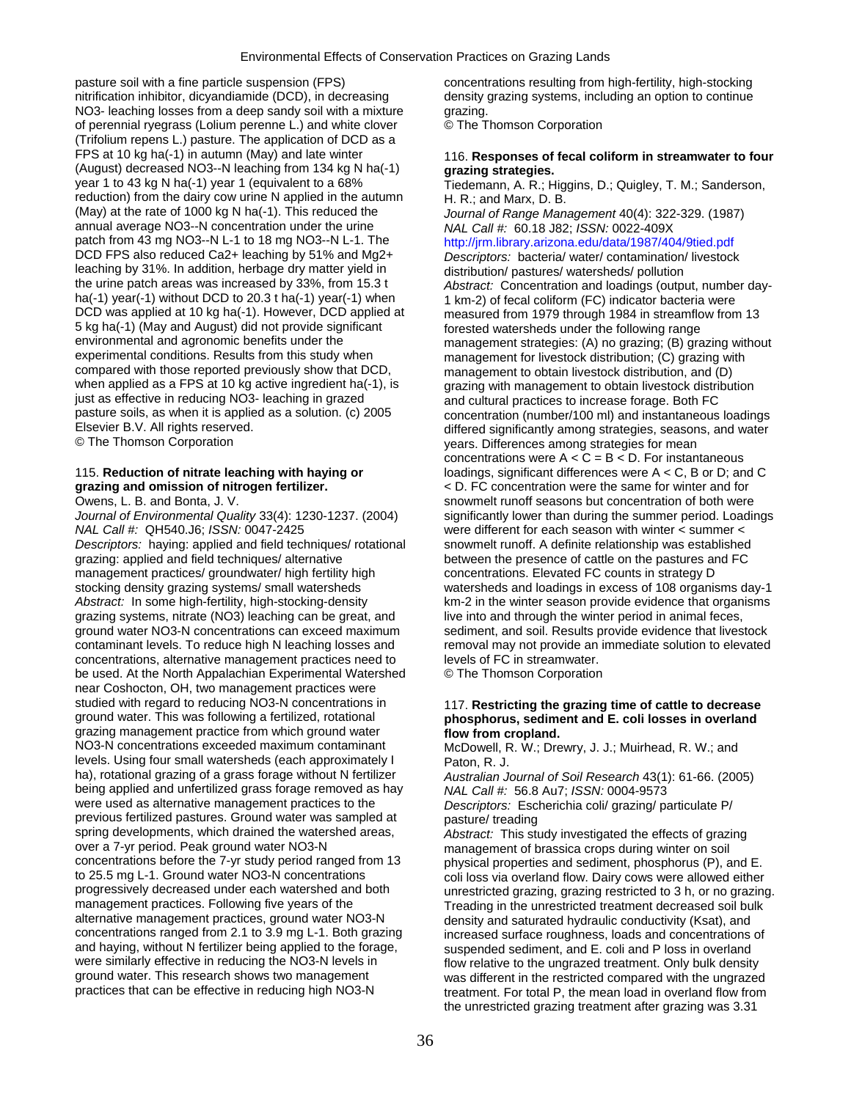pasture soil with a fine particle suspension (FPS) concentrations resulting from high-fertility, high-stocking nitrification inhibitor, dicyandiamide (DCD), in decreasing density grazing systems, including an option to continue NO3- leaching losses from a deep sandy soil with a mixture grazing.<br>of perennial ryegrass (Lolium perenne L.) and white clover © The Thomson Corporation of perennial ryegrass (Lolium perenne L.) and white clover (Trifolium repens L.) pasture. The application of DCD as a FPS at 10 kg ha(-1) in autumn (May) and late winter 116. **Responses of fecal coliform in streamwater to four** (August) decreased NO3--N leaching from 134 kg N ha(-1) **grazing strategies.**  reduction) from the dairy cow urine N applied in the autumn  $H. R$ ; and Marx, D. B.<br>(May) at the rate of 1000 kg N ha(-1). This reduced the *Journal of Range Man* annual average NO3--N concentration under the urine patch from 43 mg NO3--N L-1 a: *CAL CAL THA* is a must a: *R* Deniminal *R* Deniminal *R* Deniminal *R* Deniminal *R* Deniminal *R* Deniminal *R* Deniminal *R* Denimina DCD FPS also reduced Ca2+ leaching by 51% and Mg2+ *Descriptors:* bacteria/ water/ contamination/ livestock leaching by 31%. In addition, herbage dry matter yield in distribution/ pastures/ watersheds/ pollution<br>the urine patch areas was increased by 33%, from 15.3 t Abstract: Concentration and loadings (outp ha(-1) year(-1) without DCD to 20.3 t ha(-1) year(-1) when  $1 \text{ km-2}$  of fecal coliform (FC) indicator bacteria were<br>DCD was applied at 10 kg ha(-1). However, DCD applied at measured from 1979 through 1984 in streamflow fr 5 kg ha(-1) (May and August) did not provide significant forested watersheds under the following range<br>environmental and agronomic benefits under the management strategies: (A) no grazing: (B) gra environmental and agronomic benefits under the management strategies: (A) no grazing; (B) grazing without experimental conditions. Results from this study when experiment for livestock distribution; (C) grazing with experimental conditions. Results from this study when management for livestock distribution; (C) grazing with compared with those reported previously show that DCD, management to obtain livestock distribution, and (D) compared with those reported previously show that DCD,<br>when applied as a FPS at 10 kg active ingredient ha(-1), is example and with management to obtain livestock distribu when applied as a FPS at 10 kg active ingredient ha(-1), is grazing with management to obtain livestock distribution<br>just as effective in reducing NO3- leaching in grazed and cultural practices to increase forage. Both FC just as effective in reducing NO3- leaching in grazed endical practices to increase forage. Both FC<br>pasture soils, as when it is applied as a solution. (c) 2005 concentration (number/100 ml) and instantaneous pasture soils, as when it is applied as a solution. (c) 2005 concentration (number/100 ml) and instantaneous loadings<br>Elsevier B.V. All rights reserved. Elsevier B.V. All rights reserved. <br>
© The Thomson Corporation entity and the strategies, seasons, and water (© The Thomson Corporation entity and water vears Differences among strategies for mean

*NAL Call #:* QH540.J6; *ISSN:* 0047-2425 were different for each season with winter < summer < *Descriptors:* haying: applied and field techniques/ rotational snowmelt runoff. A definite relationship was established grazing: applied and field techniques/ alternative between the presence of cattle on the pastures and FC management practices/ groundwater/ high fertility high concentrations. Elevated FC counts in strategy D stocking density grazing systems/ small watersheds watersheds and loadings in excess of 108 organisms day-1 *Abstract:* In some high-fertility, high-stocking-density km-2 in the winter season provide evidence that organisms grazing systems, nitrate (NO3) leaching can be great, and live into and through the winter period in animal feces, ground water NO3-N concentrations can exceed maximum sediment, and soil. Results provide evidence that livestock contaminant levels. To reduce high N leaching losses and removal may not provide an immediate solution to elevated concentrations, alternative management practices need to levels of FC in streamwater. be used. At the North Appalachian Experimental Watershed © The Thomson Corporation near Coshocton, OH, two management practices were studied with regard to reducing NO3-N concentrations in 117. **Restricting the grazing time of cattle to decrease**<br>ground water. This was following a fertilized, rotational **by a propriet of propriet and E**, coli losses in grazing management practice from which ground water **flow from cropland.**<br>NO3-N concentrations exceeded maximum contaminant McDowell, R. W.: Dre levels. Using four small watersheds (each approximately I Paton, R. J.<br>ha), rotational grazing of a grass forage without N fertilizer *Australian J* being applied and unfertilized grass forage removed as hay *NAL Call #:*  56.8 Au7; *ISSN:* 0004-9573<br>were used as alternative management practices to the *Descriptors: Escherichia coli/ grazing/ pa* previous fertilized pastures. Ground water was sampled at pasture/ treading<br>spring developments, which drained the watershed areas, *Abstract:* This str spring developments, which drained the watershed areas, *Abstract:* This study investigated the effects of grazing<br>over a 7-yr period. Peak ground water NO3-N<br>management of brassica crops during winter on soil over a 7-yr period. Peak ground water NO3-N management of brassica crops during winter on soil<br>Concentrations before the 7-yr study period ranged from 13 bhysical properties and sediment, phosphorus (P), a concentrations before the 7-yr study period ranged from 13 physical properties and sediment, phosphorus (P), and E.<br>to 25.5 mg L-1. Ground water NO3-N concentrations coli loss via overland flow. Dairy cows were allowed eit to 25.5 mg L-1. Ground water NO3-N concentrations coli loss via overland flow. Dairy cows were allowed either<br>progressively decreased under each watershed and both unrestricted grazing grazing restricted to 3 h, or no graz progressively decreased under each watershed and both unrestricted grazing, grazing restricted to 3 h, or no grazing.<br>Treading in the unrestricted treatment decreased soil bulk alternative management practices, ground water NO3-N density and saturated hydraulic conductivity (Ksat), and concentrations ranged from 2.1 to 3.9 mg L-1. Both grazing increased surface roughness, loads and concentrations of and haying, without N fertilizer being applied to the forage, suspended sediment, and E. coli and P loss in overland<br>were similarly effective in reducing the NO3-N levels in flow relative to the ungrazed treatment. Only bu were similarly effective in reducing the NO3-N levels in flow relative to the ungrazed treatment. Only bulk density<br>ground water. This research shows two management was different in the restricted compared with the ungraze ground water. This research shows two management was different in the restricted compared with the ungrazed<br>practices that can be effective in reducing high NO3-N<br>treatment. For total P, the mean load in overland flow from

Tiedemann, A. R.; Higgins, D.; Quigley, T. M.; Sanderson,

Journal of Range Management 40(4): 322-329. (1987)<br>NAL Call #: 60.18 J82; ISSN: 0022-409X

http://jrm.library.arizona.edu/data/1987/404/9tied.pdf Abstract: Concentration and loadings (output, number daymeasured from 1979 through 1984 in streamflow from 13 years. Differences among strategies for mean concentrations were  $A < C = B < D$ . For instantaneous 115. **Reduction of nitrate leaching with haying or** loadings, significant differences were A < C, B or D; and C **grazing and omission of nitrogen fertilizer.** < D. FC concentration were the same for winter and for Owens, L. B. and Bonta, J. V. Solution of seasons but concentration of both were *Journal of Environmental Quality* 33(4): 1230-1237. (2004) significantly lower than during the summer period. Loadings

# phosphorus, sediment and E. coli losses in overland

McDowell, R. W.; Drewry, J. J.; Muirhead, R. W.; and

Australian Journal of Soil Research 43(1): 61-66. (2005) Descriptors: Escherichia coli/ grazing/ particulate P/

Treading in the unrestricted treatment decreased soil bulk treatment. For total P, the mean load in overland flow from the unrestricted grazing treatment after grazing was 3.31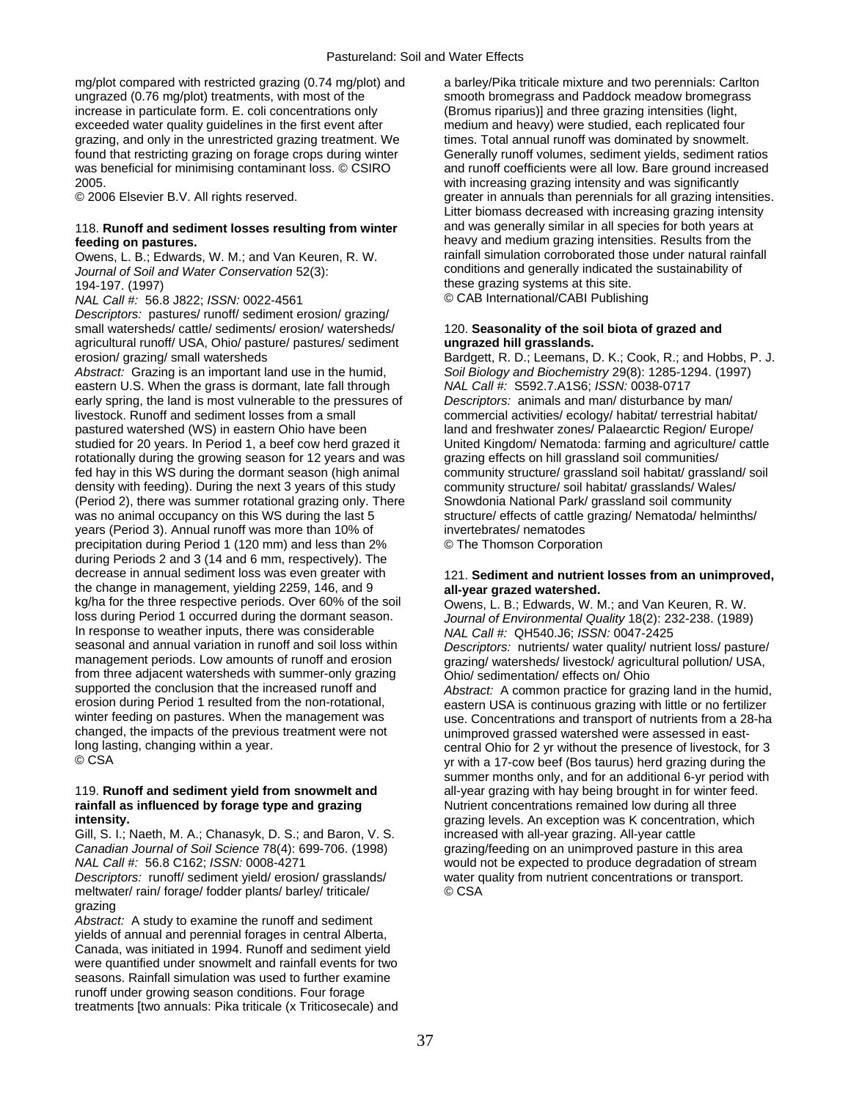mg/plot compared with restricted grazing (0.74 mg/plot) and a barley/Pika triticale mixture and two perennials: Carlton ungrazed (0.76 mg/plot) treatments, with most of the smooth bromegrass and Paddock meadow bromegrass<br>
increase in particulate form. E. coli concentrations only (Bromus riparius)] and three grazing intensities (light, exceeded water quality guidelines in the first event after medium and heavy) were studied, each replicated four grazing, and only in the unrestricted grazing treatment. We times. Total annual runoff was dominated by snowmelt. found that restricting grazing on forage crops during winter Generally runoff volumes, sediment yields, sediment ratios was beneficial for minimising contaminant loss. © CSIRO and runoff coefficients were all low. Bare ground increased 2005. with increasing grazing intensity and was significantly

Owens, L. B.; Edwards, W. M.; and Van Keuren, R. W.

*NAL Call #: 56.8 J822; ISSN: 0022-4561 Descriptors:* pastures/ runoff/ sediment erosion/ grazing/ small watersheds/ cattle/ sediments/ erosion/ watersheds/ 120. **Seasonality of the soil biota of grazed and**  agricultural runoff/ USA, Ohio/ pasture/ pastures/ sediment **ungrazed hill grasslands.**  erosion/ grazing/ small watersheds Bardgett, R. D.; Leemans, D. K.; Cook, R.; and Hobbs, P. J.

*Abstract:* Grazing is an important land use in the humid, *Soil Biology and Biochemistry* 29(8): 1285-1294. (1997) eastern U.S. When the grass is dormant, late fall through *NAL Call #:* S592.7.A1S6; *ISSN:* 0038-0717 early spring, the land is most vulnerable to the pressures of *Descriptors:* animals and man/ disturbance by man/ livestock. Runoff and sediment losses from a small commercial activities/ ecology/ habitat/ terrestrial habitat/ pastured watershed (WS) in eastern Ohio have been land and freshwater zones/ Palaearctic Region/ Europe/ studied for 20 years. In Period 1, a beef cow herd grazed it United Kingdom/ Nematoda: farming and agriculture/ cattle rotationally during the growing season for 12 years and was grazing effects on hill grassland soil communities/ fed hay in this WS during the dormant season (high animal community structure/ grassland soil habitat/ grassland/ soil density with feeding). During the next 3 years of this study community structure/ soil habitat/ grasslands/ Wales/ (Period 2), there was summer rotational grazing only. There Snowdonia National Park/ grassland soil community was no animal occupancy on this WS during the last 5 structure/ effects of cattle grazing/ Nematoda/ helminths/ years (Period 3). Annual runoff was more than 10% of invertebrates/ nematodes precipitation during Period 1 (120 mm) and less than 2% © The Thomson Corporation during Periods 2 and 3 (14 and 6 mm, respectively). The decrease in annual sediment loss was even greater with 121. **Sediment and nutrient losses from an unimproved,**  the change in management, yielding 2259, 146, and 9 **all-year grazed watershed.**<br>
kg/ha for the three respective periods. Over 60% of the soil Owens L. B. Edwards, W. N. kg/ha for the three respective periods. Over 60% of the soil Cowens, L. B.; Edwards, W. M.; and Van Keuren, R. W.<br>Iournal of Environmental Quality 18(2): 232-238, (1989) In response to weather inputs, there was considerable seasonal and annual variation in runoff and soil loss within seasonal and annual variation in runoff and soil loss within *Descriptors:* nutrients/ water quality/ nutrient loss/ pasture/ from three adjacent watersheds with summer-only grazing  $\overline{O}$ hio/ sedimentation/ effects on/ Ohio<br>supported the conclusion that the increased runoff and *Abstract:* A common practice for graz supported the conclusion that the increased runoff and *Abstract:* A common practice for grazing land in the humid, erosion during Period 1 resulted from the non-rotational, erosion during Period 1 resulted from the non-ro erosion during Period 1 resulted from the non-rotational, eastern USA is continuous grazing with little or no fertilizer<br>winter feeding on pastures. When the management was use. Concentrations and transport of nutrients fr winter feeding on pastures. When the management was use. Concentrations and transport of nutrients from a 28-ha<br>changed, the impacts of the previous treatment were not unimproved grassed watershed were assessed in eastchanged, the impacts of the previous treatment were not end improved grassed watershed were assessed in east-<br>long lasting, changing within a year. long lasting, changing within a year.<br>
© CSA (Ros taurus) berd grazing during the CSA

# **rainfall as influenced by forage type and grazing <b>Nutrient Concentrations remained low during all three**

Gill, S. I.; Naeth, M. A.; Chanasyk, D. S.; and Baron, V. S. increased with all-year grazing. All-year cattle Canadian Journal of Soil Science 78(4): 699-706. (1998) grazing/feeding on an unimproved pasture in this area *Canadian Journal of Soil Science* 78(4): 699-706. (1998)<br>NAL Call #: 56.8 C162; ISSN: 0008-4271

*Descriptors:* runoff/ sediment yield/ erosion/ grasslands/ water quality from nutrient concentrations or transport. meltwater/ rain/ forage/ fodder plants/ barley/ triticale/ © CSA grazing

*Abstract:* A study to examine the runoff and sediment yields of annual and perennial forages in central Alberta, Canada, was initiated in 1994. Runoff and sediment yield were quantified under snowmelt and rainfall events for two seasons. Rainfall simulation was used to further examine runoff under growing season conditions. Four forage treatments [two annuals: Pika triticale (x Triticosecale) and

(Bromus riparius)] and three grazing intensities (light, © 2006 Elsevier B.V. All rights reserved. Greater in annuals than perennials for all grazing intensities. Litter biomass decreased with increasing grazing intensity 118. **Runoff and sediment losses resulting from winter** and was generally similar in all species for both years at **feeding on pastures.**<br>
Owens, L. B.: Edwards, W. M.: and Van Keuren, R. W. **Frame and rainfall simulation corroborated those under natural rainfall** *Journal of Soil and Water Conservation* 52(3): conditions and generally indicated the sustainability of 194-197. (1997)<br>  $194-197$ . (1997)<br>  $194-197$ . (1997)<br>  $194-197$ . (1997)<br>  $194-197$ . (1997)<br>  $194-197$ . (1997)

Journal of Environmental Quality 18(2): 232-238. (1989)<br>NAL Call #: QH540.J6; ISSN: 0047-2425 grazing/ watersheds/ livestock/ agricultural pollution/ USA, yr with a 17-cow beef (Bos taurus) herd grazing during the summer months only, and for an additional 6-yr period with 119. **Runoff and sediment yield from snowmelt and** all-year grazing with hay being brought in for winter feed. **intensity. intensity. grazing levels. An exception was K concentration, which** would not be expected to produce degradation of stream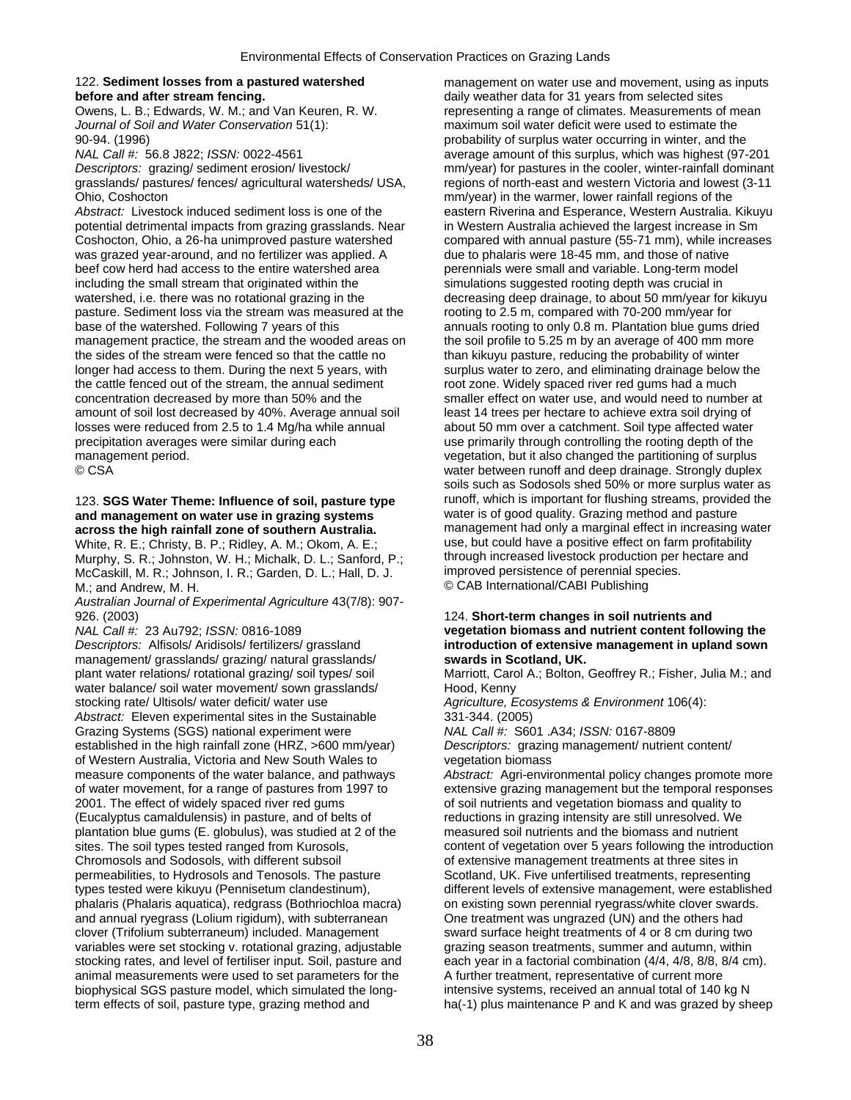*Journal of Soil and Water Conservation* 51(1): maximum soil water deficit were used to estimate the

*NAL Call #:* 56.8 J822; *ISSN:* 0022-4561 average amount of this surplus, which was highest (97-201 grasslands/ pastures/ fences/ agricultural watersheds/ USA, regions of north-east and western Victoria and lowest (3-11 Ohio, Coshocton mm/year) in the warmer, lower rainfall regions of the

*Abstract:* Livestock induced sediment loss is one of the eastern Riverina and Esperance, Western Australia. Kikuyu potential detrimental impacts from grazing grasslands. Near in Western Australia achieved the largest increase in Sm Coshocton, Ohio, a 26-ha unimproved pasture watershed compared with annual pasture (55-71 mm), while increases was grazed year-around, and no fertilizer was applied. A due to phalaris were 18-45 mm, and those of native beef cow herd had access to the entire watershed area perennials were small and variable. Long-term model including the small stream that originated within the simulations suggested rooting depth was crucial in watershed, i.e. there was no rotational grazing in the decreasing deep drainage, to about 50 mm/year for kikuyu pasture. Sediment loss via the stream was measured at the rooting to 2.5 m, compared with 70-200 mm/year for pasture. Sediment loss via the stream was measured at the base of the watershed. Following 7 years of this annuals rooting to only 0.8 m. Plantation blue gums dried management practice, the stream and the wooded areas on the soil profile to 5.25 m by an average of 400 mm more the sides of the stream were fenced so that the cattle no than kikuyu pasture, reducing the probability of winter longer had access to them. During the next 5 years, with surplus water to zero, and eliminating drainage below the the cattle fenced out of the stream, the annual sediment root zone. Widely spaced river red gums had a much concentration decreased by more than 50% and the smaller effect on water use, and would need to number at amount of soil lost decreased by 40%. Average annual soil least 14 trees per hectare to achieve extra soil drying of losses were reduced from 2.5 to 1.4 Mg/ha while annual about 50 mm over a catchment. Soil type affected water precipitation averages were similar during each use primarily through controlling the rooting depth of the management period. vegetation, but it also changed the partitioning of surplus

White, R. E.; Christy, B. P.; Ridley, A. M.; Okom, A. E.; use, but could have a positive effect on farm profitability<br>Murphy, S. R.; Johnston, W. H.; Michalk, D. L.; Sanford, P.; untrough increased livestock production per Murphy, S. R.; Johnston, W. H.; Michalk, D. L.; Sanford, P.; through increased livestock production per McCaskill M. R.; Johnson, J. R.; Garden, D. L.; Hall, D. J. improved persistence of perennial species. McCaskill, M. R.; Johnson, I. R.; Garden, D. L.; Hall, D. J. M.; and Andrew, M. H. © CAB International/CABI Publishing

*Australian Journal of Experimental Agriculture* 43(7/8): 907- 926. (2003) 124. **Short-term changes in soil nutrients and** 

*Descriptors:* Alfisols/ Aridisols/ fertilizers/ grassland **introduction of extensive management in upland sown**  management/ grasslands/ grazing/ natural grasslands/ **swards in Scotland, UK.** water balance/ soil water movement/ sown grasslands/ Hood, Kenny stocking rate/ Ultisols/ water deficit/ water use *Agriculture, Ecosystems & Environment* 106(4): *Abstract:* Eleven experimental sites in the Sustainable 331-344. (2005) Grazing Systems (SGS) national experiment were *NAL Call #:* S601 .A34; *ISSN:* 0167-8809 established in the high rainfall zone (HRZ, >600 mm/year) *Descriptors:* grazing management/ nutrient content/ of Western Australia, Victoria and New South Wales to vegetation biomass 2001. The effect of widely spaced river red gums of soil nutrients and vegetation biomass and quality to (Eucalyptus camaldulensis) in pasture, and of belts of reductions in grazing intensity are still unresolved. We plantation blue gums (E. globulus), was studied at 2 of the measured soil nutrients and the biomass and nutrient Chromosols and Sodosols, with different subsoil of extensive management treatments at three sites in permeabilities, to Hydrosols and Tenosols. The pasture Scotland, UK. Five unfertilised treatments, representing phalaris (Phalaris aquatica), redgrass (Bothriochloa macra) on existing sown perennial ryegrass/white clover swards.<br>
and annual ryegrass (Lolium rigidum), with subterranean One treatment was ungrazed (UN) and the others h and annual ryegrass (Lolium rigidum), with subterranean clover (Trifolium subterraneum) included. Management sward surface height treatments of 4 or 8 cm during two variables were set stocking v. rotational grazing, adjustable grazing season treatments, summer and autumn, within<br>stocking rates, and level of fertiliser input. Soil, pasture and each year in a factorial combination (4/4, stocking rates, and level of fertiliser input. Soil, pasture and animal measurements were used to set parameters for the A further treatment, representative of current more biophysical SGS pasture model, which simulated the long- intensive systems, received an annual total of 140 kg N

122. **Sediment losses from a pastured watershed** management on water use and movement, using as inputs **before and after stream fencing.** Management on water use and movement, using as inputs **before and after stream fenci before and after stream fencing. daily weather data for 31 years from selected sites** Owens, L. B.; Edwards, W. M.; and Van Keuren, R. W. **representing a range of climates**. Measurements of representing a range of climates. Measurements of mean 90-94. (1996) probability of surplus water occurring in winter, and the *Descriptors:* grazing/ sediment erosion/ livestock/ mm/year) for pastures in the cooler, winter-rainfall dominant © CSA water between runoff and deep drainage. Strongly duplex soils such as Sodosols shed 50% or more surplus water as 123. **SGS Water Theme: Influence of soil, pasture type** runoff, which is important for flushing streams, provided the **and management on water use in grazing systems** water is of good quality. Grazing method and pasture **across the high rainfall zone of southern Australia. management had only a marginal effect in increasing water**<br>White, R. F.: Christy, B. P.: Ridley, A. M.: Okom, A. F.: **use, but could have a positive effect on farm pr** 

# *NAL Call #:* 23 Au792; *ISSN:* 0816-1089 **vegetation biomass and nutrient content following the**

plant water relations/ rotational grazing/ soil types/ soil Marriott, Carol A.; Bolton, Geoffrey R.; Fisher, Julia M.; and

measure components of the water balance, and pathways *Abstract:* Agri-environmental policy changes promote more of water movement, for a range of pastures from 1997 to extensive grazing management but the temporal responses sites. The soil types tested ranged from Kurosols, content of vegetation over 5 years following the introduction types tested were kikuyu (Pennisetum clandestinum), different levels of extensive management, were established term effects of soil, pasture type, grazing method and ha(-1) plus maintenance P and K and was grazed by sheep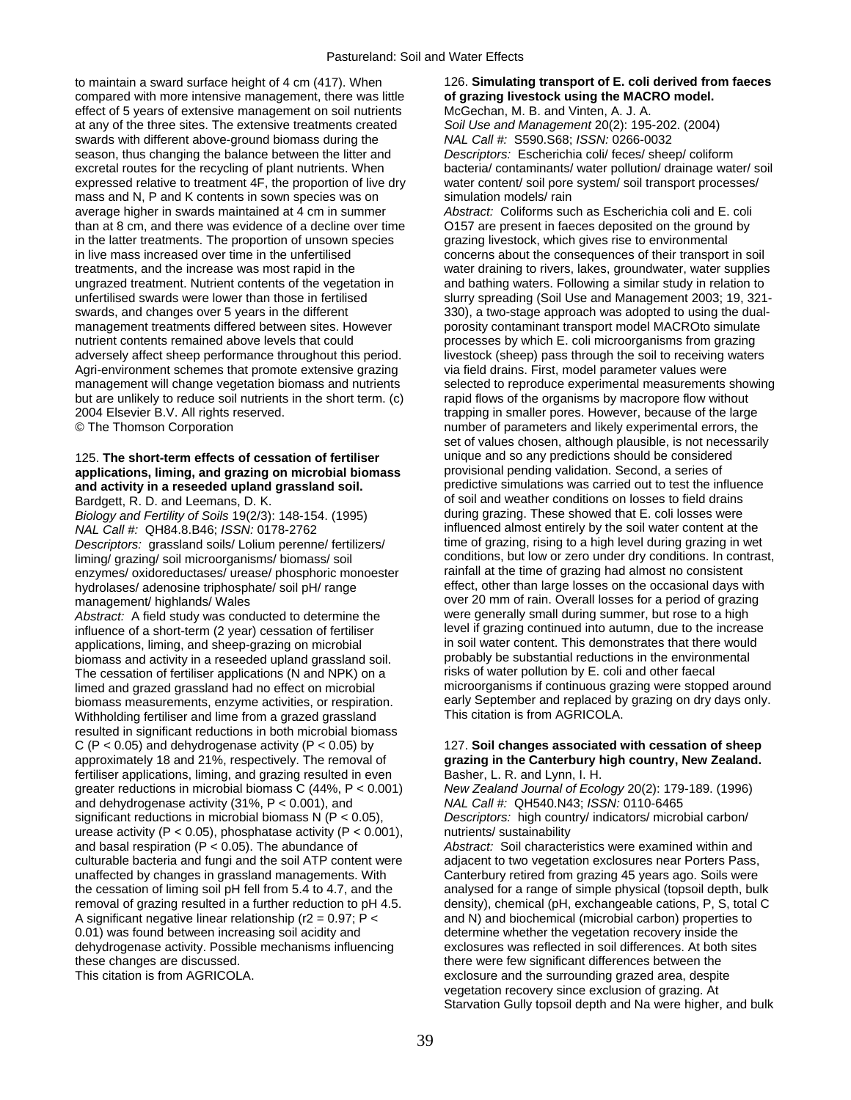to maintain a sward surface height of 4 cm (417). When 126. **Simulating transport of E. coli derived from faeces**  compared with more intensive management, there was little **of grazing livestock using the MACRO model.**  effect of 5 years of extensive management on soil nutrients McGechan, M. B. and Vinten, A. J. A. at any of the three sites. The extensive treatments created *Soil Use and Management* 20(2): 195-202. (2004) swards with different above-ground biomass during the *NAL Call #:* S590.S68; *ISSN:* 0266-0032 season, thus changing the balance between the litter and *Descriptors:* Escherichia coli/ feces/ sheep/ coliform excretal routes for the recycling of plant nutrients. When bacteria/ contaminants/ water pollution/ drainage water/ soil expressed relative to treatment 4F, the proportion of live dry water content/ soil pore system/ soil transport processes/ mass and N, P and K contents in sown species was on simulation models/ rain average higher in swards maintained at 4 cm in summer *Abstract:* Coliforms such as Escherichia coli and E. coli than at 8 cm, and there was evidence of a decline over time O157 are present in faeces deposited on the ground by in the latter treatments. The proportion of unsown species grazing livestock, which gives rise to environmental in live mass increased over time in the unfertilised concerns about the consequences of their transport in soil treatments, and the increase was most rapid in the water draining to rivers, lakes, groundwater, water supplies ungrazed treatment. Nutrient contents of the vegetation in and bathing waters. Following a similar study in relation to unfertilised swards were lower than those in fertilised slurry spreading (Soil Use and Management 2003; 19, 321-<br>swards, and changes over 5 years in the different 330), a two-stage approach was adopted to using the dualmanagement treatments differed between sites. However porosity contaminant transport model MACROto simulate nutrient contents remained above levels that could processes by which E. coli microorganisms from grazing adversely affect sheep performance throughout this period. livestock (sheep) pass through the soil to receiving waters Agri-environment schemes that promote extensive grazing via field drains. First, model parameter values were management will change vegetation biomass and nutrients selected to reproduce experimental measurements showing but are unlikely to reduce soil nutrients in the short term. (c) rapid flows of the organisms by macropore flow without 2004 Elsevier B.V. All rights reserved. The same of the large trapping in smaller pores. However, because of the large

## 125. **The short-term effects of cessation of fertiliser** unique and so any predictions should be considered **applications, liming, and grazing on microbial biomass** provisional pending validation. Second, a series of and activity in a reseeded upland grassland soil.

*Biology and Fertility of Soils* 19(2/3): 148-154. (1995) *NAL Call #:* QH84.8.B46; *ISSN:* 0178-2762 influenced almost entirely by the soil water content at the<br>Descriptors: grassland soils/ Lolium perenne/ fertilizers/ time of grazing, rising to a high level during grazing in w liming/ grazing/ soil microorganisms/ biomass/ soil conditions, but low or zero under dry conditions. In conti<br>enzymes/ oxidoreductases/ urease/ phosphoric monoester and rainfall at the time of grazing had almost no consis enzymes/ oxidoreductases/ urease/ phosphoric monoester rainfall at the time of grazing had almost no consistent<br>hydrolases/ adenosine triphosphate/ soil pH/ range<br>effect, other than large losses on the occasional days with hydrolases/ adenosine triphosphate/ soil pH/ range management/ highlands/ Wales over 20 mm of rain. Overall losses for a period of grazing

influence of a short-term (2 year) cessation of fertiliser applications, liming, and sheep-grazing on microbial in soil water content. This demonstrates that there would<br>biomass and activity in a reseeded upland grassland soil probably be substantial reductions in the environmenta biomass and activity in a reseeded upland grassland soil. entity probably be substantial reductions in the environn<br>The cessation of fertiliser applications (N and NPK) on a entity risks of water pollution by E. coli and o The cessation of fertiliser applications (N and NPK) on a biomass measurements, enzyme activities, or respiration. early September and replaced by<br>Withholding fertiliser and lime from a grazed grassland Filis citation is from AGRICOLA. Withholding fertiliser and lime from a grazed grassland resulted in significant reductions in both microbial biomass C (P < 0.05) and dehydrogenase activity (P < 0.05) by 127. **Soil changes associated with cessation of sheep**  approximately 18 and 21%, respectively. The removal of **grazing in the Canterbury high country, New Zealand.**  fertiliser applications, liming, and grazing resulted in even Basher, L. R. and Lynn, I. H. greater reductions in microbial biomass C (44%, P < 0.001) *New Zealand Journal of Ecology* 20(2): 179-189. (1996) and dehydrogenase activity (31%, P < 0.001), and *NAL Call #:* QH540.N43; *ISSN:* 0110-6465 significant reductions in microbial biomass N (P < 0.05), *Descriptors:* high country/ indicators/ microbial carbon/ urease activity ( $P < 0.05$ ), phosphatase activity ( $P < 0.001$ ), nutrients/ sustainability and basal respiration (P < 0.05). The abundance of *Abstract:* Soil characteristics were examined within and culturable bacteria and fungi and the soil ATP content were adjacent to two vegetation exclosures near Porters Pass, unaffected by changes in grassland managements. With Canterbury retired from grazing 45 years ago. Soils were the cessation of liming soil pH fell from 5.4 to 4.7, and the analysed for a range of simple physical (topsoil depth, bulk removal of grazing resulted in a further reduction to pH 4.5. density), chemical (pH, exchangeable cations, P, S, total C<br>A significant negative linear relationship (r2 = 0.97; P < and N) and biochemical (microbial carbon 0.01) was found between increasing soil acidity and determine whether the vegetation recovery inside the dehydrogenase activity. Possible mechanisms influencing exclosures was reflected in soil differences. At both sites<br>these changes are discussed.

330), a two-stage approach was adopted to using the dual-© The Thomson Corporation number of parameters and likely experimental errors, the set of values chosen, although plausible, is not necessarily Bardgett, R. D. and Leemans, D. K. (1995) of soil and weather conditions on losses to field drains<br>Biology and Fertility of Soils 19(2/3): 148-154 (1995) during grazing. These showed that E. coli losses were *Descriptors:* grassland soils/ Lolium perenne/ fertilizers/ time of grazing, rising to a high level during grazing in wet *Abstract:* A field study was conducted to determine the were generally small during summer, but rose to a high influence of a short-term (2 year) cessation of fertiliser limed and grazed grassland had no effect on microbial microorganisms if continuous grazing were stopped around<br>biomass measurements enzyme activities or respiration early September and replaced by grazing on dry days only

and N) and biochemical (microbial carbon) properties to there were few significant differences between the This citation is from AGRICOLA. **Example 20 and 12** exclosure and the surrounding grazed area, despite vegetation recovery since exclusion of grazing. At Starvation Gully topsoil depth and Na were higher, and bulk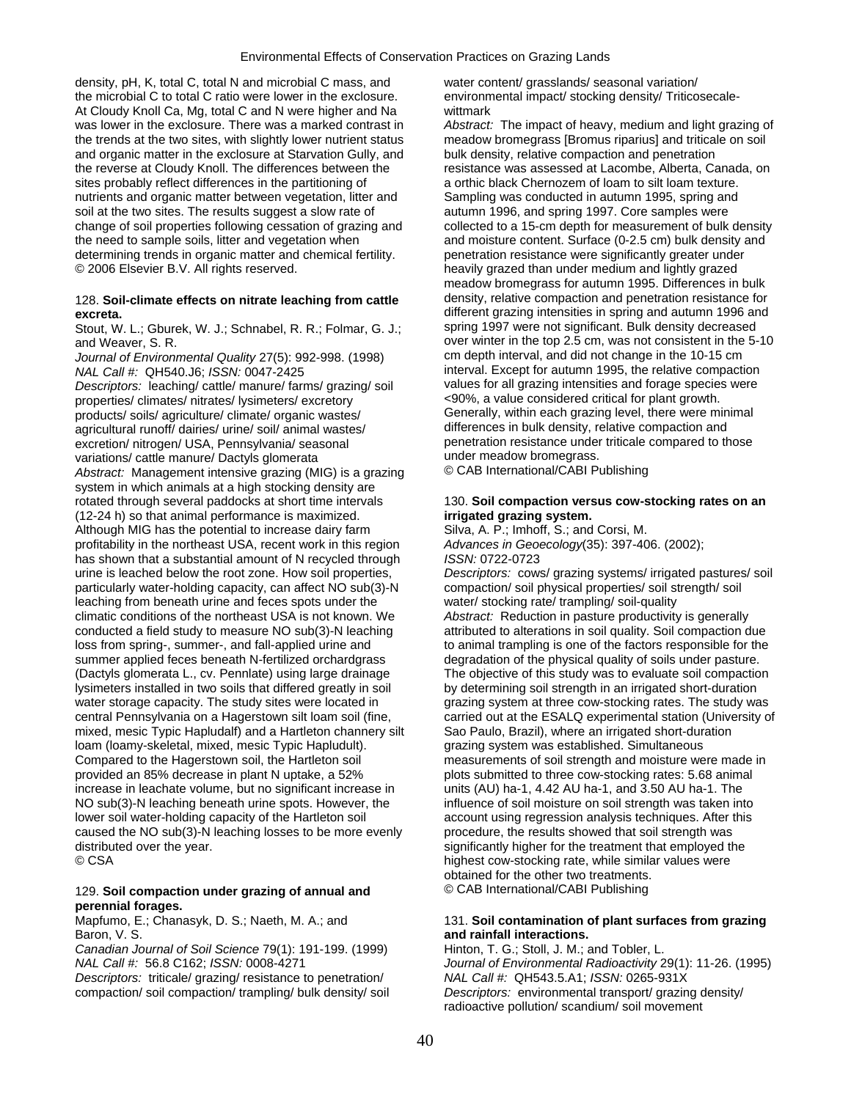density, pH, K, total C, total N and microbial C mass, and water content/ grasslands/ seasonal variation/ the microbial C to total C ratio were lower in the exclosure. environmental impact/ stocking density/ Triticosecale-At Cloudy Knoll Ca, Mg, total C and N were higher and Na wittmark was lower in the exclosure. There was a marked contrast in *Abstract:* The impact of heavy, medium and light grazing of the trends at the two sites, with slightly lower nutrient status meadow bromegrass [Bromus riparius] and triticale on soil and organic matter in the exclosure at Starvation Gully, and bulk density, relative compaction and penetration the reverse at Cloudy Knoll. The differences between the resistance was assessed at Lacombe, Alberta, Canada, on sites probably reflect differences in the partitioning of a orthic black Chernozem of loam to silt loam texture. nutrients and organic matter between vegetation, litter and Sampling was conducted in autumn 1995, spring and soil at the two sites. The results suggest a slow rate of autumn 1996, and spring 1997. Core samples were change of soil properties following cessation of grazing and collected to a 15-cm depth for measurement of bulk density the need to sample soils, litter and vegetation when and moisture content. Surface (0-2.5 cm) bulk density and<br>determining trends in organic matter and chemical fertility. penetration resistance were significantly greater determining trends in organic matter and chemical fertility. © 2006 Elsevier B.V. All rights reserved. heavily grazed than under medium and lightly grazed

Stout, W. L.; Gburek, W. J.; Schnabel, R. R.; Folmar, G. J.;

*Journal of Environmental Quality* 27(5): 992-998. (1998) *NAL Call #:* QH540.J6; *ISSN:* 0047-2425 interval. Except for autumn 1995, the relative compaction<br>Descriptors: leaching/ cattle/ manure/ farms/ grazing/ soil values for all grazing intensities and forage species were *Descriptors:* leaching/ cattle/ manure/ farms/ grazing/ soil values for all grazing intensities and forage species vertiling the species vertiling of the value considered critical for plant growth. properties/ climates/ nitrates/ lysimeters/ excretory products/ soils/ agriculture/ climate/ organic wastes/ Generally, within each grazing level, there were minimal<br>
agricultural runoff/ dairies/ urine/ soil/ animal wastes/ differences in bulk density, relative compaction an agricultural runoff/ dairies/ urine/ soil/ animal wastes/ excretion/ nitrogen/ USA, Pennsylvania/ seasonal penetration resistance under triticale compared to those<br>variations/ cattle manure/ Dactyls glomerata variation with the under meadow bromegrass. variations/ cattle manure/ Dactyls glomerata under meadow bromegrass.<br>Abstract: Management intensive grazing (MIG) is a grazing CAB International/CABI Publishing *Abstract:* Management intensive grazing (MIG) is a grazing system in which animals at a high stocking density are rotated through several paddocks at short time intervals 130. **Soil compaction versus cow-stocking rates on an**  (12-24 h) so that animal performance is maximized. **irrigated grazing system.**  Although MIG has the potential to increase dairy farm Silva, A. P.; Imhoff, S.; and Corsi, M. profitability in the northeast USA, recent work in this region *Advances in Geoecology*(35): 397-406. (2002); has shown that a substantial amount of N recycled through *ISSN:* 0722-0723 urine is leached below the root zone. How soil properties, *Descriptors:* cows/ grazing systems/ irrigated pastures/ soil particularly water-holding capacity, can affect NO sub(3)-N leaching from beneath urine and feces spots under the water/ stocking rate/ trampling/ soil-quality climatic conditions of the northeast USA is not known. We *Abstract:* Reduction in pasture productivity is generally conducted a field study to measure NO sub(3)-N leaching attributed to alterations in soil quality. Soil compaction due loss from spring-, summer-, and fall-applied urine and the animal trampling is one of the factors responsible for the summer applied feces beneath N-fertilized orchardgrass degradation of the physical quality of soils under pasture. (Dactyls glomerata L., cv. Pennlate) using large drainage The objective of this study was to evaluate soil compaction lysimeters installed in two soils that differed greatly in soil by determining soil strength in an irrigated short-duration water storage capacity. The study sites were located in grazing system at three cow-stocking rates. The study was central Pennsylvania on a Hagerstown silt loam soil (fine, carried out at the ESALQ experimental station (University of mixed, mesic Typic Hapludalf) and a Hartleton channery silt Sao Paulo, Brazil), where an irrigated short-duration loam (loamy-skeletal, mixed, mesic Typic Hapludult). grazing system was established. Simultaneous Compared to the Hagerstown soil, the Hartleton soil measurements of soil strength and moisture were made in provided an 85% decrease in plant N uptake, a 52% plots submitted to three cow-stocking rates: 5.68 animal increase in leachate volume, but no significant increase in units (AU) ha-1, 4.42 AU ha-1, and 3.50 AU ha-1. The NO sub(3)-N leaching beneath urine spots. However, the influence of soil moisture on soil strength was taken into lower soil water-holding capacity of the Hartleton soil account using regression analysis techniques. After this caused the NO sub(3)-N leaching losses to be more evenly procedure, the results showed that soil strength was distributed over the year.  $\blacksquare$  significantly higher for the treatment that employed the

## 129. **Soil compaction under grazing of annual and** © CAB International/CABI Publishing **perennial forages.**

Baron, V. S. **and rainfall interactions.** 

*Canadian Journal of Soil Science* 79(1): 191-199. (1999) Hinton, T. G.; Stoll, J. M.; and Tobler, L.

*Descriptors:* triticale/ grazing/ resistance to penetration/ *NAL Call #:* QH543.5.A1; *ISSN:* 0265-931X compaction/ soil compaction/ trampling/ bulk density/ soil *Descriptors:* environmental transport/ grazing density/

meadow bromegrass for autumn 1995. Differences in bulk 128. **Soil-climate effects on nitrate leaching from cattle** density, relative compaction and penetration resistance for **excreta.** different grazing intensities in spring and autumn 1996 and and Weaver, S. R. Canadian Research Cuality 27(5): 992-998 (1998) over winter in the top 2.5 cm, was not consistent in the 5-10<br>Journal of Environmental Quality 27(5): 992-998 (1998) cm depth interval, and did not change i

© CSA highest cow-stocking rate, while similar values were obtained for the other two treatments.

## Mapfumo, E.; Chanasyk, D. S.; Naeth, M. A.; and 131. **Soil contamination of plant surfaces from grazing**

*NAL Call #:* 56.8 C162; *ISSN:* 0008-4271 *Journal of Environmental Radioactivity* 29(1): 11-26. (1995) radioactive pollution/ scandium/ soil movement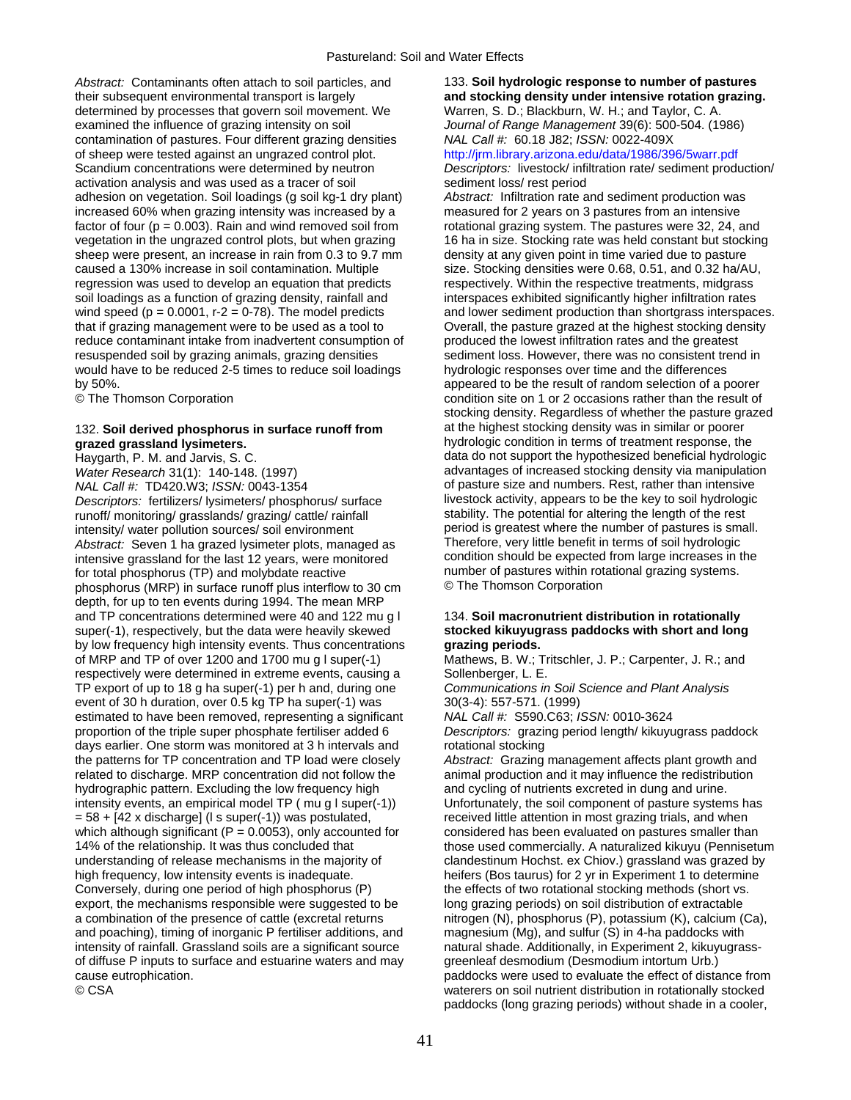*Abstract:* Contaminants often attach to soil particles, and 133. **Soil hydrologic response to number of pastures**  determined by processes that govern soil movement. We Warren, S. D.; Blackburn, W. H.; and Taylor, C. A. examined the influence of grazing intensity on soil *Journal of Range Management* 39(6): 500-504. (1986) contamination of pastures. Four different grazing densities *NAL Call #:* 60.18 J82; *ISSN:* 0022-409X of sheep were tested against an ungrazed control plot. <http://jrm.library.arizona.edu/data/1986/396/5warr.pdf> activation analysis and was used as a tracer of soil sediment loss/ rest period adhesion on vegetation. Soil loadings (g soil kg-1 dry plant) *Abstract:* Infiltration rate and sediment production was increased 60% when grazing intensity was increased by a measured for 2 years on 3 pastures from an intensive factor of four ( $p = 0.003$ ). Rain and wind removed soil from rotational grazing system. The pastures were 32, 24, and sheep were present, an increase in rain from 0.3 to 9.7 mm density at any given point in time varied due to pasture caused a 130% increase in soil contamination. Multiple size. Stocking densities were 0.68, 0.51, and 0.32 ha/AU, regression was used to develop an equation that predicts respectively. Within the respective treatments, midgrass wind speed (p =  $0.0001$ , r-2 =  $0-78$ ). The model predicts reduce contaminant intake from inadvertent consumption of produced the lowest infiltration rates and the greatest resuspended soil by grazing animals, grazing densities sediment loss. However, there was no consistent trend in would have to be reduced 2-5 times to reduce soil loadings hydrologic responses over time and the differences by 50%. appeared to be the result of random selection of a poorer

*NAL Call #:* TD420.W3; *ISSN:* 0043-1354 of pasture size and numbers. Rest, rather than intensive<br>Descriptors: fertilizers/ lysimeters/ phosphorus/ surface livestock activity, appears to be the key to soil hydrologic *Descriptors:* fertilizers/ lysimeters/ phosphorus/ surface livestock activity, appears to be the key to soil hydrolog<br>runoff/ monitoring/ grasslands/ grazing/ cattle/ rainfall stability. The potential for altering the len runoff/ monitoring/ grasslands/ grazing/ cattle/ rainfall intensity/ water pollution sources/ soil environment period is greatest where the number of pastures is small.<br>Abstract: Seven 1 ha grazed lysimeter plots, managed as Therefore, very little benefit in terms of soil hydrolo *Abstract:* Seven 1 ha grazed lysimeter plots, managed as Therefore, very little benefit in terms of soil hydrologic intensive grassland for the last 12 years, were monitored condition should be expected from large increases in t<br>for total phosphorus (TP) and molybdate reactive strategy condition of pastures within rotational grazing sys for total phosphorus (TP) and molybdate reactive number of pastures within rot<br>number of pastures within rotational gradient phosphorus (MRP) in surface runoff plus interflow to 30 cm phosphorus (MRP) in surface runoff plus interflow to 30 cm depth, for up to ten events during 1994. The mean MRP and TP concentrations determined were 40 and 122 mu g l 134. Soil macronutrient distribution in rotationally super(-1), respectively, but the data were heavily skewed **stocked kikuyugrass paddocks with short and long**  by low frequency high intensity events. Thus concentrations **grazing periods.**  of MRP and TP of over 1200 and 1700 mu g l super(-1) Mathews, B. W.; Tritschler, J. P.; Carpenter, J. R.; and respectively were determined in extreme events, causing a Sollenberger, L. E.<br>TP export of up to 18 g ha super(-1) per h and, during one Communications in Soil Science and Plant Analysis TP export of up to 18 g ha super(-1) per h and, during one event of 30 h duration, over 0.5 kg TP ha super(-1) was 30(3-4): 557-571. (1999) estimated to have been removed, representing a significant *NAL Call #:* S590.C63; *ISSN:* 0010-3624 proportion of the triple super phosphate fertiliser added 6 *Descriptors:* grazing period length/ kikuyugrass paddock days earlier. One storm was monitored at 3 h intervals and rotational stocking the patterns for TP concentration and TP load were closely *Abstract:* Grazing management affects plant growth and related to discharge. MRP concentration did not follow the animal production and it may influence the redistribution hydrographic pattern. Excluding the low frequency high and cycling of nutrients excreted in dung and urine. intensity events, an empirical model TP ( mu g l super(-1)) Unfortunately, the soil component of pasture systems has = 58 + [42 x discharge] (l s super(-1)) was postulated, received little attention in most grazing trials, and when which although significant ( $P = 0.0053$ ), only accounted for considered has been evaluated on pastures smaller than 14% of the relationship. It was thus concluded that those used commercially. A naturalized kikuyu (Pennisetum understanding of release mechanisms in the majority of clandestinum Hochst. ex Chiov.) grassland was grazed by high frequency, low intensity events is inadequate. heifers (Bos taurus) for 2 yr in Experiment 1 to determine Conversely, during one period of high phosphorus (P) the effects of two rotational stocking methods (short vs. export, the mechanisms responsible were suggested to be long grazing periods) on soil distribution of extractable a combination of the presence of cattle (excretal returns hitrogen (N), phosphorus (P), potassium (K), calci and poaching), timing of inorganic P fertiliser additions, and magnesium (Mg), and sulfur (S) in 4-ha paddocks with intensity of rainfall. Grassland soils are a significant source natural shade. Additionally, in Experiment 2, kikuyugrass-<br>of diffuse P inputs to surface and estuarine waters and may greenleaf desmodium (Desmodium intortum of diffuse P inputs to surface and estuarine waters and may cause eutrophication. paddocks were used to evaluate the effect of distance from

their subsequent environmental transport is largely **and stocking density under intensive rotation grazing.**  Scandium concentrations were determined by neutron *Descriptors:* livestock/ infiltration rate/ sediment production/ vegetation in the ungrazed control plots, but when grazing 16 ha in size. Stocking rate was held constant but stocking soil loadings as a function of grazing density, rainfall and interspaces exhibited significantly higher infiltration rates<br>wind speed (p = 0.0001, r-2 = 0-78). The model predicts and lower sediment production than shortgra that if grazing management were to be used as a tool to Overall, the pasture grazed at the highest stocking density © The Thomson Corporation condition site on 1 or 2 occasions rather than the result of stocking density. Regardless of whether the pasture grazed 132. **Soil derived phosphorus in surface runoff from** at the highest stocking density was in similar or poorer **grazed grassland lysimeters.** hydrologic condition in terms of treatment response, the Haygarth, P. M. and Jarvis, S. C. **data do not support the hypothesized beneficial hydrologic** *Water Research* 31(1): 140-148. (1997) advantages of increased stocking density via manipulation

nitrogen (N), phosphorus (P), potassium (K), calcium (Ca), © CSA waterers on soil nutrient distribution in rotationally stocked paddocks (long grazing periods) without shade in a cooler,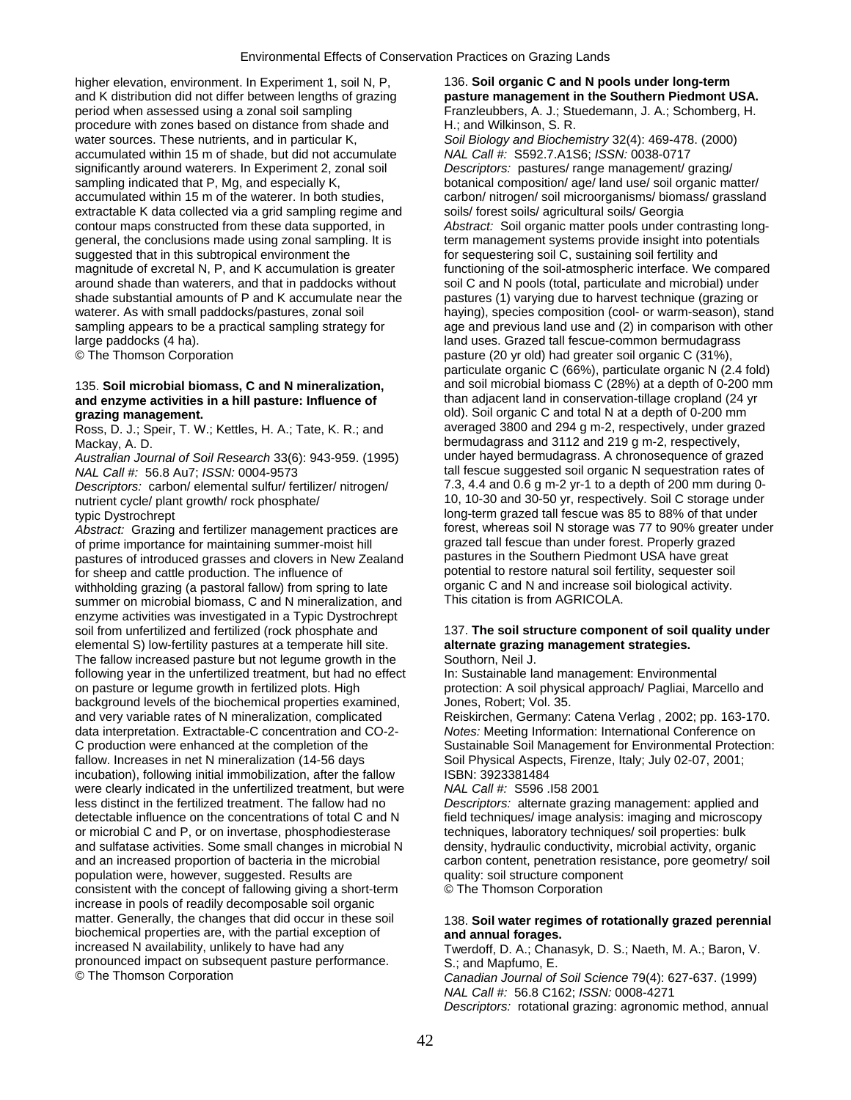higher elevation, environment. In Experiment 1, soil N, P, 136. **Soil organic C and N pools under long-term** and K distribution did not differ between lengths of grazing **pasture management in the Southern Piedmont USA.**  period when assessed using a zonal soil sampling Franzleubbers, A. J.; Stuedemann, J. A.; Schomberg, H. procedure with zones based on distance from shade and H.; and Wilkinson, S. R. procedure with zones based on distance from shade and water sources. These nutrients, and in particular K, *Soil Biology and Biochemistry* 32(4): 469-478. (2000) accumulated within 15 m of shade, but did not accumulate *NAL Call #:* S592.7.A1S6; *ISSN:* 0038-0717 significantly around waterers. In Experiment 2, zonal soil *Descriptors:* pastures/ range management/ grazing/ sampling indicated that P, Mg, and especially K, botanical composition/ age/ land use/ soil organic matter/ accumulated within 15 m of the waterer. In both studies, carbon/ nitrogen/ soil microorganisms/ biomass/ grassland extractable K data collected via a grid sampling regime and soils/ forest soils/ agricultural soils/ Georgia contour maps constructed from these data supported, in *Abstract:* Soil organic matter pools under contrasting longgeneral, the conclusions made using zonal sampling. It is term management systems provide insight into potentials suggested that in this subtropical environment the for sequestering soil C, sustaining soil fertility and magnitude of excretal N, P, and K accumulation is greater functioning of the soil-atmospheric interface. We compared around shade than waterers, and that in paddocks without soil C and N pools (total, particulate and microbial) under shade substantial amounts of P and K accumulate near the pastures (1) varying due to harvest technique (grazing or waterer. As with small paddocks/pastures, zonal soil having), species composition (cool- or warm-season), s sampling appears to be a practical sampling strategy for age and previous land use and (2) in comparison with other large paddocks (4 ha). land uses. Grazed tall fescue-common bermudagrass

# and enzyme activities in a hill pasture: Influence of

Ross, D. J.; Speir, T. W.; Kettles, H. A.; Tate, K. R.; and

*Australian Journal of Soil Research* 33(6): 943-959. (1995)

*Descriptors: carbon/ elemental sulfur/ fertilizer/ nitrogen/* 

*Abstract:* Grazing and fertilizer management practices are forest, whereas soil N storage was 77 to 90% greater of prime importance for maintaining summer-moist hill grazed tall fescue than under forest. Properly grazed of prime importance for maintaining summer-moist hill grazed tall fescue than under forest. Properly grazed<br>pastures of introduced grasses and clovers in New Zealand pastures in the Southern Piedmont USA have great pastures of introduced grasses and clovers in New Zealand pastures in the Southern Piedmont USA have great<br>
for sheep and cattle production. The influence of potential to restore natural soil fertility, sequester soil for sheep and cattle production. The influence of potential to restore natural soil fertility, sequester soil<br>withholding grazing (a pastoral fallow) from spring to late organic C and N and increase soil biological activit withholding grazing (a pastoral fallow) from spring to late organic C and N and increase so<br>summer on microbial biomass. C and N mineralization, and This citation is from AGRICOLA. summer on microbial biomass, C and N mineralization, and enzyme activities was investigated in a Typic Dystrochrept soil from unfertilized and fertilized (rock phosphate and 137. **The soil structure component of soil quality under**  elemental S) low-fertility pastures at a temperate hill site. **alternate grazing management strategies.**  The fallow increased pasture but not legume growth in the Southorn, Neil J. following year in the unfertilized treatment, but had no effect lin: Sustainable land management: Environmental<br>on pasture or legume growth in fertilized plots. High protection: A soil physical approach/ Pagliai, Marc background levels of the biochemical properties examined, Jones, Robert; Vol. 35. and very variable rates of N mineralization, complicated Reiskirchen, Germany: Catena Verlag , 2002; pp. 163-170. data interpretation. Extractable-C concentration and CO-2- *Notes:* Meeting Information: International Conference on fallow. Increases in net N mineralization (14-56 days Soil Physical Aspects, Firenze, Italy; July 02-07, 2001; incubation), following initial immobilization, after the fallow ISBN: 3923381484 were clearly indicated in the unfertilized treatment, but were *NAL Call #:* S596 .I58 2001 less distinct in the fertilized treatment. The fallow had no *Descriptors:* alternate grazing management: applied and detectable influence on the concentrations of total C and N field techniques/ image analysis: imaging and microscopy or microbial C and P, or on invertase, phosphodiesterase techniques, laboratory techniques/ soil properties: bulk and sulfatase activities. Some small changes in microbial N density, hydraulic conductivity, microbial activity, organic and an increased proportion of bacteria in the microbial carbon content, penetration resistance, pore geometry/ soil population were, however, suggested. Results are quality: soil structure component consistent with the concept of fallowing giving a short-term  $\heartsuit$  The Thomson Corporation increase in pools of readily decomposable soil organic biochemical properties are, with the partial exception of **and annual forages.**  pronounced impact on subsequent pasture performance.<br>
© The Thomson Corporation Capacities Canadian Journal of

haying), species composition (cool- or warm-season), stand © The Thomson Corporation pasture (20 yr old) had greater soil organic C (31%), particulate organic C (66%), particulate organic N (2.4 fold) 135. **Soil microbial biomass, C and N mineralization,** and soil microbial biomass C (28%) at a depth of 0-200 mm **grazing management. interest in the solution of the solution** organic C and total N at a depth of 0-200 mm<br>
Ross. D. J.: Speir. T. W.: Kettles. H. A.: Tate. K. R.: and averaged 3800 and 294 g m-2, respectively, under gr Mackay, A. D.<br>
Australian Journal of Soil Research 33(6): 943-959. (1995) bermudagrass and 3112 and 219 g m-2, respectively, *NAL Call #: 56.8 Au7; <i>ISSN:* 0004-9573<br>*Descriptors: carbon/ elemental sulfur/ fertilizer/ pitrogen/* 7.3, 4.4 and 0.6 g m-2 yr-1 to a depth of 200 mm during 0-<br>*7.3, 4.4 and 0.6 g m-2 yr-1 to a depth of 200 mm during 0*nutrient cycle/ plant growth/ rock phosphate/ 10, 10-30 and 30-50 yr, respectively. Soil C storage under typic Dystrochrept<br>
Abstract: Grazing and fertilizer management practices are forest, whereas soil N storage was 77 to 90% greater under

protection: A soil physical approach/ Pagliai, Marcello and

C production were enhanced at the completion of the Sustainable Soil Management for Environmental Protection:

## 138. Soil water regimes of rotationally grazed perennial

Twerdoff, D. A.; Chanasyk, D. S.; Naeth, M. A.; Baron, V. Canadian Journal of Soil Science 79(4): 627-637. (1999)

*NAL Call #:* 56.8 C162; *ISSN:* 0008-4271

*Descriptors:* rotational grazing: agronomic method, annual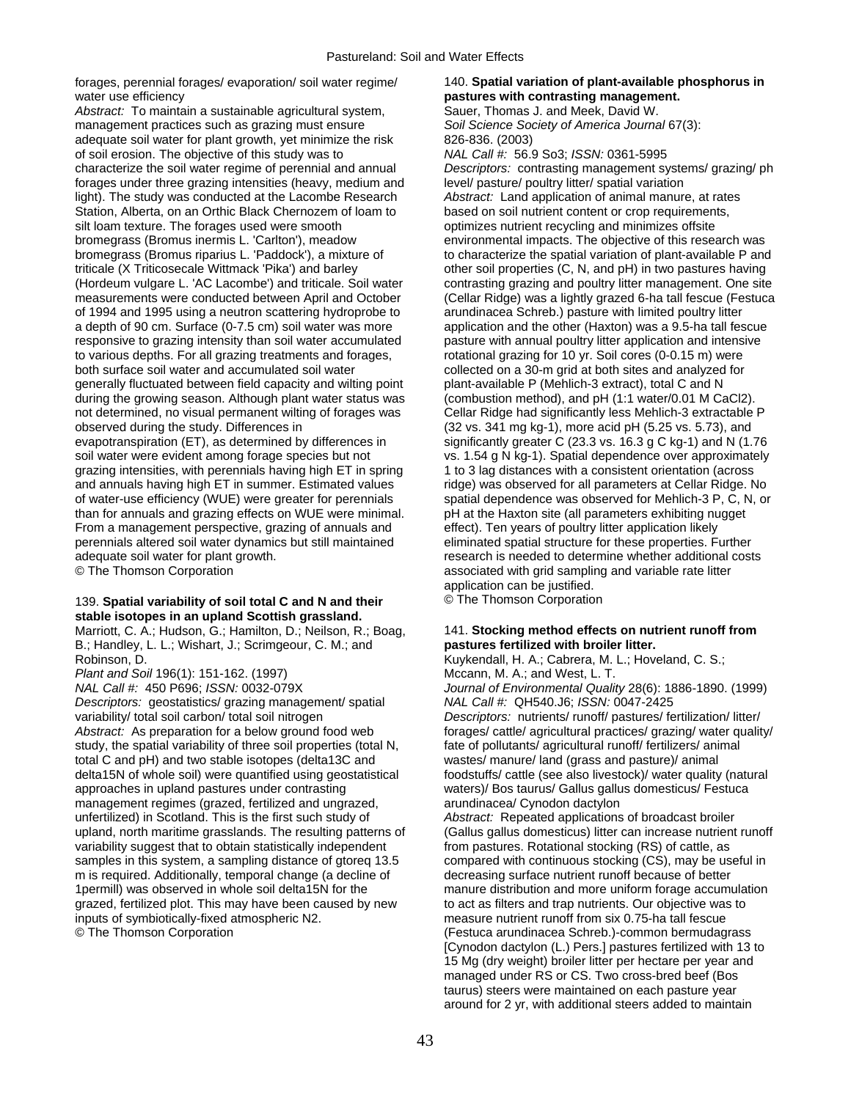forages, perennial forages/ evaporation/ soil water regime/ 140. **Spatial variation of plant-available phosphorus in**  water use efficiency **pastures with contrasting management.** 

Abstract: To maintain a sustainable agricultural system, Sauer, Thomas J. and Meek, David W.<br>
management practices such as grazing must ensure Soil Science Society of America Journal 67(3): management practices such as grazing must ensure adequate soil water for plant growth, yet minimize the risk 826-836. (2003) of soil erosion. The objective of this study was to *NAL Call #:* 56.9 So3; *ISSN:* 0361-5995 characterize the soil water regime of perennial and annual *Descriptors:* contrasting management systems/ grazing/ ph forages under three grazing intensities (heavy, medium and level/ pasture/ poultry litter/ spatial variation light). The study was conducted at the Lacombe Research *Abstract:* Land application of animal manure, at rates Station, Alberta, on an Orthic Black Chernozem of loam to based on soil nutrient content or crop requirements, silt loam texture. The forages used were smooth optimizes nutrient recycling and minimizes offsite bromegrass (Bromus inermis L. 'Carlton'), meadow environmental impacts. The objective of this research was<br>bromegrass (Bromus riparius L. 'Paddock'), a mixture of the observatorize the spatial variation of plant-available bromegrass (Bromus riparius L. 'Paddock'), a mixture of to characterize the spatial variation of plant-available P and<br>triticale (X Triticosecale Wittmack 'Pika') and barley on the soil properties (C, N, and pH) in two pas (Hordeum vulgare L. 'AC Lacombe') and triticale. Soil water contrasting grazing and poultry litter management. One site of 1994 and 1995 using a neutron scattering hydroprobe to arundinacea Schreb.) pasture with limited poultry litter a depth of 90 cm. Surface (0-7.5 cm) soil water was more application and the other (Haxton) was a 9.5-ha tall fescue responsive to grazing intensity than soil water accumulated pasture with annual poultry litter application and intensive to various depths. For all grazing treatments and forages, rotational grazing for 10 yr. Soil cores (0-0.15 m) were both surface soil water and accumulated soil water collected on a 30-m grid at both sites and analyzed for generally fluctuated between field capacity and wilting point plant-available P (Mehlich-3 extract), total C and N during the growing season. Although plant water status was (combustion method), and pH (1:1 water/0.01 M CaCl2). not determined, no visual permanent wilting of forages was Cellar Ridge had significantly less Mehlich-3 extractable P observed during the study. Differences in (32 vs. 341 mg kg-1), more acid pH (5.25 vs. 5.73), and evapotranspiration (ET), as determined by differences in significantly greater C (23.3 vs. 16.3 g C kg-1) and N (1.76 soil water were evident among forage species but not vs. 1.54 g N kg-1). Spatial dependence over approximately grazing intensities, with perennials having high ET in spring 1 to 3 lag distances with a consistent orientation (across and annuals having high ET in summer. Estimated values ridge) was observed for all parameters at Cellar Ridge. No of water-use efficiency (WUE) were greater for perennials spatial dependence was observed for Mehlich-3 P, C, N, or than for annuals and grazing effects on WUE were minimal. pH at the Haxton site (all parameters exhibiting nugget From a management perspective, grazing of annuals and effect). Ten years of poultry litter application likely perennials altered soil water dynamics but still maintained eliminated spatial structure for these properties. Further adequate soil water for plant growth. research is needed to determine whether additional costs

## 139. Spatial variability of soil total C and N and their **stable isotopes in an upland Scottish grassland.**

Marriott, C. A.; Hudson, G.; Hamilton, D.; Neilson, R.; Boag, 141. **Stocking method effects on nutrient runoff from**  B.; Handley, L. L.; Wishart, J.; Scrimgeour, C. M.; and **pastures fertilized with broiler litter.**  Robinson, D. Kuykendall, H. A.; Cabrera, M. L.; Hoveland, C. S.;

*Plant and Soil* 196(1): 151-162. (1997) Mccann, M. A.; and West, L. T. *NAL Call #:* 450 P696; *ISSN:* 0032-079X *Journal of Environmental Quality* 28(6): 1886-1890. (1999) *Descriptors: geostatistics/ grazing management/ spatial* variability/ total soil carbon/ total soil nitrogen *Descriptors:* nutrients/ runoff/ pastures/ fertilization/ litter/ study, the spatial variability of three soil properties (total N, fate of pollutants/ agricultural runoff/ fertilizers/ animal total C and pH) and two stable isotopes (delta13C and wastes/ manure/ land (grass and pasture)/ animal delta15N of whole soil) were quantified using geostatistical foodstuffs/ cattle (see also livestock)/ water quality (natural approaches in upland pastures under contrasting waters)/ Bos taurus/ Gallus gallus domesticus/ Festuca management regimes (grazed, fertilized and ungrazed, arrundinacea/ Cynodon dactylon unfertilized) in Scotland. This is the first such study of *Abstract:* Repeated applications of broadcast broiler variability suggest that to obtain statistically independent from pastures. Rotational stocking (RS) of cattle, as samples in this system, a sampling distance of gtoreq 13.5 compared with continuous stocking (CS), may be useful in m is required. Additionally, temporal change (a decline of decreasing surface nutrient runoff because of better 1permill) was observed in whole soil delta15N for the manure distribution and more uniform forage accumulation grazed, fertilized plot. This may have been caused by new to act as filters and trap nutrients. Our objective was to inputs of symbiotically-fixed atmospheric N2.<br>measure nutrient runoff from six 0.75-ha tall fescue

other soil properties (C, N, and pH) in two pastures having measurements were conducted between April and October (Cellar Ridge) was a lightly grazed 6-ha tall fescue (Festuca © The Thomson Corporation and variable rate litter associated with grid sampling and variable rate litter application can be justified.<br>© The Thomson Corporation

*Abstract:* As preparation for a below ground food web forages/ cattle/ agricultural practices/ grazing/ water quality/ upland, north maritime grasslands. The resulting patterns of (Gallus gallus domesticus) litter can increase nutrient runoff

measure nutrient runoff from six 0.75-ha tall fescue © The Thomson Corporation (Festuca arundinacea Schreb.)-common bermudagrass [Cynodon dactylon (L.) Pers.] pastures fertilized with 13 to 15 Mg (dry weight) broiler litter per hectare per year and managed under RS or CS. Two cross-bred beef (Bos taurus) steers were maintained on each pasture year around for 2 yr, with additional steers added to maintain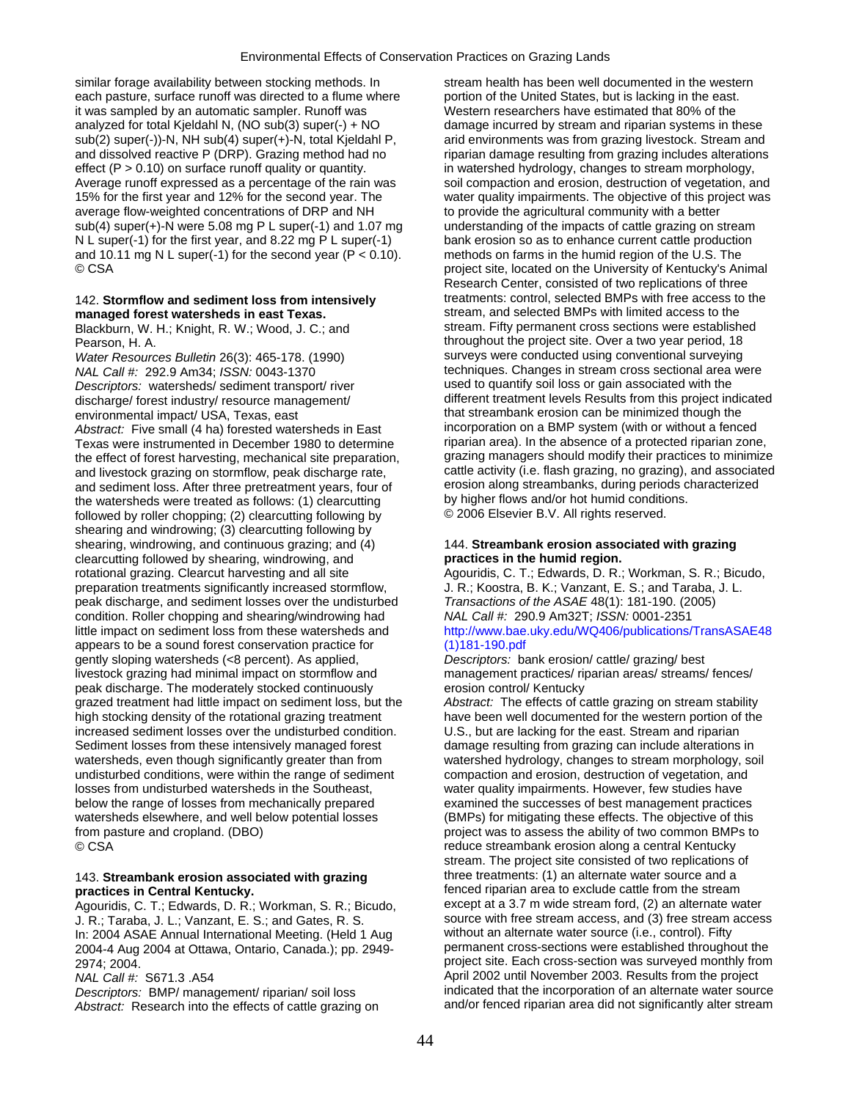similar forage availability between stocking methods. In stream health has been well documented in the western each pasture, surface runoff was directed to a flume where portion of the United States, but is lacking in the east. it was sampled by an automatic sampler. Runoff was Western researchers have estimated that 80% of the<br>analyzed for total Kieldahl N, (NO sub(3) super(-) + NO damage incurred by stream and riparian systems in the sub(2) super(-))-N, NH sub(4) super(+)-N, total Kjeldahl P, arid environments was from grazing livestock. Stream and and dissolved reactive P (DRP). Grazing method had no riparian damage resulting from grazing includes alterations effect (P > 0.10) on surface runoff quality or quantity. in watershed hydrology, changes to stream morphology, Average runoff expressed as a percentage of the rain was soil compaction and erosion, destruction of vegetation, and 15% for the first year and 12% for the second year. The water quality impairments. The objective of this project was average flow-weighted concentrations of DRP and NH to provide the agricultural community with a better sub(4) super(+)-N were 5.08 mg P L super(-1) and 1.07 mg understanding of the impacts of cattle grazing on stream N L super(-1) for the first year, and 8.22 mg P L super(-1) bank erosion so as to enhance current cattle production and 10.11 mg N L super(-1) for the second year (P < 0.10). methods on farms in the humid region of the U.S. The © CSA project site, located on the University of Kentucky's Animal

## 142. Stormflow and sediment loss from intensively

Blackburn, W. H.; Knight, R. W.; Wood, J. C.; and

*Water Resources Bulletin* 26(3): 465-178. (1990) *NAL Call #:* 292.9 Am34; *ISSN:* 0043-1370 techniques. Changes in stream cross sectional area were<br>Descriptors: watersheds/ sediment transport/ river used to quantify soil loss or gain associated with the *Descriptors:* watersheds/ sediment transport/ river environmental impact/ USA, Texas, east that streambank erosion can be minimized though the<br>Abstract: Five small (4 ha) forested watersheds in East incorporation on a BMP system (with or without a fenced *Abstract:* Five small (4 ha) forested watersheds in East incorporation on a BMP system (with or without a fenced  $\overline{P}$  recorporation on a BMP system (with or without a fenced  $\overline{P}$  recorporation or a BMP system (wit Texas were instrumented in December 1980 to determine and sediment loss. After three pretreatment years, four of erosion along streambanks, during periods characterized<br>the watersheds were treated as follows: (1) clearcutting by higher flows and/or hot humid conditions. the watersheds were treated as follows: (1) clearcutting by higher flows and/or hot humid condition<br>followed by roller chopping: (2) clearcutting following by  $\bullet$  2006 Elsevier B.V. All rights reserved. followed by roller chopping; (2) clearcutting following by shearing and windrowing; (3) clearcutting following by shearing, windrowing, and continuous grazing; and (4) 144. **Streambank erosion associated with grazing**  clearcutting followed by shearing, windrowing, and **practices in the humid region.**  rotational grazing. Clearcut harvesting and all site Agouridis, C. T.; Edwards, D. R.; Workman, S. R.; Bicudo, preparation treatments significantly increased stormflow, J. R.; Koostra, B. K.; Vanzant, E. S.; and Taraba, J. L. peak discharge, and sediment losses over the undisturbed *Transactions of the ASAE* 48(1): 181-190. (2005) condition. Roller chopping and shearing/windrowing had *NAL Call #:* 290.9 Am32T; *ISSN:* 0001-2351 little impact on sediment loss from these watersheds and [http://www.bae.uky.edu/WQ406/publications/TransASAE48](http://www.bae.uky.edu/WQ406/publications/TransASAE48/(1)181-190.pdf) appears to be a sound forest conservation practice for (1)181-190.pdf gently sloping watersheds (<8 percent). As applied, *Descriptors:* bank erosion/ cattle/ grazing/ best livestock grazing had minimal impact on stormflow and management practices/ riparian areas/ streams/ fences/ peak discharge. The moderately stocked continuously erosion control/ Kentucky<br>grazed treatment had little impact on sediment loss, but the *Abstract:* The effects of cattle grazing on stream stability grazed treatment had little impact on sediment loss, but the high stocking density of the rotational grazing treatment have been well documented for the western portion of the increased sediment losses over the undisturbed condition. U.S., but are lacking for the east. Stream and riparian Sediment losses from these intensively managed forest damage resulting from grazing can include alterations in watersheds, even though significantly greater than from watershed hydrology, changes to stream morphology, soil undisturbed conditions, were within the range of sediment compaction and erosion, destruction of vegetation, and losses from undisturbed watersheds in the Southeast, water quality impairments. However, few studies have below the range of losses from mechanically prepared examined the successes of best management practices watersheds elsewhere, and well below potential losses (BMPs) for mitigating these effects. The objective of this from pasture and cropland. (DBO) project was to assess the ability of two common BMPs to

Agouridis, C. T.; Edwards, D. R.; Workman, S. R.; Bicudo, 2004-4 Aug 2004 at Ottawa, Ontario, Canada.); pp. 2949-

*Abstract:* Research into the effects of cattle grazing on

damage incurred by stream and riparian systems in these Research Center, consisted of two replications of three<br>treatments: control. selected BMPs with free access to the **managed forest watersheds in east Texas. Stream, and selected BMPs with limited access to the Stream. Blackburn, W. H.: Knight, R. W.: Wood, J. C.: and Stream. Fifty permanent cross sections were established** Pearson, H. A. Throughout the project site. Over a two year period, 18<br>Water Resources Bulletin 26(3): 465-178 (1990) Surveys were conducted using conventional surveying discharge/ forest industry/ resource management/ different treatment levels Results from this project indicated the effect of forest harvesting, mechanical site preparation, grazing managers should modify their practices to minimize and livestock grazing on stormflow, peak discharge rate, cattle activity (i.e. flash grazing, no grazing), and associated

© CSA reduce streambank erosion along a central Kentucky stream. The project site consisted of two replications of 143. **Streambank erosion associated with grazing** three treatments: (1) an alternate water source and a **practices in Central Kentucky.** Fenced riparian area to exclude cattle from the stream<br>Agouridis, C. T.: Edwards, D. R.: Workman, S. R.: Bicudo. Fexcept at a 3.7 m wide stream ford, (2) an alternate water J. R.; Taraba, J. L.; Vanzant, E. S.; and Gates, R. S. source with free stream access, and (3) free stream access<br>In: 2004 ASAE Annual International Meeting. (Held 1 Aug without an alternate water source (i.e., control). F In: 2004 ASAE Annual International Meeting. (Held 1 Aug without an alternate water source (i.e., control). Fifty 2974; 2004. project site. Each cross-section was surveyed monthly from *NAL Call #:* S671.3 .A54 <br>*April 2002 until November 2003.* Results from the project<br>*Descriptors:* BMP/ management/ riparian/ soil loss indicated that the incorporation of an alternate water source *Descriptors:* BMP/ management/ riparian/ soil loss indicated that the incorporation of an alternate water source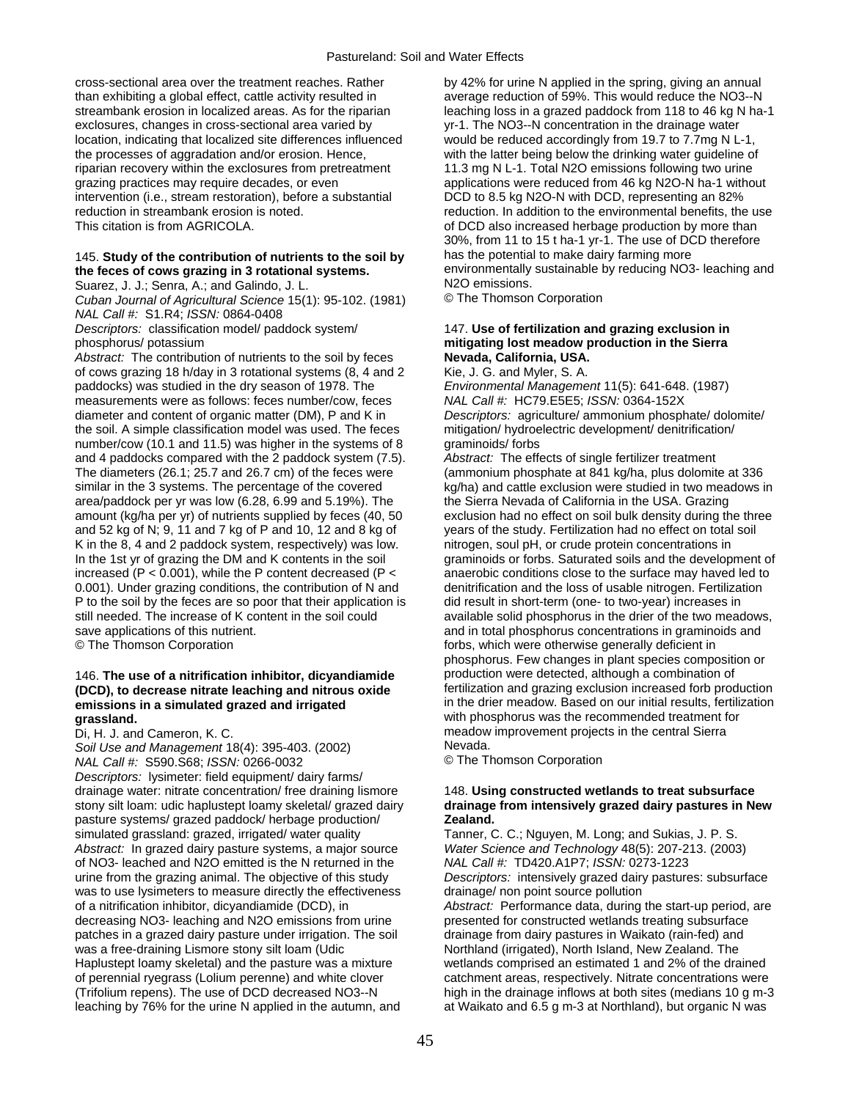cross-sectional area over the treatment reaches. Rather by 42% for urine N applied in the spring, giving an annual than exhibiting a global effect, cattle activity resulted in average reduction of 59%. This would reduce the NO3--N exclosures, changes in cross-sectional area varied by yr-1. The NO3--N concentration in the drainage water location, indicating that localized site differences influenced would be reduced accordingly from 19.7 to 7.7mg N L-1, the processes of aggradation and/or erosion. Hence, with the latter being below the drinking water guideline of riparian recovery within the exclosures from pretreatment 11.3 mg N L-1. Total N2O emissions following two urine grazing practices may require decades, or even applications were reduced from 46 kg N2O-N ha-1 without intervention (i.e., stream restoration), before a substantial DCD to 8.5 kg N2O-N with DCD, representing an 82% reduction in streambank erosion is noted. The reduction. In addition to the environmental benefits, the use This citation is from AGRICOLA. **or a station is the ACCO** also increased herbage production by more than

## 145. Study of the contribution of nutrients to the soil by

Suarez, J. J.; Senra, A.; and Galindo, J. L. N. 20 emissions.<br>Cuban Journal of Agricultural Science 15(1): 95-102 (1981) © The Thomson Corporation *Cuban Journal of Agricultural Science* 15(1): 95-102. (1981) *NAL Call #:* S1.R4; *ISSN:* 0864-0408 *Descriptors:* classification model/ paddock system/ 147. **Use of fertilization and grazing exclusion in** 

*Abstract:* The contribution of nutrients to the soil by feces **Nevada, California, USA.**  of cows grazing 18 h/day in 3 rotational systems (8, 4 and 2 Kie, J. G. and Myler, S. A. paddocks) was studied in the dry season of 1978. The *Environmental Management* 11(5): 641-648. (1987) measurements were as follows: feces number/cow, feces *NAL Call #:* HC79.E5E5; *ISSN:* 0364-152X diameter and content of organic matter (DM), P and K in *Descriptors:* agriculture/ ammonium phosphate/ dolomite/ the soil. A simple classification model was used. The feces mitigation/ hydroelectric development/ denitrification/ number/cow (10.1 and 11.5) was higher in the systems of 8 graminoids/ forbs and 4 paddocks compared with the 2 paddock system (7.5). *Abstract:* The effects of single fertilizer treatment The diameters (26.1; 25.7 and 26.7 cm) of the feces were (ammonium phosphate at 841 kg/ha, plus dolomite at 336 similar in the 3 systems. The percentage of the covered kg/ha) and cattle exclusion were studied in two meadows in area/paddock per yr was low (6.28, 6.99 and 5.19%). The the Sierra Nevada of California in the USA. Grazing amount (kg/ha per yr) of nutrients supplied by feces (40, 50 exclusion had no effect on soil bulk density during the three and 52 kg of N; 9, 11 and 7 kg of P and 10, 12 and 8 kg of years of the study. Fertilization had no effect on total soil K in the 8, 4 and 2 paddock system, respectively) was low. nitrogen, soul pH, or crude protein concentrations in In the 1st yr of grazing the DM and K contents in the soil graminoids or forbs. Saturated soils and the devel increased ( $P < 0.001$ ), while the P content decreased ( $P <$  anaerobic conditions close to the surface may haved led to 0.001). Under grazing conditions, the contribution of N and denitrification and the loss of usable nitrogen. Fertilization P to the soil by the feces are so poor that their application is did result in short-term (one- to two-year) increases in still needed. The increase of K content in the soil could available solid phosphorus in the drier of the two meadows, save applications of this nutrient.  $\Box$  and in total phosphorus concentrations in graminoids and

# **(DCD), to decrease nitrate leaching and nitrous oxide**

*Soil Use and Management* 18(4): 395-403. (2002) <br>*NAL Call #: S590.S68: ISSN: 0266-0032* (2002) C The Thomson Corporation *NAL Call #: S590.S68; ISSN: 0266-0032 Descriptors:* lysimeter: field equipment/ dairy farms/ drainage water: nitrate concentration/ free draining lismore 148. **Using constructed wetlands to treat subsurface**  stony silt loam: udic haplustept loamy skeletal/ grazed dairy **drainage from intensively grazed dairy pastures in New**  pasture systems/ grazed paddock/ herbage production/ **Zealand.**  simulated grassland: grazed, irrigated/ water quality Tanner, C. C.; Nguyen, M. Long; and Sukias, J. P. S.<br>Abstract: In grazed dairy pasture systems, a major source Water Science and Technology 48(5): 207-213. (2003) *Abstract:* In grazed dairy pasture systems, a major source *Water Science and Technology* 48(5): 207-21.<br>
of NO3- leached and N2O emitted is the N returned in the *NAL Call #:* TD420.A1P7; ISSN: 0273-1223. of NO3- leached and N2O emitted is the N returned in the urine from the grazing animal. The objective of this study *Descriptors:* intensively grazed dairy pastures: subsurface was to use lysimeters to measure directly the effectiveness drainage/ non point source pollution of a nitrification inhibitor, dicyandiamide (DCD), in *Abstract:* Performance data, during the start-up period, are decreasing NO3- leaching and N2O emissions from urine presented for constructed wetlands treating subsurface patches in a grazed dairy pasture under irrigation. The soil drainage from dairy pastures in Waikato (rain-fed) and was a free-draining Lismore stony silt loam (Udic Northland (irrigated), North Island, New Zealand. The Haplustept loamy skeletal) and the pasture was a mixture wetlands comprised an estimated 1 and 2% of the drained of perennial ryegrass (Lolium perenne) and white clover catchment areas, respectively. Nitrate concentrations were leaching by 76% for the urine N applied in the autumn, and at Waikato and 6.5 g m-3 at Northland), but organic N was

streambank erosion in localized areas. As for the riparian leaching loss in a grazed paddock from 118 to 46 kg N ha-1 30%, from 11 to 15 t ha-1 yr-1. The use of DCD therefore has the potential to make dairy farming more **the feces of cows grazing in 3 rotational systems.** <sup>environmentally sustainable by reducing NO3- leaching and Suarez L. L. Senra, A. and Galindo, L. L.</sup>

# phosphorus/ potassium **mitigating lost meadow production in the Sierra**

graminoids or forbs. Saturated soils and the development of © The Thomson Corporation **for the Contract of the Contract of Contract in** forbs, which were otherwise generally deficient in phosphorus. Few changes in plant species composition or 146. **The use of a nitrification inhibitor, dicyandiamide** production were detected, although a combination of **emissions in a simulated grazed and irrigated in the drier meadow. Based on our initial results, fertilization grassland.** With phosphorus was the recommended treatment for with phosphorus was the recommended treatment for Di, H. J. and Cameron, K. C. meadow improvement projects in the central Sierra<br>Soil Use and Management 18(4): 305-403-(2003) Nevada

(Trifolium repens). The use of DCD decreased NO3--N high in the drainage inflows at both sites (medians 10 g m-3